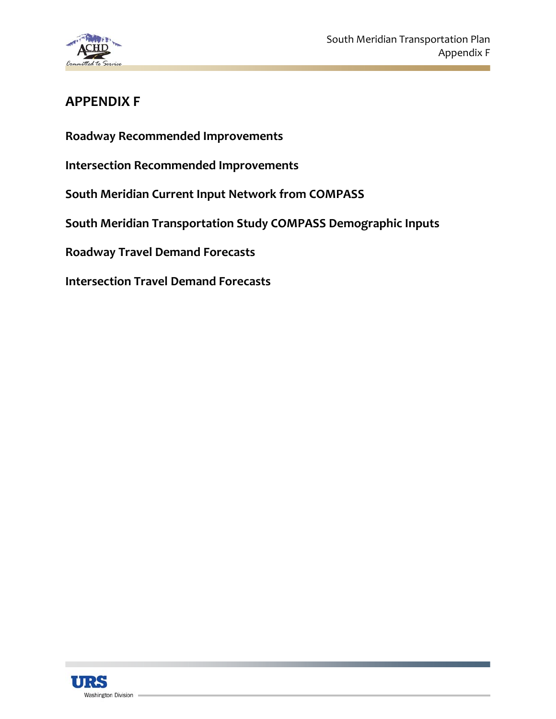

## **APPENDIX F**

**Roadway Recommended Improvements**

**Intersection Recommended Improvements**

**South Meridian Current Input Network from COMPASS**

**South Meridian Transportation Study COMPASS Demographic Inputs**

**Roadway Travel Demand Forecasts**

**Intersection Travel Demand Forecasts**

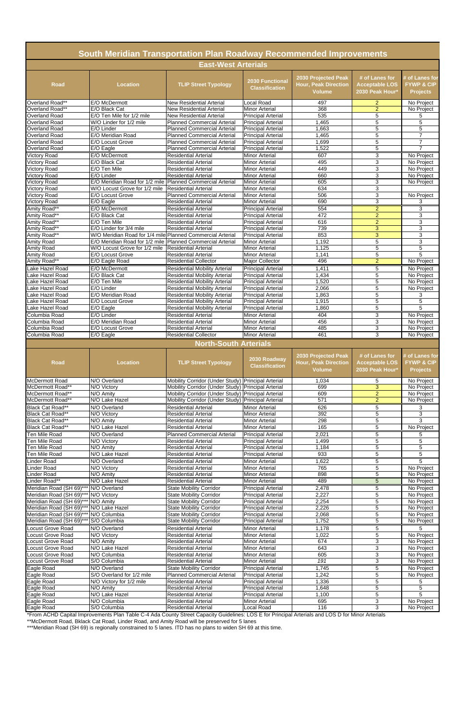|                                                      | <b>South Meridian Transportation Plan Roadway Recommended Improvements</b>                    |                                                                              |                                                        |                                                                     |                                                            |                                                            |
|------------------------------------------------------|-----------------------------------------------------------------------------------------------|------------------------------------------------------------------------------|--------------------------------------------------------|---------------------------------------------------------------------|------------------------------------------------------------|------------------------------------------------------------|
|                                                      |                                                                                               | <b>East-West Arterials</b>                                                   |                                                        |                                                                     |                                                            |                                                            |
| <b>Road</b>                                          | <b>Location</b>                                                                               | <b>TLIP Street Typology</b>                                                  | 2030 Functional<br><b>Classification</b>               | 2030 Projected Peak<br><b>Hour, Peak Direction</b><br><b>Volume</b> | # of Lanes for<br><b>Acceptable LOS</b><br>2030 Peak Hour* | # of Lanes for<br><b>FYWP &amp; CIP</b><br><b>Projects</b> |
| Overland Road**                                      | E/O McDermott                                                                                 | <b>New Residential Arterial</b>                                              | <b>Local Road</b>                                      | 497                                                                 | $\overline{a}$                                             | No Project                                                 |
| Overland Road**                                      | E/O Black Cat                                                                                 | <b>New Residential Arterial</b>                                              | <b>Minor Arterial</b>                                  | 368                                                                 | $\overline{2}$                                             | No Project                                                 |
| Overland Road<br><b>Overland Road</b>                | E/O Ten Mile for 1/2 mile<br>W/O Linder for 1/2 mile                                          | <b>New Residential Arterial</b><br><b>Planned Commercial Arterial</b>        | <b>Principal Arterial</b><br><b>Principal Arterial</b> | 535<br>1,465                                                        | 5<br>5                                                     | 5<br>5                                                     |
| <b>Overland Road</b>                                 | E/O Linder                                                                                    | <b>Planned Commercial Arterial</b>                                           | <b>Principal Arterial</b>                              | 1,663                                                               | 5                                                          | 5                                                          |
| Overland Road                                        | E/O Meridian Road                                                                             | <b>Planned Commercial Arterial</b>                                           | <b>Principal Arterial</b>                              | 1,465                                                               | $\overline{5}$                                             | $\overline{7}$                                             |
| <b>Overland Road</b>                                 | E/O Locust Grove                                                                              | <b>Planned Commercial Arterial</b>                                           | <b>Principal Arterial</b>                              | 1,699                                                               | $\overline{5}$                                             | $\overline{7}$                                             |
| <b>Overland Road</b>                                 | E/O Eagle                                                                                     | <b>Planned Commercial Arterial</b>                                           | <b>Principal Arterial</b>                              | 1,522                                                               | 5                                                          | $\overline{7}$                                             |
| <b>Victory Road</b><br><b>Victory Road</b>           | E/O McDermott<br>E/O Black Cat                                                                | <b>Residential Arterial</b><br><b>Residential Arterial</b>                   | <b>Minor Arterial</b><br><b>Minor Arterial</b>         | 607<br>495                                                          | 3<br>3                                                     | No Project<br>No Project                                   |
| <b>Victory Road</b>                                  | E/O Ten Mile                                                                                  | <b>Residential Arterial</b>                                                  | <b>Minor Arterial</b>                                  | 449                                                                 | 3                                                          | No Project                                                 |
| <b>Victory Road</b>                                  | E/O Linder                                                                                    | <b>Residential Arterial</b>                                                  | <b>Minor Arterial</b>                                  | 660                                                                 | 3                                                          | No Project                                                 |
| <b>Victory Road</b>                                  | E/O Meridian Road for 1/2 mile Planned Commercial Arterial                                    |                                                                              | <b>Minor Arterial</b>                                  | 605                                                                 | 3                                                          | No Project                                                 |
| <b>Victory Road</b>                                  | W/O Locust Grove for 1/2 mile                                                                 | <b>Residential Arterial</b>                                                  | <b>Minor Arterial</b>                                  | 634                                                                 | $\overline{3}$                                             |                                                            |
| <b>Victory Road</b>                                  | E/O Locust Grove<br>E/O Eagle                                                                 | <b>Planned Commercial Arterial</b><br>Residential Arterial                   | <b>Minor Arterial</b><br><b>Minor Arterial</b>         | 506<br>690                                                          | 3<br>3                                                     | No Project<br>3                                            |
| <b>Victory Road</b><br>Amity Road**                  | E/O McDermott                                                                                 | <b>Residential Arterial</b>                                                  | <b>Principal Arterial</b>                              | 554                                                                 | $\overline{2}$                                             | 3                                                          |
| Amity Road**                                         | E/O Black Cat                                                                                 | <b>Residential Arterial</b>                                                  | <b>Principal Arterial</b>                              | 472                                                                 | $\overline{2}$                                             | 3                                                          |
| Amity Road**                                         | E/O Ten Mile                                                                                  | <b>Residential Arterial</b>                                                  | <b>Principal Arterial</b>                              | 616                                                                 | $\overline{2}$                                             | 3                                                          |
| Amity Road**                                         | E/O Linder for 3/4 mile                                                                       | <b>Residential Arterial</b>                                                  | <b>Principal Arterial</b>                              | 739                                                                 | 3                                                          | 3                                                          |
| Amity Road**                                         | W/O Meridian Road for 1/4 mile Planned Commercial Arterial                                    |                                                                              | <b>Principal Arterial</b>                              | 853                                                                 | 3                                                          | 3                                                          |
| <b>Amity Road</b><br><b>Amity Road</b>               | E/O Meridian Road for 1/2 mile   Planned Commercial Arterial<br>W/O Locust Grove for 1/2 mile | <b>Residential Arterial</b>                                                  | <b>Minor Arterial</b><br><b>Minor Arterial</b>         | 1,192<br>1,125                                                      | 5<br>$\overline{5}$                                        | 3<br>5                                                     |
| <b>Amity Road</b>                                    | E/O Locust Grove                                                                              | <b>Residential Arterial</b>                                                  | <b>Minor Arterial</b>                                  | 1,141                                                               | 5                                                          | 5                                                          |
| Amity Road**                                         | E/O Eagle Road                                                                                | <b>Residential Collector</b>                                                 | Major Collector                                        | 496                                                                 | $\overline{a}$                                             | No Project                                                 |
| Lake Hazel Road                                      | E/O McDermott                                                                                 | <b>Residential Mobility Arterial</b>                                         | <b>Principal Arterial</b>                              | 1,411                                                               | $\overline{5}$                                             | No Project                                                 |
| Lake Hazel Road                                      | E/O Black Cat                                                                                 | <b>Residential Mobility Arterial</b>                                         | <b>Principal Arterial</b>                              | 1,434                                                               | 5                                                          | No Project                                                 |
| Lake Hazel Road                                      | E/O Ten Mile                                                                                  | <b>Residential Mobility Arterial</b>                                         | <b>Principal Arterial</b>                              | 1,520                                                               | 5                                                          | No Project                                                 |
| Lake Hazel Road<br>Lake Hazel Road                   | E/O Linder<br>E/O Meridian Road                                                               | <b>Residential Mobility Arterial</b><br><b>Residential Mobility Arterial</b> | <b>Principal Arterial</b><br><b>Principal Arterial</b> | 2,066<br>1,863                                                      | 5<br>$\mathbf 5$                                           | No Project<br>3                                            |
| Lake Hazel Road                                      | <b>E/O Locust Grove</b>                                                                       | <b>Residential Mobility Arterial</b>                                         | <b>Principal Arterial</b>                              | 1,915                                                               | $\overline{5}$                                             | $\overline{5}$                                             |
| Lake Hazel Road                                      | E/O Eagle                                                                                     | <b>Residential Mobility Arterial</b>                                         | <b>Principal Arterial</b>                              | 1,860                                                               | 5                                                          | 5                                                          |
| Columbia Road                                        | E/O Linder                                                                                    | <b>Residential Arterial</b>                                                  | <b>Minor Arterial</b>                                  | 404                                                                 | 3                                                          | No Project                                                 |
| Columbia Road                                        | E/O Meridian Road                                                                             | <b>Residential Arterial</b>                                                  | <b>Minor Arterial</b>                                  | 456                                                                 | 3                                                          | No Project                                                 |
| Columbia Road                                        | E/O Locust Grove                                                                              | <b>Residential Arterial</b>                                                  | <b>Minor Arterial</b>                                  | 485                                                                 | 3                                                          | No Project                                                 |
| Columbia Road                                        | E/O Eagle                                                                                     | <b>Residential Collector</b>                                                 | <b>Minor Arterial</b>                                  | 461                                                                 | $\overline{3}$                                             | No Project                                                 |
|                                                      |                                                                                               | <b>North-South Arterials</b>                                                 |                                                        |                                                                     |                                                            |                                                            |
| <b>Road</b>                                          | <b>Location</b>                                                                               | <b>TLIP Street Typology</b>                                                  | 2030 Roadway<br><b>Classification</b>                  | 2030 Projected Peak<br><b>Hour, Peak Direction</b><br><b>Volume</b> | # of Lanes for<br><b>Acceptable LOS</b><br>2030 Peak Hour* | # of Lanes for<br><b>FYWP &amp; CIP</b><br><b>Projects</b> |
| <b>McDermott Road</b>                                | N/O Overland                                                                                  | Mobility Corridor (Under Study) Principal Arterial                           |                                                        | 1,034                                                               | 5                                                          | No Project                                                 |
| McDermott Road**                                     | N/O Victory                                                                                   | Mobility Corridor (Under Study) Principal Arterial                           |                                                        | 699                                                                 | $\overline{3}$                                             | No Project                                                 |
| McDermott Road**                                     | N/O Amity                                                                                     | Mobility Corridor (Under Study) Principal Arterial                           |                                                        | 609                                                                 | $\overline{2}$                                             | No Project                                                 |
| McDermott Road**                                     | N/O Lake Hazel                                                                                | Mobility Corridor (Under Study) Principal Arterial                           |                                                        | 571                                                                 | $\overline{2}$                                             | No Project                                                 |
| Black Cat Road**<br><b>Black Cat Road**</b>          | N/O Overland<br>N/O Victory                                                                   | <b>Residential Arterial</b><br><b>Residential Arterial</b>                   | <b>Minor Arterial</b><br><b>Minor Arterial</b>         | 626<br>392                                                          | 5<br>$\overline{5}$                                        | 3<br>3                                                     |
| Black Cat Road**                                     | N/O Amity                                                                                     | <b>Residential Arterial</b>                                                  | <b>Minor Arterial</b>                                  | 298                                                                 | $\overline{5}$                                             | 3                                                          |
| Black Cat Road**                                     | N/O Lake Hazel                                                                                | <b>Residential Arterial</b>                                                  | <b>Minor Arterial</b>                                  | 165                                                                 | 5                                                          | No Project                                                 |
| Ten Mile Road                                        | N/O Overland                                                                                  | <b>Planned Commercial Arterial</b>                                           | <b>Principal Arterial</b>                              | 2,021                                                               | $\overline{5}$                                             | 5                                                          |
| Ten Mile Road                                        | N/O Victory                                                                                   | <b>Residential Arterial</b>                                                  | <b>Principal Arterial</b>                              | 1,499                                                               | $\mathbf 5$                                                | 5                                                          |
| Ten Mile Road                                        | N/O Amity<br>N/O Lake Hazel                                                                   | <b>Residential Arterial</b>                                                  | <b>Principal Arterial</b>                              | 1,184<br>933                                                        | $\overline{5}$<br>$\overline{5}$                           | 5                                                          |
| Ten Mile Road<br><b>Linder Road</b>                  | N/O Overland                                                                                  | <b>Residential Arterial</b><br><b>Residential Arterial</b>                   | <b>Principal Arterial</b><br><b>Minor Arterial</b>     | 1,622                                                               | 5                                                          | 5<br>5                                                     |
| <b>Linder Road</b>                                   | N/O Victory                                                                                   | <b>Residential Arterial</b>                                                  | <b>Minor Arterial</b>                                  | 765                                                                 | $\overline{5}$                                             | No Project                                                 |
| <b>Linder Road</b>                                   | N/O Amity                                                                                     | <b>Residential Arterial</b>                                                  | <b>Minor Arterial</b>                                  | 898                                                                 | $\mathbf 5$                                                | No Project                                                 |
| Linder Road**                                        | N/O Lake Hazel                                                                                | <b>Residential Arterial</b>                                                  | <b>Minor Arterial</b>                                  | 489                                                                 | $\overline{5}$                                             | No Project                                                 |
| Meridian Road (SH 69)***                             | N/O Overland                                                                                  | <b>State Mobility Corridor</b>                                               | <b>Principal Arterial</b>                              | 2,478                                                               | 5                                                          | No Project                                                 |
| Meridian Road (SH 69)***                             | N/O Victory                                                                                   | <b>State Mobility Corridor</b>                                               | <b>Principal Arterial</b>                              | 2,227                                                               | $\overline{5}$                                             | No Project                                                 |
| Meridian Road (SH 69)**<br>Meridian Road (SH 69)*    | N/O Amity<br>N/O Lake Hazel                                                                   | <b>State Mobility Corridor</b><br><b>State Mobility Corridor</b>             | <b>Principal Arterial</b><br><b>Principal Arterial</b> | 2,254<br>2,226                                                      | $\overline{5}$<br>$\mathbf 5$                              | No Project<br>No Project                                   |
| Meridian Road (SH 69)**                              | N/O Columbia                                                                                  | <b>State Mobility Corridor</b>                                               | <b>Principal Arterial</b>                              | 2,068                                                               | $\overline{5}$                                             | No Project                                                 |
| Meridian Road (SH 69)***                             | S/O Columbia                                                                                  | <b>State Mobility Corridor</b>                                               | <b>Principal Arterial</b>                              | 1,752                                                               | $\overline{5}$                                             | No Project                                                 |
| <b>Locust Grove Road</b>                             | N/O Overland                                                                                  | <b>Residential Arterial</b>                                                  | <b>Minor Arterial</b>                                  | 1,178                                                               | 5                                                          | 5                                                          |
| Locust Grove Road                                    | N/O Victory                                                                                   | <b>Residential Arterial</b>                                                  | <b>Minor Arterial</b>                                  | 1,022                                                               | $\overline{5}$                                             | No Project                                                 |
| Locust Grove Road                                    | $\overline{N}/O$ Amity                                                                        | <b>Residential Arterial</b>                                                  | <b>Minor Arterial</b>                                  | 674                                                                 | $\ensuremath{\mathsf{3}}$                                  | No Project                                                 |
|                                                      | N/O Lake Hazel                                                                                | <b>Residential Arterial</b>                                                  | <b>Minor Arterial</b>                                  | 643                                                                 | $\overline{3}$                                             | No Project                                                 |
| Locust Grove Road                                    |                                                                                               |                                                                              |                                                        |                                                                     |                                                            |                                                            |
| Locust Grove Road                                    | N/O Columbia                                                                                  | <b>Residential Arterial</b>                                                  | <b>Minor Arterial</b>                                  | 605                                                                 | 3                                                          | No Project                                                 |
| Locust Grove Road                                    | S/O Columbia<br>N/O Overland                                                                  | <b>Residential Arterial</b>                                                  | <b>Minor Arterial</b>                                  | 191                                                                 | 3<br>$\overline{5}$                                        | No Project                                                 |
|                                                      | S/O Overland for 1/2 mile                                                                     | <b>State Mobility Corridor</b><br><b>Planned Commercial Arterial</b>         | <b>Principal Arterial</b><br><b>Principal Arterial</b> | 1,745<br>1,242                                                      | $\mathbf 5$                                                | No Project<br>No Project                                   |
|                                                      | N/O Victory for 1/2 mile                                                                      | <b>Residential Arterial</b>                                                  | <b>Principal Arterial</b>                              | 1,336                                                               | 5                                                          | 5                                                          |
| Eagle Road<br>Eagle Road<br>Eagle Road<br>Eagle Road | N/O Amity                                                                                     | <b>Residential Arterial</b>                                                  | <b>Principal Arterial</b>                              | 1,648                                                               | $\overline{5}$                                             | 5                                                          |
| Eagle Road<br>Eagle Road                             | N/O Lake Hazel<br>N/O Columbia                                                                | <b>Residential Arterial</b><br><b>Residential Arterial</b>                   | <b>Principal Arterial</b><br><b>Minor Arterial</b>     | 1,100<br>695                                                        | $\sqrt{5}$<br>$\sqrt{3}$                                   | 5<br>No Project                                            |

\*From ACHD Capital Improvements Plan Table C-4 Ada County Street Capacity Guidelines: LOS E for Principal Arterials and LOS D for Minor Arterials

\*\*McDermott Road, Bklack Cat Road, Linder Road, and Amity Road will be preserved for 5 lanes

\*\*\*Meridian Road (SH 69) is regionally constrained to 5 lanes. ITD has no plans to widen SH 69 at this time.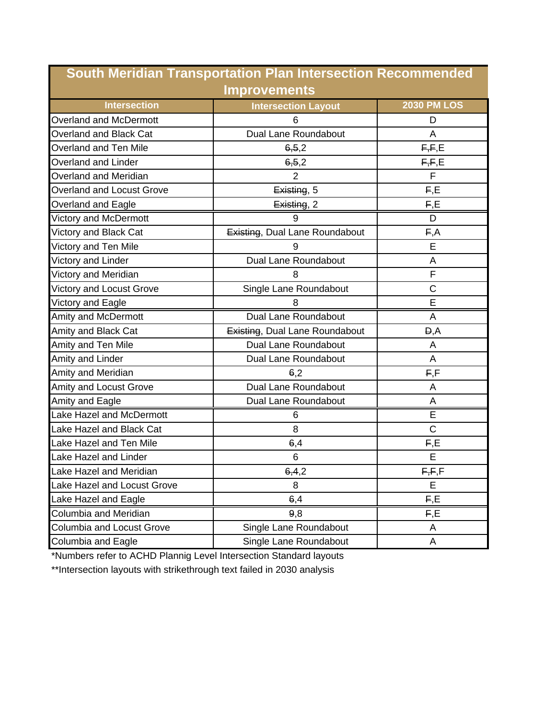|                                    | <b>South Meridian Transportation Plan Intersection Recommended</b> |                    |
|------------------------------------|--------------------------------------------------------------------|--------------------|
|                                    | <b>Improvements</b>                                                |                    |
| <b>Intersection</b>                | <b>Intersection Layout</b>                                         | <b>2030 PM LOS</b> |
| <b>Overland and McDermott</b>      | 6                                                                  | D                  |
| Overland and Black Cat             | Dual Lane Roundabout                                               | A                  |
| <b>Overland and Ten Mile</b>       | 6, 5, 2                                                            | F,F,E              |
| <b>Overland and Linder</b>         | 6, 5, 2                                                            | F,F,E              |
| Overland and Meridian              | $\overline{2}$                                                     | F                  |
| <b>Overland and Locust Grove</b>   | Existing, 5                                                        | F,E                |
| Overland and Eagle                 | Existing, 2                                                        | F, E               |
| Victory and McDermott              | 9                                                                  | D                  |
| Victory and Black Cat              | Existing, Dual Lane Roundabout                                     | E, A               |
| Victory and Ten Mile               |                                                                    | E                  |
| Victory and Linder                 | Dual Lane Roundabout                                               | A                  |
| Victory and Meridian               | 8                                                                  | F                  |
| <b>Victory and Locust Grove</b>    | Single Lane Roundabout                                             | $\mathsf C$        |
| Victory and Eagle                  | 8                                                                  | E                  |
| Amity and McDermott                | <b>Dual Lane Roundabout</b>                                        | A                  |
| Amity and Black Cat                | Existing, Dual Lane Roundabout                                     | D, A               |
| Amity and Ten Mile                 | Dual Lane Roundabout                                               | A                  |
| Amity and Linder                   | Dual Lane Roundabout                                               | A                  |
| Amity and Meridian                 | 6,2                                                                | F, F               |
| Amity and Locust Grove             | Dual Lane Roundabout                                               | Α                  |
| Amity and Eagle                    | Dual Lane Roundabout                                               | Α                  |
| Lake Hazel and McDermott           | 6                                                                  | E                  |
| Lake Hazel and Black Cat           | 8                                                                  | $\mathsf C$        |
| Lake Hazel and Ten Mile            | 6,4                                                                | F,E                |
| Lake Hazel and Linder              | 6                                                                  | E                  |
| Lake Hazel and Meridian            | 6,4,2                                                              | F,F,F              |
| <b>Lake Hazel and Locust Grove</b> | 8                                                                  | E                  |
| Lake Hazel and Eagle               | 6,4                                                                | F,E                |
| Columbia and Meridian              | 9,8                                                                | F,E                |
| <b>Columbia and Locust Grove</b>   | Single Lane Roundabout                                             | A                  |
| Columbia and Eagle                 | Single Lane Roundabout                                             | A                  |

\*Numbers refer to ACHD Plannig Level Intersection Standard layouts

\*\*Intersection layouts with strikethrough text failed in 2030 analysis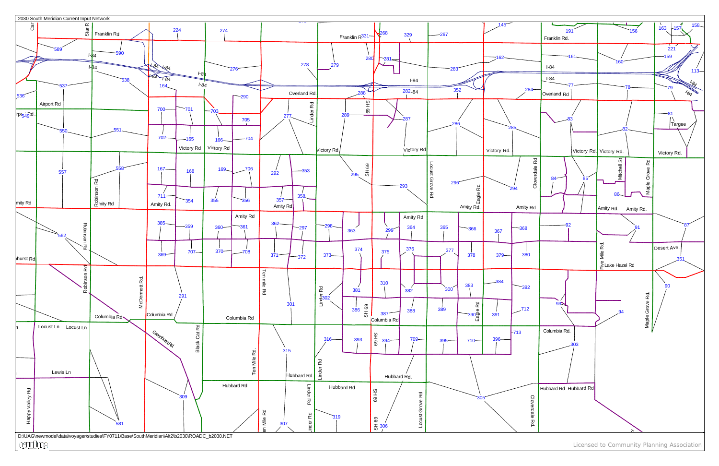

Licensed to Community Planning Association

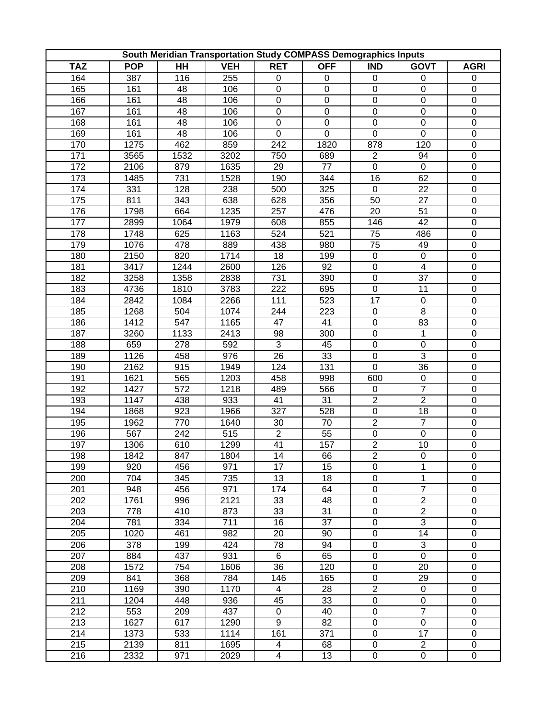|                  |            |                |            |                          | South Meridian Transportation Study COMPASS Demographics Inputs |                           |                         |                  |
|------------------|------------|----------------|------------|--------------------------|-----------------------------------------------------------------|---------------------------|-------------------------|------------------|
| <b>TAZ</b>       | <b>POP</b> | $\overline{H}$ | <b>VEH</b> | <b>RET</b>               | <b>OFF</b>                                                      | $\overline{\mathsf{IND}}$ | <b>GOVT</b>             | <b>AGRI</b>      |
| 164              | 387        | 116            | 255        | $\pmb{0}$                | 0                                                               | 0                         | $\pmb{0}$               | $\pmb{0}$        |
| 165              | 161        | 48             | 106        | $\pmb{0}$                | $\pmb{0}$                                                       | $\mathbf 0$               | $\boldsymbol{0}$        | $\pmb{0}$        |
| 166              | 161        | 48             | 106        | $\boldsymbol{0}$         | $\pmb{0}$                                                       | $\pmb{0}$                 | $\boldsymbol{0}$        | $\boldsymbol{0}$ |
| 167              | 161        | 48             | 106        | $\pmb{0}$                | $\pmb{0}$                                                       | $\pmb{0}$                 | $\boldsymbol{0}$        | $\boldsymbol{0}$ |
| 168              | 161        | 48             | 106        | $\pmb{0}$                | $\pmb{0}$                                                       | $\mathsf 0$               | $\pmb{0}$               | $\boldsymbol{0}$ |
| 169              | 161        | 48             | 106        | $\mathbf 0$              | $\boldsymbol{0}$                                                | $\pmb{0}$                 | $\pmb{0}$               | $\boldsymbol{0}$ |
| 170              | 1275       | 462            | 859        | 242                      | 1820                                                            | 878                       | 120                     | $\boldsymbol{0}$ |
| 171              | 3565       | 1532           | 3202       | 750                      | 689                                                             | $\overline{2}$            | 94                      | $\boldsymbol{0}$ |
| 172              | 2106       | 879            | 1635       | 29                       | 77                                                              | $\boldsymbol{0}$          | $\mathbf 0$             | $\boldsymbol{0}$ |
| 173              | 1485       | 731            | 1528       | 190                      | 344                                                             | 16                        | 62                      | $\boldsymbol{0}$ |
| 174              | 331        | 128            | 238        | 500                      | 325                                                             | $\pmb{0}$                 | 22                      | $\boldsymbol{0}$ |
| 175              | 811        | 343            | 638        | 628                      | 356                                                             | 50                        | 27                      | $\boldsymbol{0}$ |
| 176              | 1798       | 664            | 1235       | 257                      | 476                                                             | 20                        | 51                      | $\boldsymbol{0}$ |
| 177              | 2899       | 1064           | 1979       | 608                      | 855                                                             | 146                       | 42                      | $\pmb{0}$        |
| 178              | 1748       | 625            | 1163       | 524                      | 521                                                             | $7\overline{5}$           | 486                     | $\boldsymbol{0}$ |
| 179              | 1076       | 478            | 889        | 438                      | 980                                                             | 75                        | 49                      | $\boldsymbol{0}$ |
| 180              | 2150       | 820            | 1714       | 18                       | 199                                                             | $\pmb{0}$                 | $\pmb{0}$               | $\boldsymbol{0}$ |
| 181              | 3417       | 1244           | 2600       | 126                      | 92                                                              | $\pmb{0}$                 | $\overline{\mathbf{4}}$ | $\boldsymbol{0}$ |
| $\overline{182}$ | 3258       | 1358           | 2838       | 731                      | 390                                                             | $\pmb{0}$                 | 37                      | $\boldsymbol{0}$ |
| 183              | 4736       | 1810           | 3783       | 222                      | 695                                                             | $\pmb{0}$                 | 11                      | $\boldsymbol{0}$ |
| 184              | 2842       | 1084           | 2266       | 111                      | 523                                                             | 17                        | $\boldsymbol{0}$        | $\boldsymbol{0}$ |
| 185              | 1268       | 504            | 1074       | 244                      | 223                                                             | $\pmb{0}$                 | 8                       | $\overline{0}$   |
| 186              | 1412       | 547            | 1165       | 47                       | 41                                                              | $\pmb{0}$                 | 83                      | $\boldsymbol{0}$ |
| 187              | 3260       | 1133           | 2413       | 98                       | 300                                                             | $\pmb{0}$                 | $\mathbf{1}$            | $\boldsymbol{0}$ |
| 188              | 659        | 278            | 592        | 3                        | 45                                                              | $\pmb{0}$                 | $\boldsymbol{0}$        | $\boldsymbol{0}$ |
| 189              | 1126       | 458            | 976        | 26                       | 33                                                              | $\pmb{0}$                 | 3                       | $\boldsymbol{0}$ |
| 190              | 2162       | 915            | 1949       | 124                      | 131                                                             | $\mathbf 0$               | 36                      | $\boldsymbol{0}$ |
| 191              | 1621       | 565            | 1203       | 458                      | 998                                                             | 600                       | $\boldsymbol{0}$        | $\boldsymbol{0}$ |
| 192              | 1427       | 572            | 1218       | 489                      | 566                                                             | $\pmb{0}$                 | $\overline{7}$          | $\boldsymbol{0}$ |
| 193              | 1147       | 438            | 933        | 41                       | 31                                                              | $\overline{c}$            | $\overline{c}$          | $\boldsymbol{0}$ |
| 194              | 1868       | 923            | 1966       | 327                      | 528                                                             | $\pmb{0}$                 | 18                      | $\boldsymbol{0}$ |
| 195              | 1962       | 770            | 1640       | 30                       | 70                                                              | $\overline{2}$            | $\overline{7}$          | $\boldsymbol{0}$ |
| 196              | 567        | 242            | 515        | $\overline{2}$           | 55                                                              | $\pmb{0}$                 | 0                       | $\boldsymbol{0}$ |
| 197              | 1306       | 610            | 1299       | $\overline{41}$          | 157                                                             | $\overline{2}$            | 10                      | $\mathbf 0$      |
| 198              | 1842       | 847            | 1804       | 14                       | 66                                                              | $\overline{2}$            | $\overline{0}$          | $\overline{0}$   |
| 199              | 920        | 456            | 971        | 17                       | 15                                                              | 0                         | 1                       | 0                |
| 200              | 704        | 345            | 735        | 13                       | 18                                                              | $\pmb{0}$                 | 1                       | $\pmb{0}$        |
| 201              | 948        | 456            | 971        | 174                      | 64                                                              | $\boldsymbol{0}$          | $\overline{7}$          | $\boldsymbol{0}$ |
| 202              | 1761       | 996            | 2121       | 33                       | 48                                                              | $\pmb{0}$                 | $\overline{2}$          | $\pmb{0}$        |
| 203              | 778        | 410            | 873        | 33                       | 31                                                              | $\pmb{0}$                 | $\overline{2}$          | $\boldsymbol{0}$ |
| 204              | 781        | 334            | 711        | 16                       | 37                                                              | $\pmb{0}$                 | $\overline{3}$          | $\boldsymbol{0}$ |
| 205              | 1020       | 461            | 982        | 20                       | 90                                                              | $\pmb{0}$                 | 14                      | $\boldsymbol{0}$ |
| 206              | 378        | 199            | 424        | 78                       | 94                                                              | $\pmb{0}$                 | 3                       | $\boldsymbol{0}$ |
| 207              | 884        | 437            | 931        | 6                        | 65                                                              | $\pmb{0}$                 | $\pmb{0}$               | $\boldsymbol{0}$ |
| 208              | 1572       | 754            | 1606       | 36                       | 120                                                             | $\pmb{0}$                 | 20                      | $\boldsymbol{0}$ |
| 209              | 841        | 368            | 784        | 146                      | 165                                                             | $\pmb{0}$                 | 29                      | $\boldsymbol{0}$ |
| 210              | 1169       | 390            | 1170       | $\overline{4}$           | 28                                                              | $\overline{2}$            | $\boldsymbol{0}$        | $\boldsymbol{0}$ |
| 211              | 1204       | 448            | 936        | 45                       | 33                                                              | $\pmb{0}$                 | $\boldsymbol{0}$        | $\boldsymbol{0}$ |
| 212              | 553        | 209            | 437        | $\pmb{0}$                | 40                                                              | $\overline{0}$            | $\overline{7}$          | $\boldsymbol{0}$ |
| 213              | 1627       | 617            | 1290       | 9                        | 82                                                              | $\pmb{0}$                 | 0                       | $\pmb{0}$        |
| 214              | 1373       | 533            | 1114       | 161                      | 371                                                             | $\pmb{0}$                 | 17                      | $\pmb{0}$        |
| 215              | 2139       | 811            | 1695       | $\overline{\mathcal{A}}$ | 68                                                              | $\pmb{0}$                 | $\overline{c}$          | 0                |
| 216              | 2332       | 971            | 2029       | $\overline{4}$           | 13                                                              | $\pmb{0}$                 | $\pmb{0}$               | $\pmb{0}$        |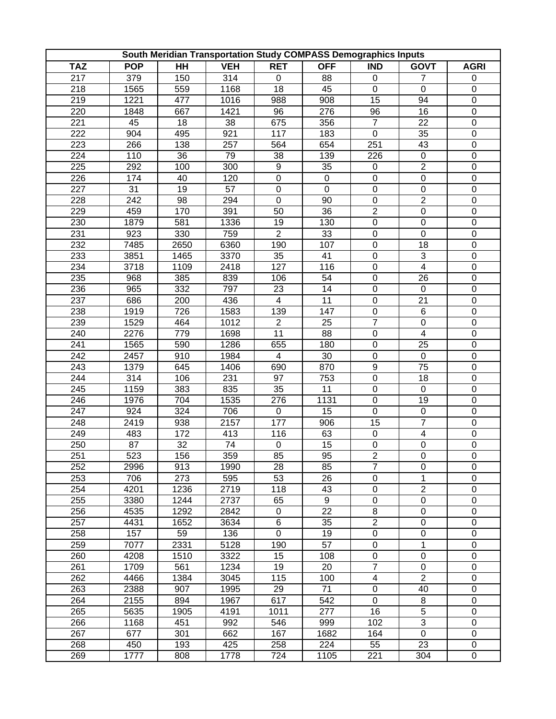|            |            |                | South Meridian Transportation Study COMPASS Demographics Inputs |                  |             |                           |                         |                  |
|------------|------------|----------------|-----------------------------------------------------------------|------------------|-------------|---------------------------|-------------------------|------------------|
| <b>TAZ</b> | <b>POP</b> | $\overline{H}$ | <b>VEH</b>                                                      | <b>RET</b>       | <b>OFF</b>  | $\overline{\mathsf{IND}}$ | <b>GOVT</b>             | <b>AGRI</b>      |
| 217        | 379        | 150            | 314                                                             | $\boldsymbol{0}$ | 88          | 0                         | 7                       | $\pmb{0}$        |
| 218        | 1565       | 559            | 1168                                                            | 18               | 45          | $\mathbf 0$               | $\pmb{0}$               | $\pmb{0}$        |
| 219        | 1221       | 477            | 1016                                                            | 988              | 908         | 15                        | 94                      | $\boldsymbol{0}$ |
| 220        | 1848       | 667            | 1421                                                            | 96               | 276         | 96                        | 16                      | $\boldsymbol{0}$ |
| 221        | 45         | 18             | 38                                                              | 675              | 356         | $\overline{7}$            | 22                      | $\boldsymbol{0}$ |
| 222        | 904        | 495            | 921                                                             | 117              | 183         | $\mathbf 0$               | 35                      | $\boldsymbol{0}$ |
| 223        | 266        | 138            | 257                                                             | 564              | 654         | 251                       | 43                      | $\boldsymbol{0}$ |
| 224        | 110        | 36             | 79                                                              | 38               | 139         | 226                       | $\pmb{0}$               | $\boldsymbol{0}$ |
| 225        | 292        | 100            | 300                                                             | 9                | 35          | $\mathbf 0$               | $\overline{2}$          | $\boldsymbol{0}$ |
| 226        | 174        | 40             | 120                                                             | $\overline{0}$   | $\mathbf 0$ | $\overline{0}$            | $\overline{0}$          | $\mathbf 0$      |
| 227        | 31         | 19             | 57                                                              | $\pmb{0}$        | $\mathbf 0$ | 0                         | 0                       | $\boldsymbol{0}$ |
| 228        | 242        | 98             | 294                                                             | $\mathbf 0$      | 90          | $\pmb{0}$                 | $\overline{2}$          | $\boldsymbol{0}$ |
| 229        | 459        | 170            | 391                                                             | 50               | 36          | $\overline{c}$            | $\boldsymbol{0}$        | $\boldsymbol{0}$ |
| 230        | 1879       | 581            | 1336                                                            | 19               | 130         | $\pmb{0}$                 | $\boldsymbol{0}$        | $\pmb{0}$        |
| 231        | 923        | 330            | 759                                                             | $\overline{2}$   | 33          | $\overline{0}$            | $\overline{0}$          | $\boldsymbol{0}$ |
| 232        | 7485       | 2650           | 6360                                                            | 190              | 107         | $\boldsymbol{0}$          | 18                      | $\boldsymbol{0}$ |
| 233        | 3851       | 1465           | 3370                                                            | 35               | 41          | $\pmb{0}$                 | 3                       | $\boldsymbol{0}$ |
| 234        | 3718       | 1109           | 2418                                                            | 127              | 116         | $\pmb{0}$                 | $\overline{4}$          | $\boldsymbol{0}$ |
| 235        | 968        | 385            | 839                                                             | 106              | 54          | $\pmb{0}$                 | 26                      | $\boldsymbol{0}$ |
| 236        | 965        | 332            | 797                                                             | 23               | 14          | $\pmb{0}$                 | $\pmb{0}$               | $\boldsymbol{0}$ |
| 237        | 686        | 200            | 436                                                             | $\overline{4}$   | 11          | $\boldsymbol{0}$          | 21                      | $\boldsymbol{0}$ |
| 238        | 1919       | 726            | 1583                                                            | 139              | 147         | $\pmb{0}$                 | $\,6$                   | $\overline{0}$   |
| 239        | 1529       | 464            | 1012                                                            | $\overline{c}$   | 25          | $\overline{7}$            | $\boldsymbol{0}$        | $\boldsymbol{0}$ |
| 240        | 2276       | 779            | 1698                                                            | 11               | 88          | $\pmb{0}$                 | $\overline{\mathbf{4}}$ | $\boldsymbol{0}$ |
| 241        | 1565       | 590            | 1286                                                            | 655              | 180         | $\pmb{0}$                 | 25                      | $\boldsymbol{0}$ |
| 242        | 2457       | 910            | 1984                                                            | 4                | 30          | $\boldsymbol{0}$          | $\pmb{0}$               | $\boldsymbol{0}$ |
| 243        | 1379       | 645            | 1406                                                            | 690              | 870         | 9                         | 75                      | $\boldsymbol{0}$ |
| 244        | 314        | 106            | 231                                                             | 97               | 753         | $\boldsymbol{0}$          | 18                      | $\boldsymbol{0}$ |
| 245        | 1159       | 383            | 835                                                             | 35               | 11          | $\pmb{0}$                 | $\pmb{0}$               | $\boldsymbol{0}$ |
| 246        | 1976       | 704            | 1535                                                            | 276              | 1131        | $\mathsf 0$               | 19                      | $\boldsymbol{0}$ |
| 247        | 924        | 324            | 706                                                             | $\boldsymbol{0}$ | 15          | $\mathbf 0$               | 0                       | $\boldsymbol{0}$ |
| 248        | 2419       | 938            | 2157                                                            | 177              | 906         | 15                        | $\overline{7}$          | $\boldsymbol{0}$ |
| 249        | 483        | 172            | 413                                                             | 116              | 63          | $\pmb{0}$                 | $\overline{\mathbf{4}}$ | $\boldsymbol{0}$ |
| 250        | 87         | 32             | 74                                                              | $\boldsymbol{0}$ | 15          | $\overline{0}$            | $\mathbf 0$             | $\mathbf 0$      |
| 251        | 523        | 156            | 359                                                             | 85               | 95          | $\overline{2}$            | $\overline{0}$          | $\overline{0}$   |
| 252        | 2996       | 913            | 1990                                                            | 28               | 85          | $\overline{7}$            | 0                       | 0                |
| 253        | 706        | 273            | 595                                                             | 53               | 26          | $\mathbf 0$               | 1                       | $\pmb{0}$        |
| 254        | 4201       | 1236           | 2719                                                            | 118              | 43          | $\boldsymbol{0}$          | $\overline{2}$          | $\pmb{0}$        |
| 255        | 3380       | 1244           | 2737                                                            | 65               | 9           | $\pmb{0}$                 | 0                       | $\pmb{0}$        |
| 256        | 4535       | 1292           | 2842                                                            | $\mathbf 0$      | 22          | $\,8\,$                   | $\pmb{0}$               | $\boldsymbol{0}$ |
| 257        | 4431       | 1652           | 3634                                                            | 6                | 35          | $\overline{2}$            | $\boldsymbol{0}$        | $\boldsymbol{0}$ |
| 258        | 157        | 59             | 136                                                             | $\pmb{0}$        | 19          | $\pmb{0}$                 | 0                       | $\pmb{0}$        |
| 259        | 7077       | 2331           | 5128                                                            | 190              | 57          | $\pmb{0}$                 | 1                       | $\pmb{0}$        |
| 260        | 4208       | 1510           | 3322                                                            | 15               | 108         | $\pmb{0}$                 | 0                       | $\boldsymbol{0}$ |
| 261        | 1709       | 561            | 1234                                                            | 19               | 20          | $\overline{7}$            | 0                       | $\boldsymbol{0}$ |
| 262        | 4466       | 1384           | 3045                                                            | 115              | 100         | $\overline{\mathbf{4}}$   | $\boldsymbol{2}$        | $\boldsymbol{0}$ |
| 263        | 2388       | 907            | 1995                                                            | 29               | 71          | $\pmb{0}$                 | 40                      | $\boldsymbol{0}$ |
| 264        | 2155       | 894            | 1967                                                            | 617              | 542         | $\mathbf 0$               | 8                       | $\boldsymbol{0}$ |
| 265        | 5635       | 1905           | 4191                                                            | 1011             | 277         | 16                        | $\overline{5}$          | $\boldsymbol{0}$ |
| 266        | 1168       | 451            | 992                                                             | 546              | 999         | 102                       | 3                       | $\pmb{0}$        |
| 267        | 677        | 301            | 662                                                             | 167              | 1682        | 164                       | 0                       | $\pmb{0}$        |
| 268        | 450        | 193            | 425                                                             | 258              | 224         | 55                        | 23                      | 0                |
| 269        | 1777       | 808            | 1778                                                            | 724              | 1105        | 221                       | 304                     | 0                |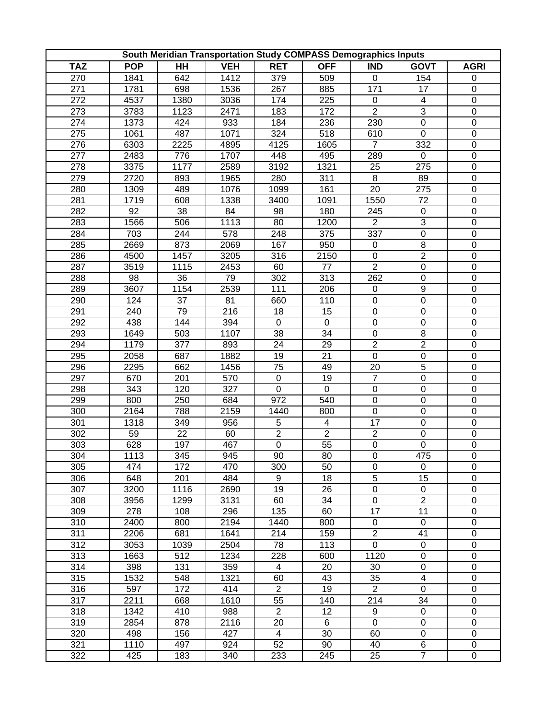|            |            |                  |            |                | South Meridian Transportation Study COMPASS Demographics Inputs |                  |                         |                  |
|------------|------------|------------------|------------|----------------|-----------------------------------------------------------------|------------------|-------------------------|------------------|
| <b>TAZ</b> | <b>POP</b> | $H$ H            | <b>VEH</b> | <b>RET</b>     | <b>OFF</b>                                                      | <b>IND</b>       | <b>GOVT</b>             | <b>AGRI</b>      |
| 270        | 1841       | 642              | 1412       | 379            | 509                                                             | 0                | 154                     | $\pmb{0}$        |
| 271        | 1781       | 698              | 1536       | 267            | 885                                                             | 171              | 17                      | $\pmb{0}$        |
| 272        | 4537       | 1380             | 3036       | 174            | 225                                                             | $\mathsf 0$      | $\overline{\mathbf{4}}$ | $\boldsymbol{0}$ |
| 273        | 3783       | 1123             | 2471       | 183            | 172                                                             | $\overline{2}$   | 3                       | $\boldsymbol{0}$ |
| 274        | 1373       | 424              | 933        | 184            | 236                                                             | 230              | 0                       | $\boldsymbol{0}$ |
| 275        | 1061       | 487              | 1071       | 324            | 518                                                             | 610              | $\mathbf 0$             | $\mathbf 0$      |
| 276        | 6303       | 2225             | 4895       | 4125           | 1605                                                            | $\overline{7}$   | 332                     | $\boldsymbol{0}$ |
| 277        | 2483       | 776              | 1707       | 448            | 495                                                             | 289              | $\mathbf 0$             | $\boldsymbol{0}$ |
| 278        | 3375       | 1177             | 2589       | 3192           | 1321                                                            | 25               | 275                     | $\boldsymbol{0}$ |
| 279        | 2720       | 893              | 1965       | 280            | 311                                                             | $\overline{8}$   | 89                      | $\mathbf 0$      |
| 280        | 1309       | 489              | 1076       | 1099           | 161                                                             | 20               | 275                     | $\boldsymbol{0}$ |
| 281        | 1719       | 608              | 1338       | 3400           | 1091                                                            | 1550             | 72                      | $\boldsymbol{0}$ |
| 282        | 92         | 38               | 84         | 98             | 180                                                             | 245              | $\boldsymbol{0}$        | $\boldsymbol{0}$ |
| 283        | 1566       | 506              | 1113       | 80             | 1200                                                            | $\overline{2}$   | 3                       | $\pmb{0}$        |
| 284        | 703        | 244              | 578        | 248            | 375                                                             | 337              | $\overline{0}$          | $\boldsymbol{0}$ |
| 285        | 2669       | 873              | 2069       | 167            | 950                                                             | $\boldsymbol{0}$ | $\overline{8}$          | $\boldsymbol{0}$ |
| 286        | 4500       | 1457             | 3205       | 316            | 2150                                                            | $\pmb{0}$        | $\overline{2}$          | $\boldsymbol{0}$ |
| 287        | 3519       | 1115             | 2453       | 60             | 77                                                              | $\overline{2}$   | $\pmb{0}$               | $\boldsymbol{0}$ |
| 288        | 98         | 36               | 79         | 302            | 313                                                             | 262              | $\boldsymbol{0}$        | $\boldsymbol{0}$ |
| 289        | 3607       | 1154             | 2539       | 111            | 206                                                             | $\pmb{0}$        | 9                       | $\boldsymbol{0}$ |
| 290        | 124        | 37               | 81         | 660            | 110                                                             | $\boldsymbol{0}$ | $\mathbf 0$             | $\mathbf 0$      |
| 291        | 240        | 79               | 216        | 18             | 15                                                              | $\boldsymbol{0}$ | $\boldsymbol{0}$        | $\overline{0}$   |
| 292        | 438        | 144              | 394        | $\mathbf 0$    | $\pmb{0}$                                                       | $\pmb{0}$        | $\boldsymbol{0}$        | $\mathbf 0$      |
| 293        | 1649       | 503              | 1107       | 38             | 34                                                              | $\pmb{0}$        | 8                       | $\boldsymbol{0}$ |
| 294        | 1179       | 377              | 893        | 24             | 29                                                              | $\overline{2}$   | $\overline{c}$          | $\boldsymbol{0}$ |
| 295        | 2058       | 687              | 1882       | 19             | 21                                                              | $\boldsymbol{0}$ | $\pmb{0}$               | $\boldsymbol{0}$ |
| 296        | 2295       | 662              | 1456       | 75             | 49                                                              | 20               | 5                       | $\boldsymbol{0}$ |
| 297        | 670        | 201              | 570        | $\pmb{0}$      | 19                                                              | $\overline{7}$   | $\overline{0}$          | $\boldsymbol{0}$ |
| 298        | 343        | 120              | 327        | $\mathbf 0$    | 0                                                               | $\pmb{0}$        | 0                       | $\boldsymbol{0}$ |
| 299        | 800        | 250              | 684        | 972            | 540                                                             | $\pmb{0}$        | $\boldsymbol{0}$        | $\boldsymbol{0}$ |
| 300        | 2164       | 788              | 2159       | 1440           | 800                                                             | $\pmb{0}$        | 0                       | $\boldsymbol{0}$ |
| 301        | 1318       | 349              | 956        | 5              | $\overline{\mathbf{4}}$                                         | 17               | 0                       | $\boldsymbol{0}$ |
| 302        | 59         | 22               | 60         | $\overline{2}$ | $\overline{2}$                                                  | $\overline{2}$   | 0                       | $\boldsymbol{0}$ |
| 303        | 628        | 197              | 467        | $\overline{0}$ | 55                                                              | $\overline{0}$   | $\mathbf 0$             | $\mathbf 0$      |
| 304        | 1113       | $\overline{345}$ | 945        | $90\,$         | 80                                                              | $\overline{0}$   | 475                     | $\overline{0}$   |
| 305        | 474        | 172              | 470        | 300            | 50                                                              | 0                | 0                       | 0                |
| 306        | 648        | 201              | 484        | 9              | 18                                                              | 5                | 15                      | $\pmb{0}$        |
| 307        | 3200       | 1116             | 2690       | 19             | 26                                                              | $\boldsymbol{0}$ | 0                       | $\pmb{0}$        |
| 308        | 3956       | 1299             | 3131       | 60             | 34                                                              | $\pmb{0}$        | $\overline{2}$          | $\pmb{0}$        |
| 309        | 278        | 108              | 296        | 135            | 60                                                              | 17               | 11                      | $\boldsymbol{0}$ |
| 310        | 2400       | 800              | 2194       | 1440           | 800                                                             | $\pmb{0}$        | $\pmb{0}$               | $\boldsymbol{0}$ |
| 311        | 2206       | 681              | 1641       | 214            | 159                                                             | $\overline{2}$   | 41                      | 0                |
| 312        | 3053       | 1039             | 2504       | 78             | 113                                                             | $\mathbf 0$      | $\pmb{0}$               | $\pmb{0}$        |
| 313        | 1663       | 512              | 1234       | 228            | 600                                                             | 1120             | $\pmb{0}$               | $\boldsymbol{0}$ |
| 314        | 398        | 131              | 359        | 4              | 20                                                              | 30               | $\pmb{0}$               | $\boldsymbol{0}$ |
| 315        | 1532       | 548              | 1321       | 60             | 43                                                              | 35               | $\overline{\mathbf{4}}$ | $\boldsymbol{0}$ |
| 316        | 597        | 172              | 414        | $\overline{2}$ | 19                                                              | $\overline{2}$   | $\mathbf 0$             | $\boldsymbol{0}$ |
| 317        | 2211       | 668              | 1610       | 55             | 140                                                             | 214              | 34                      | $\boldsymbol{0}$ |
| 318        | 1342       | 410              | 988        | $\overline{2}$ | 12                                                              | 9                | $\boldsymbol{0}$        | $\boldsymbol{0}$ |
| 319        | 2854       | 878              | 2116       | 20             | 6                                                               | $\mathbf 0$      | $\pmb{0}$               | $\pmb{0}$        |
| 320        | 498        | 156              | 427        | 4              | 30                                                              | 60               | 0                       | 0                |
| 321        | 1110       | 497              | 924        | 52             | 90                                                              | 40               | 6                       | 0                |
| 322        | 425        | 183              | 340        | 233            | 245                                                             | 25               | $\overline{7}$          | $\pmb{0}$        |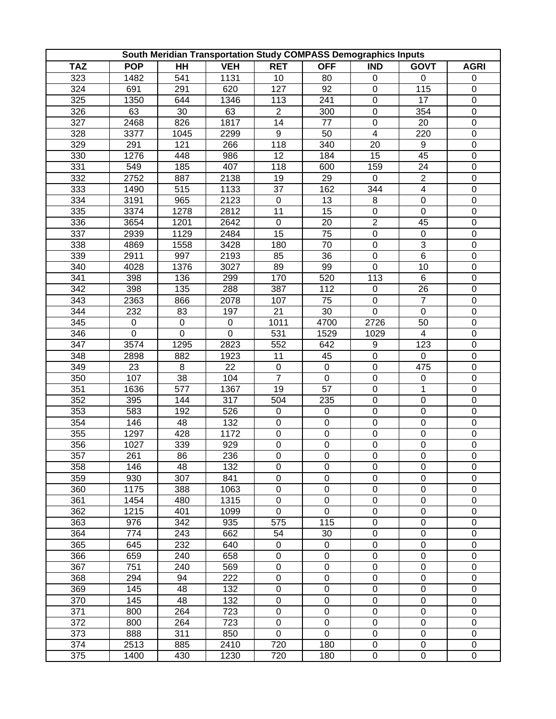| <b>TAZ</b><br><b>POP</b><br>$H$ H<br><b>VEH</b><br><b>RET</b><br><b>OFF</b><br>$\overline{\mathsf{IND}}$<br><b>GOVT</b><br><b>AGRI</b><br>323<br>1131<br>1482<br>541<br>10<br>80<br>0<br>0<br>$\pmb{0}$<br>324<br>691<br>291<br>620<br>127<br>92<br>$\pmb{0}$<br>115<br>0<br>325<br>$\pmb{0}$<br>17<br>$\boldsymbol{0}$<br>1350<br>644<br>1346<br>113<br>241<br>326<br>$\overline{2}$<br>63<br>30<br>63<br>300<br>$\pmb{0}$<br>354<br>$\boldsymbol{0}$<br>327<br>2468<br>826<br>1817<br>14<br>77<br>$\pmb{0}$<br>20<br>$\boldsymbol{0}$<br>328<br>9<br>$\overline{\mathbf{4}}$<br>3377<br>1045<br>2299<br>50<br>220<br>$\boldsymbol{0}$<br>329<br>118<br>291<br>121<br>266<br>340<br>20<br>9<br>$\boldsymbol{0}$<br>330<br>1276<br>448<br>986<br>12<br>184<br>15<br>45<br>$\boldsymbol{0}$<br>331<br>549<br>185<br>407<br>118<br>600<br>159<br>24<br>$\boldsymbol{0}$<br>332<br>$\overline{2}$<br>2752<br>2138<br>$\overline{29}$<br>887<br>19<br>$\mathbf 0$<br>$\mathbf 0$<br>333<br>515<br>37<br>1133<br>162<br>344<br>$\overline{\mathbf{4}}$<br>$\boldsymbol{0}$<br>1490<br>334<br>3191<br>965<br>2123<br>13<br>$\bf 8$<br>$\pmb{0}$<br>$\boldsymbol{0}$<br>$\pmb{0}$<br>335<br>3374<br>1278<br>2812<br>11<br>15<br>$\boldsymbol{0}$<br>$\boldsymbol{0}$<br>$\boldsymbol{0}$<br>$\overline{2}$<br>336<br>3654<br>1201<br>2642<br>$\pmb{0}$<br>20<br>45<br>$\pmb{0}$<br>$\overline{0}$<br>337<br>1129<br>2484<br>15<br>75<br>$\pmb{0}$<br>$\boldsymbol{0}$<br>2939<br>$\overline{3}$<br>338<br>3428<br>$\pmb{0}$<br>$\boldsymbol{0}$<br>4869<br>1558<br>180<br>70<br>$\overline{6}$<br>339<br>997<br>$\pmb{0}$<br>$\boldsymbol{0}$<br>2911<br>2193<br>85<br>36<br>340<br>$\pmb{0}$<br>4028<br>1376<br>3027<br>89<br>99<br>10<br>$\boldsymbol{0}$<br>$\boldsymbol{0}$<br>341<br>398<br>136<br>299<br>170<br>520<br>113<br>6<br>342<br>288<br>398<br>135<br>387<br>26<br>$\boldsymbol{0}$<br>112<br>$\pmb{0}$<br>$\overline{7}$<br>$\mathbf 0$<br>343<br>866<br>107<br>75<br>$\pmb{0}$<br>2363<br>2078<br>$\overline{0}$<br>$\overline{0}$<br>344<br>232<br>30<br>83<br>197<br>21<br>$\pmb{0}$<br>345<br>$\mathbf 0$<br>4700<br>2726<br>50<br>$\pmb{0}$<br>$\mathbf 0$<br>$\pmb{0}$<br>1011<br>$\mathbf 0$<br>$\boldsymbol{0}$<br>$\boldsymbol{0}$<br>531<br>$\boldsymbol{0}$<br>346<br>1529<br>1029<br>$\overline{\mathbf{4}}$<br>347<br>3574<br>1295<br>2823<br>$\boldsymbol{0}$<br>552<br>642<br>9<br>123<br>348<br>2898<br>882<br>1923<br>0<br>11<br>45<br>$\pmb{0}$<br>$\pmb{0}$<br>23<br>22<br>349<br>8<br>$\pmb{0}$<br>$\pmb{0}$<br>0<br>$\boldsymbol{0}$<br>475<br>$\overline{7}$<br>350<br>38<br>$\pmb{0}$<br>$\boldsymbol{0}$<br>$\boldsymbol{0}$<br>107<br>104<br>$\pmb{0}$<br>351<br>577<br>1636<br>1367<br>19<br>57<br>$\pmb{0}$<br>1<br>$\boldsymbol{0}$<br>352<br>395<br>144<br>317<br>235<br>$\pmb{0}$<br>$\pmb{0}$<br>$\boldsymbol{0}$<br>504<br>353<br>$\pmb{0}$<br>0<br>583<br>192<br>526<br>$\pmb{0}$<br>0<br>$\boldsymbol{0}$<br>354<br>146<br>48<br>132<br>$\boldsymbol{0}$<br>0<br>$\boldsymbol{0}$<br>$\boldsymbol{0}$<br>$\boldsymbol{0}$<br>355<br>1297<br>428<br>1172<br>$\boldsymbol{0}$<br>0<br>0<br>$\boldsymbol{0}$<br>$\boldsymbol{0}$<br>$\overline{0}$<br>$\overline{0}$<br>$\overline{0}$<br>356<br>$\mathsf 0$<br>$\boldsymbol{0}$<br>1027<br>339<br>929<br>$\overline{357}$<br>261<br>86<br>236<br>$\overline{0}$<br>$\overline{0}$<br>$\overline{0}$<br>$\overline{0}$<br>$\overline{0}$<br>358<br>$\mathbf 0$<br>0<br>$\mathbf 0$<br>0<br>48<br>132<br>0<br>146<br>359<br>307<br>0<br>$\boldsymbol{0}$<br>$\boldsymbol{0}$<br>930<br>841<br>0<br>$\pmb{0}$<br>360<br>1175<br>$\boldsymbol{0}$<br>0<br>$\boldsymbol{0}$<br>$\boldsymbol{0}$<br>$\boldsymbol{0}$<br>388<br>1063<br>361<br>1454<br>480<br>$\mathbf 0$<br>0<br>1315<br>0<br>0<br>$\pmb{0}$<br>362<br>$\pmb{0}$<br>0<br>$\mathbf 0$<br>$\boldsymbol{0}$<br>1215<br>401<br>1099<br>$\boldsymbol{0}$<br>363<br>$\pmb{0}$<br>$\boldsymbol{0}$<br>976<br>342<br>935<br>115<br>$\boldsymbol{0}$<br>575<br>364<br>774<br>243<br>662<br>$\pmb{0}$<br>0<br>$\boldsymbol{0}$<br>54<br>30<br>365<br>232<br>$\pmb{0}$<br>$\pmb{0}$<br>$\pmb{0}$<br>0<br>$\boldsymbol{0}$<br>645<br>640<br>$\pmb{0}$<br>$\pmb{0}$<br>$\pmb{0}$<br>$\boldsymbol{0}$<br>$\boldsymbol{0}$<br>366<br>240<br>658<br>659<br>$\pmb{0}$<br>367<br>751<br>240<br>569<br>0<br>0<br>$\boldsymbol{0}$<br>$\boldsymbol{0}$<br>$\mathbf 0$<br>$\mathsf 0$<br>$\boldsymbol{0}$<br>$\boldsymbol{0}$<br>$\boldsymbol{0}$<br>368<br>294<br>94<br>222<br>$\overline{0}$<br>$\overline{0}$<br>369<br>$\mathbf 0$<br>$\boldsymbol{0}$<br>$\boldsymbol{0}$<br>132<br>145<br>48<br>$\mathbf 0$<br>$\mathbf 0$<br>370<br>$\pmb{0}$<br>0<br>$\boldsymbol{0}$<br>145<br>48<br>132<br>$\overline{0}$<br>$\overline{0}$<br>$\overline{0}$<br>371<br>$\mathbf 0$<br>$\boldsymbol{0}$<br>264<br>723<br>800<br>372<br>$\pmb{0}$<br>0<br>$\pmb{0}$<br>$\boldsymbol{0}$<br>$\boldsymbol{0}$<br>800<br>264<br>723<br>373<br>$\pmb{0}$<br>0<br>0<br>0<br>888<br>311<br>850<br>$\pmb{0}$<br>374<br>2410<br>720<br>180<br>$\pmb{0}$<br>$\boldsymbol{0}$<br>2513<br>885<br>$\pmb{0}$<br>375<br>1400<br>430<br>1230<br>720<br>180<br>$\pmb{0}$<br>$\pmb{0}$<br>$\pmb{0}$ |  |  | South Meridian Transportation Study COMPASS Demographics Inputs |  |  |
|-----------------------------------------------------------------------------------------------------------------------------------------------------------------------------------------------------------------------------------------------------------------------------------------------------------------------------------------------------------------------------------------------------------------------------------------------------------------------------------------------------------------------------------------------------------------------------------------------------------------------------------------------------------------------------------------------------------------------------------------------------------------------------------------------------------------------------------------------------------------------------------------------------------------------------------------------------------------------------------------------------------------------------------------------------------------------------------------------------------------------------------------------------------------------------------------------------------------------------------------------------------------------------------------------------------------------------------------------------------------------------------------------------------------------------------------------------------------------------------------------------------------------------------------------------------------------------------------------------------------------------------------------------------------------------------------------------------------------------------------------------------------------------------------------------------------------------------------------------------------------------------------------------------------------------------------------------------------------------------------------------------------------------------------------------------------------------------------------------------------------------------------------------------------------------------------------------------------------------------------------------------------------------------------------------------------------------------------------------------------------------------------------------------------------------------------------------------------------------------------------------------------------------------------------------------------------------------------------------------------------------------------------------------------------------------------------------------------------------------------------------------------------------------------------------------------------------------------------------------------------------------------------------------------------------------------------------------------------------------------------------------------------------------------------------------------------------------------------------------------------------------------------------------------------------------------------------------------------------------------------------------------------------------------------------------------------------------------------------------------------------------------------------------------------------------------------------------------------------------------------------------------------------------------------------------------------------------------------------------------------------------------------------------------------------------------------------------------------------------------------------------------------------------------------------------------------------------------------------------------------------------------------------------------------------------------------------------------------------------------------------------------------------------------------------------------------------------------------------------------------------------------------------------------------------------------------------------------------------------------------------------------------------------------------------------------------------------------------------------------------------------------------------------------------------------------------------------------------------------------------------------------------------------------------------------------------------------------------------------------------------------------------------------------------------------------------------------------------------------------------------------------------------------------------------------------------------------------------------------------------------------------------------------------------------------------------------------------------------------------------------------------------------------------------------------------------------------------------------------------------------------------------------------------------------------------------------------|--|--|-----------------------------------------------------------------|--|--|
|                                                                                                                                                                                                                                                                                                                                                                                                                                                                                                                                                                                                                                                                                                                                                                                                                                                                                                                                                                                                                                                                                                                                                                                                                                                                                                                                                                                                                                                                                                                                                                                                                                                                                                                                                                                                                                                                                                                                                                                                                                                                                                                                                                                                                                                                                                                                                                                                                                                                                                                                                                                                                                                                                                                                                                                                                                                                                                                                                                                                                                                                                                                                                                                                                                                                                                                                                                                                                                                                                                                                                                                                                                                                                                                                                                                                                                                                                                                                                                                                                                                                                                                                                                                                                                                                                                                                                                                                                                                                                                                                                                                                                                                                                                                                                                                                                                                                                                                                                                                                                                                                                                                                                                                                           |  |  |                                                                 |  |  |
|                                                                                                                                                                                                                                                                                                                                                                                                                                                                                                                                                                                                                                                                                                                                                                                                                                                                                                                                                                                                                                                                                                                                                                                                                                                                                                                                                                                                                                                                                                                                                                                                                                                                                                                                                                                                                                                                                                                                                                                                                                                                                                                                                                                                                                                                                                                                                                                                                                                                                                                                                                                                                                                                                                                                                                                                                                                                                                                                                                                                                                                                                                                                                                                                                                                                                                                                                                                                                                                                                                                                                                                                                                                                                                                                                                                                                                                                                                                                                                                                                                                                                                                                                                                                                                                                                                                                                                                                                                                                                                                                                                                                                                                                                                                                                                                                                                                                                                                                                                                                                                                                                                                                                                                                           |  |  |                                                                 |  |  |
|                                                                                                                                                                                                                                                                                                                                                                                                                                                                                                                                                                                                                                                                                                                                                                                                                                                                                                                                                                                                                                                                                                                                                                                                                                                                                                                                                                                                                                                                                                                                                                                                                                                                                                                                                                                                                                                                                                                                                                                                                                                                                                                                                                                                                                                                                                                                                                                                                                                                                                                                                                                                                                                                                                                                                                                                                                                                                                                                                                                                                                                                                                                                                                                                                                                                                                                                                                                                                                                                                                                                                                                                                                                                                                                                                                                                                                                                                                                                                                                                                                                                                                                                                                                                                                                                                                                                                                                                                                                                                                                                                                                                                                                                                                                                                                                                                                                                                                                                                                                                                                                                                                                                                                                                           |  |  |                                                                 |  |  |
|                                                                                                                                                                                                                                                                                                                                                                                                                                                                                                                                                                                                                                                                                                                                                                                                                                                                                                                                                                                                                                                                                                                                                                                                                                                                                                                                                                                                                                                                                                                                                                                                                                                                                                                                                                                                                                                                                                                                                                                                                                                                                                                                                                                                                                                                                                                                                                                                                                                                                                                                                                                                                                                                                                                                                                                                                                                                                                                                                                                                                                                                                                                                                                                                                                                                                                                                                                                                                                                                                                                                                                                                                                                                                                                                                                                                                                                                                                                                                                                                                                                                                                                                                                                                                                                                                                                                                                                                                                                                                                                                                                                                                                                                                                                                                                                                                                                                                                                                                                                                                                                                                                                                                                                                           |  |  |                                                                 |  |  |
|                                                                                                                                                                                                                                                                                                                                                                                                                                                                                                                                                                                                                                                                                                                                                                                                                                                                                                                                                                                                                                                                                                                                                                                                                                                                                                                                                                                                                                                                                                                                                                                                                                                                                                                                                                                                                                                                                                                                                                                                                                                                                                                                                                                                                                                                                                                                                                                                                                                                                                                                                                                                                                                                                                                                                                                                                                                                                                                                                                                                                                                                                                                                                                                                                                                                                                                                                                                                                                                                                                                                                                                                                                                                                                                                                                                                                                                                                                                                                                                                                                                                                                                                                                                                                                                                                                                                                                                                                                                                                                                                                                                                                                                                                                                                                                                                                                                                                                                                                                                                                                                                                                                                                                                                           |  |  |                                                                 |  |  |
|                                                                                                                                                                                                                                                                                                                                                                                                                                                                                                                                                                                                                                                                                                                                                                                                                                                                                                                                                                                                                                                                                                                                                                                                                                                                                                                                                                                                                                                                                                                                                                                                                                                                                                                                                                                                                                                                                                                                                                                                                                                                                                                                                                                                                                                                                                                                                                                                                                                                                                                                                                                                                                                                                                                                                                                                                                                                                                                                                                                                                                                                                                                                                                                                                                                                                                                                                                                                                                                                                                                                                                                                                                                                                                                                                                                                                                                                                                                                                                                                                                                                                                                                                                                                                                                                                                                                                                                                                                                                                                                                                                                                                                                                                                                                                                                                                                                                                                                                                                                                                                                                                                                                                                                                           |  |  |                                                                 |  |  |
|                                                                                                                                                                                                                                                                                                                                                                                                                                                                                                                                                                                                                                                                                                                                                                                                                                                                                                                                                                                                                                                                                                                                                                                                                                                                                                                                                                                                                                                                                                                                                                                                                                                                                                                                                                                                                                                                                                                                                                                                                                                                                                                                                                                                                                                                                                                                                                                                                                                                                                                                                                                                                                                                                                                                                                                                                                                                                                                                                                                                                                                                                                                                                                                                                                                                                                                                                                                                                                                                                                                                                                                                                                                                                                                                                                                                                                                                                                                                                                                                                                                                                                                                                                                                                                                                                                                                                                                                                                                                                                                                                                                                                                                                                                                                                                                                                                                                                                                                                                                                                                                                                                                                                                                                           |  |  |                                                                 |  |  |
|                                                                                                                                                                                                                                                                                                                                                                                                                                                                                                                                                                                                                                                                                                                                                                                                                                                                                                                                                                                                                                                                                                                                                                                                                                                                                                                                                                                                                                                                                                                                                                                                                                                                                                                                                                                                                                                                                                                                                                                                                                                                                                                                                                                                                                                                                                                                                                                                                                                                                                                                                                                                                                                                                                                                                                                                                                                                                                                                                                                                                                                                                                                                                                                                                                                                                                                                                                                                                                                                                                                                                                                                                                                                                                                                                                                                                                                                                                                                                                                                                                                                                                                                                                                                                                                                                                                                                                                                                                                                                                                                                                                                                                                                                                                                                                                                                                                                                                                                                                                                                                                                                                                                                                                                           |  |  |                                                                 |  |  |
|                                                                                                                                                                                                                                                                                                                                                                                                                                                                                                                                                                                                                                                                                                                                                                                                                                                                                                                                                                                                                                                                                                                                                                                                                                                                                                                                                                                                                                                                                                                                                                                                                                                                                                                                                                                                                                                                                                                                                                                                                                                                                                                                                                                                                                                                                                                                                                                                                                                                                                                                                                                                                                                                                                                                                                                                                                                                                                                                                                                                                                                                                                                                                                                                                                                                                                                                                                                                                                                                                                                                                                                                                                                                                                                                                                                                                                                                                                                                                                                                                                                                                                                                                                                                                                                                                                                                                                                                                                                                                                                                                                                                                                                                                                                                                                                                                                                                                                                                                                                                                                                                                                                                                                                                           |  |  |                                                                 |  |  |
|                                                                                                                                                                                                                                                                                                                                                                                                                                                                                                                                                                                                                                                                                                                                                                                                                                                                                                                                                                                                                                                                                                                                                                                                                                                                                                                                                                                                                                                                                                                                                                                                                                                                                                                                                                                                                                                                                                                                                                                                                                                                                                                                                                                                                                                                                                                                                                                                                                                                                                                                                                                                                                                                                                                                                                                                                                                                                                                                                                                                                                                                                                                                                                                                                                                                                                                                                                                                                                                                                                                                                                                                                                                                                                                                                                                                                                                                                                                                                                                                                                                                                                                                                                                                                                                                                                                                                                                                                                                                                                                                                                                                                                                                                                                                                                                                                                                                                                                                                                                                                                                                                                                                                                                                           |  |  |                                                                 |  |  |
|                                                                                                                                                                                                                                                                                                                                                                                                                                                                                                                                                                                                                                                                                                                                                                                                                                                                                                                                                                                                                                                                                                                                                                                                                                                                                                                                                                                                                                                                                                                                                                                                                                                                                                                                                                                                                                                                                                                                                                                                                                                                                                                                                                                                                                                                                                                                                                                                                                                                                                                                                                                                                                                                                                                                                                                                                                                                                                                                                                                                                                                                                                                                                                                                                                                                                                                                                                                                                                                                                                                                                                                                                                                                                                                                                                                                                                                                                                                                                                                                                                                                                                                                                                                                                                                                                                                                                                                                                                                                                                                                                                                                                                                                                                                                                                                                                                                                                                                                                                                                                                                                                                                                                                                                           |  |  |                                                                 |  |  |
|                                                                                                                                                                                                                                                                                                                                                                                                                                                                                                                                                                                                                                                                                                                                                                                                                                                                                                                                                                                                                                                                                                                                                                                                                                                                                                                                                                                                                                                                                                                                                                                                                                                                                                                                                                                                                                                                                                                                                                                                                                                                                                                                                                                                                                                                                                                                                                                                                                                                                                                                                                                                                                                                                                                                                                                                                                                                                                                                                                                                                                                                                                                                                                                                                                                                                                                                                                                                                                                                                                                                                                                                                                                                                                                                                                                                                                                                                                                                                                                                                                                                                                                                                                                                                                                                                                                                                                                                                                                                                                                                                                                                                                                                                                                                                                                                                                                                                                                                                                                                                                                                                                                                                                                                           |  |  |                                                                 |  |  |
|                                                                                                                                                                                                                                                                                                                                                                                                                                                                                                                                                                                                                                                                                                                                                                                                                                                                                                                                                                                                                                                                                                                                                                                                                                                                                                                                                                                                                                                                                                                                                                                                                                                                                                                                                                                                                                                                                                                                                                                                                                                                                                                                                                                                                                                                                                                                                                                                                                                                                                                                                                                                                                                                                                                                                                                                                                                                                                                                                                                                                                                                                                                                                                                                                                                                                                                                                                                                                                                                                                                                                                                                                                                                                                                                                                                                                                                                                                                                                                                                                                                                                                                                                                                                                                                                                                                                                                                                                                                                                                                                                                                                                                                                                                                                                                                                                                                                                                                                                                                                                                                                                                                                                                                                           |  |  |                                                                 |  |  |
|                                                                                                                                                                                                                                                                                                                                                                                                                                                                                                                                                                                                                                                                                                                                                                                                                                                                                                                                                                                                                                                                                                                                                                                                                                                                                                                                                                                                                                                                                                                                                                                                                                                                                                                                                                                                                                                                                                                                                                                                                                                                                                                                                                                                                                                                                                                                                                                                                                                                                                                                                                                                                                                                                                                                                                                                                                                                                                                                                                                                                                                                                                                                                                                                                                                                                                                                                                                                                                                                                                                                                                                                                                                                                                                                                                                                                                                                                                                                                                                                                                                                                                                                                                                                                                                                                                                                                                                                                                                                                                                                                                                                                                                                                                                                                                                                                                                                                                                                                                                                                                                                                                                                                                                                           |  |  |                                                                 |  |  |
|                                                                                                                                                                                                                                                                                                                                                                                                                                                                                                                                                                                                                                                                                                                                                                                                                                                                                                                                                                                                                                                                                                                                                                                                                                                                                                                                                                                                                                                                                                                                                                                                                                                                                                                                                                                                                                                                                                                                                                                                                                                                                                                                                                                                                                                                                                                                                                                                                                                                                                                                                                                                                                                                                                                                                                                                                                                                                                                                                                                                                                                                                                                                                                                                                                                                                                                                                                                                                                                                                                                                                                                                                                                                                                                                                                                                                                                                                                                                                                                                                                                                                                                                                                                                                                                                                                                                                                                                                                                                                                                                                                                                                                                                                                                                                                                                                                                                                                                                                                                                                                                                                                                                                                                                           |  |  |                                                                 |  |  |
|                                                                                                                                                                                                                                                                                                                                                                                                                                                                                                                                                                                                                                                                                                                                                                                                                                                                                                                                                                                                                                                                                                                                                                                                                                                                                                                                                                                                                                                                                                                                                                                                                                                                                                                                                                                                                                                                                                                                                                                                                                                                                                                                                                                                                                                                                                                                                                                                                                                                                                                                                                                                                                                                                                                                                                                                                                                                                                                                                                                                                                                                                                                                                                                                                                                                                                                                                                                                                                                                                                                                                                                                                                                                                                                                                                                                                                                                                                                                                                                                                                                                                                                                                                                                                                                                                                                                                                                                                                                                                                                                                                                                                                                                                                                                                                                                                                                                                                                                                                                                                                                                                                                                                                                                           |  |  |                                                                 |  |  |
|                                                                                                                                                                                                                                                                                                                                                                                                                                                                                                                                                                                                                                                                                                                                                                                                                                                                                                                                                                                                                                                                                                                                                                                                                                                                                                                                                                                                                                                                                                                                                                                                                                                                                                                                                                                                                                                                                                                                                                                                                                                                                                                                                                                                                                                                                                                                                                                                                                                                                                                                                                                                                                                                                                                                                                                                                                                                                                                                                                                                                                                                                                                                                                                                                                                                                                                                                                                                                                                                                                                                                                                                                                                                                                                                                                                                                                                                                                                                                                                                                                                                                                                                                                                                                                                                                                                                                                                                                                                                                                                                                                                                                                                                                                                                                                                                                                                                                                                                                                                                                                                                                                                                                                                                           |  |  |                                                                 |  |  |
|                                                                                                                                                                                                                                                                                                                                                                                                                                                                                                                                                                                                                                                                                                                                                                                                                                                                                                                                                                                                                                                                                                                                                                                                                                                                                                                                                                                                                                                                                                                                                                                                                                                                                                                                                                                                                                                                                                                                                                                                                                                                                                                                                                                                                                                                                                                                                                                                                                                                                                                                                                                                                                                                                                                                                                                                                                                                                                                                                                                                                                                                                                                                                                                                                                                                                                                                                                                                                                                                                                                                                                                                                                                                                                                                                                                                                                                                                                                                                                                                                                                                                                                                                                                                                                                                                                                                                                                                                                                                                                                                                                                                                                                                                                                                                                                                                                                                                                                                                                                                                                                                                                                                                                                                           |  |  |                                                                 |  |  |
|                                                                                                                                                                                                                                                                                                                                                                                                                                                                                                                                                                                                                                                                                                                                                                                                                                                                                                                                                                                                                                                                                                                                                                                                                                                                                                                                                                                                                                                                                                                                                                                                                                                                                                                                                                                                                                                                                                                                                                                                                                                                                                                                                                                                                                                                                                                                                                                                                                                                                                                                                                                                                                                                                                                                                                                                                                                                                                                                                                                                                                                                                                                                                                                                                                                                                                                                                                                                                                                                                                                                                                                                                                                                                                                                                                                                                                                                                                                                                                                                                                                                                                                                                                                                                                                                                                                                                                                                                                                                                                                                                                                                                                                                                                                                                                                                                                                                                                                                                                                                                                                                                                                                                                                                           |  |  |                                                                 |  |  |
|                                                                                                                                                                                                                                                                                                                                                                                                                                                                                                                                                                                                                                                                                                                                                                                                                                                                                                                                                                                                                                                                                                                                                                                                                                                                                                                                                                                                                                                                                                                                                                                                                                                                                                                                                                                                                                                                                                                                                                                                                                                                                                                                                                                                                                                                                                                                                                                                                                                                                                                                                                                                                                                                                                                                                                                                                                                                                                                                                                                                                                                                                                                                                                                                                                                                                                                                                                                                                                                                                                                                                                                                                                                                                                                                                                                                                                                                                                                                                                                                                                                                                                                                                                                                                                                                                                                                                                                                                                                                                                                                                                                                                                                                                                                                                                                                                                                                                                                                                                                                                                                                                                                                                                                                           |  |  |                                                                 |  |  |
|                                                                                                                                                                                                                                                                                                                                                                                                                                                                                                                                                                                                                                                                                                                                                                                                                                                                                                                                                                                                                                                                                                                                                                                                                                                                                                                                                                                                                                                                                                                                                                                                                                                                                                                                                                                                                                                                                                                                                                                                                                                                                                                                                                                                                                                                                                                                                                                                                                                                                                                                                                                                                                                                                                                                                                                                                                                                                                                                                                                                                                                                                                                                                                                                                                                                                                                                                                                                                                                                                                                                                                                                                                                                                                                                                                                                                                                                                                                                                                                                                                                                                                                                                                                                                                                                                                                                                                                                                                                                                                                                                                                                                                                                                                                                                                                                                                                                                                                                                                                                                                                                                                                                                                                                           |  |  |                                                                 |  |  |
|                                                                                                                                                                                                                                                                                                                                                                                                                                                                                                                                                                                                                                                                                                                                                                                                                                                                                                                                                                                                                                                                                                                                                                                                                                                                                                                                                                                                                                                                                                                                                                                                                                                                                                                                                                                                                                                                                                                                                                                                                                                                                                                                                                                                                                                                                                                                                                                                                                                                                                                                                                                                                                                                                                                                                                                                                                                                                                                                                                                                                                                                                                                                                                                                                                                                                                                                                                                                                                                                                                                                                                                                                                                                                                                                                                                                                                                                                                                                                                                                                                                                                                                                                                                                                                                                                                                                                                                                                                                                                                                                                                                                                                                                                                                                                                                                                                                                                                                                                                                                                                                                                                                                                                                                           |  |  |                                                                 |  |  |
|                                                                                                                                                                                                                                                                                                                                                                                                                                                                                                                                                                                                                                                                                                                                                                                                                                                                                                                                                                                                                                                                                                                                                                                                                                                                                                                                                                                                                                                                                                                                                                                                                                                                                                                                                                                                                                                                                                                                                                                                                                                                                                                                                                                                                                                                                                                                                                                                                                                                                                                                                                                                                                                                                                                                                                                                                                                                                                                                                                                                                                                                                                                                                                                                                                                                                                                                                                                                                                                                                                                                                                                                                                                                                                                                                                                                                                                                                                                                                                                                                                                                                                                                                                                                                                                                                                                                                                                                                                                                                                                                                                                                                                                                                                                                                                                                                                                                                                                                                                                                                                                                                                                                                                                                           |  |  |                                                                 |  |  |
|                                                                                                                                                                                                                                                                                                                                                                                                                                                                                                                                                                                                                                                                                                                                                                                                                                                                                                                                                                                                                                                                                                                                                                                                                                                                                                                                                                                                                                                                                                                                                                                                                                                                                                                                                                                                                                                                                                                                                                                                                                                                                                                                                                                                                                                                                                                                                                                                                                                                                                                                                                                                                                                                                                                                                                                                                                                                                                                                                                                                                                                                                                                                                                                                                                                                                                                                                                                                                                                                                                                                                                                                                                                                                                                                                                                                                                                                                                                                                                                                                                                                                                                                                                                                                                                                                                                                                                                                                                                                                                                                                                                                                                                                                                                                                                                                                                                                                                                                                                                                                                                                                                                                                                                                           |  |  |                                                                 |  |  |
|                                                                                                                                                                                                                                                                                                                                                                                                                                                                                                                                                                                                                                                                                                                                                                                                                                                                                                                                                                                                                                                                                                                                                                                                                                                                                                                                                                                                                                                                                                                                                                                                                                                                                                                                                                                                                                                                                                                                                                                                                                                                                                                                                                                                                                                                                                                                                                                                                                                                                                                                                                                                                                                                                                                                                                                                                                                                                                                                                                                                                                                                                                                                                                                                                                                                                                                                                                                                                                                                                                                                                                                                                                                                                                                                                                                                                                                                                                                                                                                                                                                                                                                                                                                                                                                                                                                                                                                                                                                                                                                                                                                                                                                                                                                                                                                                                                                                                                                                                                                                                                                                                                                                                                                                           |  |  |                                                                 |  |  |
|                                                                                                                                                                                                                                                                                                                                                                                                                                                                                                                                                                                                                                                                                                                                                                                                                                                                                                                                                                                                                                                                                                                                                                                                                                                                                                                                                                                                                                                                                                                                                                                                                                                                                                                                                                                                                                                                                                                                                                                                                                                                                                                                                                                                                                                                                                                                                                                                                                                                                                                                                                                                                                                                                                                                                                                                                                                                                                                                                                                                                                                                                                                                                                                                                                                                                                                                                                                                                                                                                                                                                                                                                                                                                                                                                                                                                                                                                                                                                                                                                                                                                                                                                                                                                                                                                                                                                                                                                                                                                                                                                                                                                                                                                                                                                                                                                                                                                                                                                                                                                                                                                                                                                                                                           |  |  |                                                                 |  |  |
|                                                                                                                                                                                                                                                                                                                                                                                                                                                                                                                                                                                                                                                                                                                                                                                                                                                                                                                                                                                                                                                                                                                                                                                                                                                                                                                                                                                                                                                                                                                                                                                                                                                                                                                                                                                                                                                                                                                                                                                                                                                                                                                                                                                                                                                                                                                                                                                                                                                                                                                                                                                                                                                                                                                                                                                                                                                                                                                                                                                                                                                                                                                                                                                                                                                                                                                                                                                                                                                                                                                                                                                                                                                                                                                                                                                                                                                                                                                                                                                                                                                                                                                                                                                                                                                                                                                                                                                                                                                                                                                                                                                                                                                                                                                                                                                                                                                                                                                                                                                                                                                                                                                                                                                                           |  |  |                                                                 |  |  |
|                                                                                                                                                                                                                                                                                                                                                                                                                                                                                                                                                                                                                                                                                                                                                                                                                                                                                                                                                                                                                                                                                                                                                                                                                                                                                                                                                                                                                                                                                                                                                                                                                                                                                                                                                                                                                                                                                                                                                                                                                                                                                                                                                                                                                                                                                                                                                                                                                                                                                                                                                                                                                                                                                                                                                                                                                                                                                                                                                                                                                                                                                                                                                                                                                                                                                                                                                                                                                                                                                                                                                                                                                                                                                                                                                                                                                                                                                                                                                                                                                                                                                                                                                                                                                                                                                                                                                                                                                                                                                                                                                                                                                                                                                                                                                                                                                                                                                                                                                                                                                                                                                                                                                                                                           |  |  |                                                                 |  |  |
|                                                                                                                                                                                                                                                                                                                                                                                                                                                                                                                                                                                                                                                                                                                                                                                                                                                                                                                                                                                                                                                                                                                                                                                                                                                                                                                                                                                                                                                                                                                                                                                                                                                                                                                                                                                                                                                                                                                                                                                                                                                                                                                                                                                                                                                                                                                                                                                                                                                                                                                                                                                                                                                                                                                                                                                                                                                                                                                                                                                                                                                                                                                                                                                                                                                                                                                                                                                                                                                                                                                                                                                                                                                                                                                                                                                                                                                                                                                                                                                                                                                                                                                                                                                                                                                                                                                                                                                                                                                                                                                                                                                                                                                                                                                                                                                                                                                                                                                                                                                                                                                                                                                                                                                                           |  |  |                                                                 |  |  |
|                                                                                                                                                                                                                                                                                                                                                                                                                                                                                                                                                                                                                                                                                                                                                                                                                                                                                                                                                                                                                                                                                                                                                                                                                                                                                                                                                                                                                                                                                                                                                                                                                                                                                                                                                                                                                                                                                                                                                                                                                                                                                                                                                                                                                                                                                                                                                                                                                                                                                                                                                                                                                                                                                                                                                                                                                                                                                                                                                                                                                                                                                                                                                                                                                                                                                                                                                                                                                                                                                                                                                                                                                                                                                                                                                                                                                                                                                                                                                                                                                                                                                                                                                                                                                                                                                                                                                                                                                                                                                                                                                                                                                                                                                                                                                                                                                                                                                                                                                                                                                                                                                                                                                                                                           |  |  |                                                                 |  |  |
|                                                                                                                                                                                                                                                                                                                                                                                                                                                                                                                                                                                                                                                                                                                                                                                                                                                                                                                                                                                                                                                                                                                                                                                                                                                                                                                                                                                                                                                                                                                                                                                                                                                                                                                                                                                                                                                                                                                                                                                                                                                                                                                                                                                                                                                                                                                                                                                                                                                                                                                                                                                                                                                                                                                                                                                                                                                                                                                                                                                                                                                                                                                                                                                                                                                                                                                                                                                                                                                                                                                                                                                                                                                                                                                                                                                                                                                                                                                                                                                                                                                                                                                                                                                                                                                                                                                                                                                                                                                                                                                                                                                                                                                                                                                                                                                                                                                                                                                                                                                                                                                                                                                                                                                                           |  |  |                                                                 |  |  |
|                                                                                                                                                                                                                                                                                                                                                                                                                                                                                                                                                                                                                                                                                                                                                                                                                                                                                                                                                                                                                                                                                                                                                                                                                                                                                                                                                                                                                                                                                                                                                                                                                                                                                                                                                                                                                                                                                                                                                                                                                                                                                                                                                                                                                                                                                                                                                                                                                                                                                                                                                                                                                                                                                                                                                                                                                                                                                                                                                                                                                                                                                                                                                                                                                                                                                                                                                                                                                                                                                                                                                                                                                                                                                                                                                                                                                                                                                                                                                                                                                                                                                                                                                                                                                                                                                                                                                                                                                                                                                                                                                                                                                                                                                                                                                                                                                                                                                                                                                                                                                                                                                                                                                                                                           |  |  |                                                                 |  |  |
|                                                                                                                                                                                                                                                                                                                                                                                                                                                                                                                                                                                                                                                                                                                                                                                                                                                                                                                                                                                                                                                                                                                                                                                                                                                                                                                                                                                                                                                                                                                                                                                                                                                                                                                                                                                                                                                                                                                                                                                                                                                                                                                                                                                                                                                                                                                                                                                                                                                                                                                                                                                                                                                                                                                                                                                                                                                                                                                                                                                                                                                                                                                                                                                                                                                                                                                                                                                                                                                                                                                                                                                                                                                                                                                                                                                                                                                                                                                                                                                                                                                                                                                                                                                                                                                                                                                                                                                                                                                                                                                                                                                                                                                                                                                                                                                                                                                                                                                                                                                                                                                                                                                                                                                                           |  |  |                                                                 |  |  |
|                                                                                                                                                                                                                                                                                                                                                                                                                                                                                                                                                                                                                                                                                                                                                                                                                                                                                                                                                                                                                                                                                                                                                                                                                                                                                                                                                                                                                                                                                                                                                                                                                                                                                                                                                                                                                                                                                                                                                                                                                                                                                                                                                                                                                                                                                                                                                                                                                                                                                                                                                                                                                                                                                                                                                                                                                                                                                                                                                                                                                                                                                                                                                                                                                                                                                                                                                                                                                                                                                                                                                                                                                                                                                                                                                                                                                                                                                                                                                                                                                                                                                                                                                                                                                                                                                                                                                                                                                                                                                                                                                                                                                                                                                                                                                                                                                                                                                                                                                                                                                                                                                                                                                                                                           |  |  |                                                                 |  |  |
|                                                                                                                                                                                                                                                                                                                                                                                                                                                                                                                                                                                                                                                                                                                                                                                                                                                                                                                                                                                                                                                                                                                                                                                                                                                                                                                                                                                                                                                                                                                                                                                                                                                                                                                                                                                                                                                                                                                                                                                                                                                                                                                                                                                                                                                                                                                                                                                                                                                                                                                                                                                                                                                                                                                                                                                                                                                                                                                                                                                                                                                                                                                                                                                                                                                                                                                                                                                                                                                                                                                                                                                                                                                                                                                                                                                                                                                                                                                                                                                                                                                                                                                                                                                                                                                                                                                                                                                                                                                                                                                                                                                                                                                                                                                                                                                                                                                                                                                                                                                                                                                                                                                                                                                                           |  |  |                                                                 |  |  |
|                                                                                                                                                                                                                                                                                                                                                                                                                                                                                                                                                                                                                                                                                                                                                                                                                                                                                                                                                                                                                                                                                                                                                                                                                                                                                                                                                                                                                                                                                                                                                                                                                                                                                                                                                                                                                                                                                                                                                                                                                                                                                                                                                                                                                                                                                                                                                                                                                                                                                                                                                                                                                                                                                                                                                                                                                                                                                                                                                                                                                                                                                                                                                                                                                                                                                                                                                                                                                                                                                                                                                                                                                                                                                                                                                                                                                                                                                                                                                                                                                                                                                                                                                                                                                                                                                                                                                                                                                                                                                                                                                                                                                                                                                                                                                                                                                                                                                                                                                                                                                                                                                                                                                                                                           |  |  |                                                                 |  |  |
|                                                                                                                                                                                                                                                                                                                                                                                                                                                                                                                                                                                                                                                                                                                                                                                                                                                                                                                                                                                                                                                                                                                                                                                                                                                                                                                                                                                                                                                                                                                                                                                                                                                                                                                                                                                                                                                                                                                                                                                                                                                                                                                                                                                                                                                                                                                                                                                                                                                                                                                                                                                                                                                                                                                                                                                                                                                                                                                                                                                                                                                                                                                                                                                                                                                                                                                                                                                                                                                                                                                                                                                                                                                                                                                                                                                                                                                                                                                                                                                                                                                                                                                                                                                                                                                                                                                                                                                                                                                                                                                                                                                                                                                                                                                                                                                                                                                                                                                                                                                                                                                                                                                                                                                                           |  |  |                                                                 |  |  |
|                                                                                                                                                                                                                                                                                                                                                                                                                                                                                                                                                                                                                                                                                                                                                                                                                                                                                                                                                                                                                                                                                                                                                                                                                                                                                                                                                                                                                                                                                                                                                                                                                                                                                                                                                                                                                                                                                                                                                                                                                                                                                                                                                                                                                                                                                                                                                                                                                                                                                                                                                                                                                                                                                                                                                                                                                                                                                                                                                                                                                                                                                                                                                                                                                                                                                                                                                                                                                                                                                                                                                                                                                                                                                                                                                                                                                                                                                                                                                                                                                                                                                                                                                                                                                                                                                                                                                                                                                                                                                                                                                                                                                                                                                                                                                                                                                                                                                                                                                                                                                                                                                                                                                                                                           |  |  |                                                                 |  |  |
|                                                                                                                                                                                                                                                                                                                                                                                                                                                                                                                                                                                                                                                                                                                                                                                                                                                                                                                                                                                                                                                                                                                                                                                                                                                                                                                                                                                                                                                                                                                                                                                                                                                                                                                                                                                                                                                                                                                                                                                                                                                                                                                                                                                                                                                                                                                                                                                                                                                                                                                                                                                                                                                                                                                                                                                                                                                                                                                                                                                                                                                                                                                                                                                                                                                                                                                                                                                                                                                                                                                                                                                                                                                                                                                                                                                                                                                                                                                                                                                                                                                                                                                                                                                                                                                                                                                                                                                                                                                                                                                                                                                                                                                                                                                                                                                                                                                                                                                                                                                                                                                                                                                                                                                                           |  |  |                                                                 |  |  |
|                                                                                                                                                                                                                                                                                                                                                                                                                                                                                                                                                                                                                                                                                                                                                                                                                                                                                                                                                                                                                                                                                                                                                                                                                                                                                                                                                                                                                                                                                                                                                                                                                                                                                                                                                                                                                                                                                                                                                                                                                                                                                                                                                                                                                                                                                                                                                                                                                                                                                                                                                                                                                                                                                                                                                                                                                                                                                                                                                                                                                                                                                                                                                                                                                                                                                                                                                                                                                                                                                                                                                                                                                                                                                                                                                                                                                                                                                                                                                                                                                                                                                                                                                                                                                                                                                                                                                                                                                                                                                                                                                                                                                                                                                                                                                                                                                                                                                                                                                                                                                                                                                                                                                                                                           |  |  |                                                                 |  |  |
|                                                                                                                                                                                                                                                                                                                                                                                                                                                                                                                                                                                                                                                                                                                                                                                                                                                                                                                                                                                                                                                                                                                                                                                                                                                                                                                                                                                                                                                                                                                                                                                                                                                                                                                                                                                                                                                                                                                                                                                                                                                                                                                                                                                                                                                                                                                                                                                                                                                                                                                                                                                                                                                                                                                                                                                                                                                                                                                                                                                                                                                                                                                                                                                                                                                                                                                                                                                                                                                                                                                                                                                                                                                                                                                                                                                                                                                                                                                                                                                                                                                                                                                                                                                                                                                                                                                                                                                                                                                                                                                                                                                                                                                                                                                                                                                                                                                                                                                                                                                                                                                                                                                                                                                                           |  |  |                                                                 |  |  |
|                                                                                                                                                                                                                                                                                                                                                                                                                                                                                                                                                                                                                                                                                                                                                                                                                                                                                                                                                                                                                                                                                                                                                                                                                                                                                                                                                                                                                                                                                                                                                                                                                                                                                                                                                                                                                                                                                                                                                                                                                                                                                                                                                                                                                                                                                                                                                                                                                                                                                                                                                                                                                                                                                                                                                                                                                                                                                                                                                                                                                                                                                                                                                                                                                                                                                                                                                                                                                                                                                                                                                                                                                                                                                                                                                                                                                                                                                                                                                                                                                                                                                                                                                                                                                                                                                                                                                                                                                                                                                                                                                                                                                                                                                                                                                                                                                                                                                                                                                                                                                                                                                                                                                                                                           |  |  |                                                                 |  |  |
|                                                                                                                                                                                                                                                                                                                                                                                                                                                                                                                                                                                                                                                                                                                                                                                                                                                                                                                                                                                                                                                                                                                                                                                                                                                                                                                                                                                                                                                                                                                                                                                                                                                                                                                                                                                                                                                                                                                                                                                                                                                                                                                                                                                                                                                                                                                                                                                                                                                                                                                                                                                                                                                                                                                                                                                                                                                                                                                                                                                                                                                                                                                                                                                                                                                                                                                                                                                                                                                                                                                                                                                                                                                                                                                                                                                                                                                                                                                                                                                                                                                                                                                                                                                                                                                                                                                                                                                                                                                                                                                                                                                                                                                                                                                                                                                                                                                                                                                                                                                                                                                                                                                                                                                                           |  |  |                                                                 |  |  |
|                                                                                                                                                                                                                                                                                                                                                                                                                                                                                                                                                                                                                                                                                                                                                                                                                                                                                                                                                                                                                                                                                                                                                                                                                                                                                                                                                                                                                                                                                                                                                                                                                                                                                                                                                                                                                                                                                                                                                                                                                                                                                                                                                                                                                                                                                                                                                                                                                                                                                                                                                                                                                                                                                                                                                                                                                                                                                                                                                                                                                                                                                                                                                                                                                                                                                                                                                                                                                                                                                                                                                                                                                                                                                                                                                                                                                                                                                                                                                                                                                                                                                                                                                                                                                                                                                                                                                                                                                                                                                                                                                                                                                                                                                                                                                                                                                                                                                                                                                                                                                                                                                                                                                                                                           |  |  |                                                                 |  |  |
|                                                                                                                                                                                                                                                                                                                                                                                                                                                                                                                                                                                                                                                                                                                                                                                                                                                                                                                                                                                                                                                                                                                                                                                                                                                                                                                                                                                                                                                                                                                                                                                                                                                                                                                                                                                                                                                                                                                                                                                                                                                                                                                                                                                                                                                                                                                                                                                                                                                                                                                                                                                                                                                                                                                                                                                                                                                                                                                                                                                                                                                                                                                                                                                                                                                                                                                                                                                                                                                                                                                                                                                                                                                                                                                                                                                                                                                                                                                                                                                                                                                                                                                                                                                                                                                                                                                                                                                                                                                                                                                                                                                                                                                                                                                                                                                                                                                                                                                                                                                                                                                                                                                                                                                                           |  |  |                                                                 |  |  |
|                                                                                                                                                                                                                                                                                                                                                                                                                                                                                                                                                                                                                                                                                                                                                                                                                                                                                                                                                                                                                                                                                                                                                                                                                                                                                                                                                                                                                                                                                                                                                                                                                                                                                                                                                                                                                                                                                                                                                                                                                                                                                                                                                                                                                                                                                                                                                                                                                                                                                                                                                                                                                                                                                                                                                                                                                                                                                                                                                                                                                                                                                                                                                                                                                                                                                                                                                                                                                                                                                                                                                                                                                                                                                                                                                                                                                                                                                                                                                                                                                                                                                                                                                                                                                                                                                                                                                                                                                                                                                                                                                                                                                                                                                                                                                                                                                                                                                                                                                                                                                                                                                                                                                                                                           |  |  |                                                                 |  |  |
|                                                                                                                                                                                                                                                                                                                                                                                                                                                                                                                                                                                                                                                                                                                                                                                                                                                                                                                                                                                                                                                                                                                                                                                                                                                                                                                                                                                                                                                                                                                                                                                                                                                                                                                                                                                                                                                                                                                                                                                                                                                                                                                                                                                                                                                                                                                                                                                                                                                                                                                                                                                                                                                                                                                                                                                                                                                                                                                                                                                                                                                                                                                                                                                                                                                                                                                                                                                                                                                                                                                                                                                                                                                                                                                                                                                                                                                                                                                                                                                                                                                                                                                                                                                                                                                                                                                                                                                                                                                                                                                                                                                                                                                                                                                                                                                                                                                                                                                                                                                                                                                                                                                                                                                                           |  |  |                                                                 |  |  |
|                                                                                                                                                                                                                                                                                                                                                                                                                                                                                                                                                                                                                                                                                                                                                                                                                                                                                                                                                                                                                                                                                                                                                                                                                                                                                                                                                                                                                                                                                                                                                                                                                                                                                                                                                                                                                                                                                                                                                                                                                                                                                                                                                                                                                                                                                                                                                                                                                                                                                                                                                                                                                                                                                                                                                                                                                                                                                                                                                                                                                                                                                                                                                                                                                                                                                                                                                                                                                                                                                                                                                                                                                                                                                                                                                                                                                                                                                                                                                                                                                                                                                                                                                                                                                                                                                                                                                                                                                                                                                                                                                                                                                                                                                                                                                                                                                                                                                                                                                                                                                                                                                                                                                                                                           |  |  |                                                                 |  |  |
|                                                                                                                                                                                                                                                                                                                                                                                                                                                                                                                                                                                                                                                                                                                                                                                                                                                                                                                                                                                                                                                                                                                                                                                                                                                                                                                                                                                                                                                                                                                                                                                                                                                                                                                                                                                                                                                                                                                                                                                                                                                                                                                                                                                                                                                                                                                                                                                                                                                                                                                                                                                                                                                                                                                                                                                                                                                                                                                                                                                                                                                                                                                                                                                                                                                                                                                                                                                                                                                                                                                                                                                                                                                                                                                                                                                                                                                                                                                                                                                                                                                                                                                                                                                                                                                                                                                                                                                                                                                                                                                                                                                                                                                                                                                                                                                                                                                                                                                                                                                                                                                                                                                                                                                                           |  |  |                                                                 |  |  |
|                                                                                                                                                                                                                                                                                                                                                                                                                                                                                                                                                                                                                                                                                                                                                                                                                                                                                                                                                                                                                                                                                                                                                                                                                                                                                                                                                                                                                                                                                                                                                                                                                                                                                                                                                                                                                                                                                                                                                                                                                                                                                                                                                                                                                                                                                                                                                                                                                                                                                                                                                                                                                                                                                                                                                                                                                                                                                                                                                                                                                                                                                                                                                                                                                                                                                                                                                                                                                                                                                                                                                                                                                                                                                                                                                                                                                                                                                                                                                                                                                                                                                                                                                                                                                                                                                                                                                                                                                                                                                                                                                                                                                                                                                                                                                                                                                                                                                                                                                                                                                                                                                                                                                                                                           |  |  |                                                                 |  |  |
|                                                                                                                                                                                                                                                                                                                                                                                                                                                                                                                                                                                                                                                                                                                                                                                                                                                                                                                                                                                                                                                                                                                                                                                                                                                                                                                                                                                                                                                                                                                                                                                                                                                                                                                                                                                                                                                                                                                                                                                                                                                                                                                                                                                                                                                                                                                                                                                                                                                                                                                                                                                                                                                                                                                                                                                                                                                                                                                                                                                                                                                                                                                                                                                                                                                                                                                                                                                                                                                                                                                                                                                                                                                                                                                                                                                                                                                                                                                                                                                                                                                                                                                                                                                                                                                                                                                                                                                                                                                                                                                                                                                                                                                                                                                                                                                                                                                                                                                                                                                                                                                                                                                                                                                                           |  |  |                                                                 |  |  |
|                                                                                                                                                                                                                                                                                                                                                                                                                                                                                                                                                                                                                                                                                                                                                                                                                                                                                                                                                                                                                                                                                                                                                                                                                                                                                                                                                                                                                                                                                                                                                                                                                                                                                                                                                                                                                                                                                                                                                                                                                                                                                                                                                                                                                                                                                                                                                                                                                                                                                                                                                                                                                                                                                                                                                                                                                                                                                                                                                                                                                                                                                                                                                                                                                                                                                                                                                                                                                                                                                                                                                                                                                                                                                                                                                                                                                                                                                                                                                                                                                                                                                                                                                                                                                                                                                                                                                                                                                                                                                                                                                                                                                                                                                                                                                                                                                                                                                                                                                                                                                                                                                                                                                                                                           |  |  |                                                                 |  |  |
|                                                                                                                                                                                                                                                                                                                                                                                                                                                                                                                                                                                                                                                                                                                                                                                                                                                                                                                                                                                                                                                                                                                                                                                                                                                                                                                                                                                                                                                                                                                                                                                                                                                                                                                                                                                                                                                                                                                                                                                                                                                                                                                                                                                                                                                                                                                                                                                                                                                                                                                                                                                                                                                                                                                                                                                                                                                                                                                                                                                                                                                                                                                                                                                                                                                                                                                                                                                                                                                                                                                                                                                                                                                                                                                                                                                                                                                                                                                                                                                                                                                                                                                                                                                                                                                                                                                                                                                                                                                                                                                                                                                                                                                                                                                                                                                                                                                                                                                                                                                                                                                                                                                                                                                                           |  |  |                                                                 |  |  |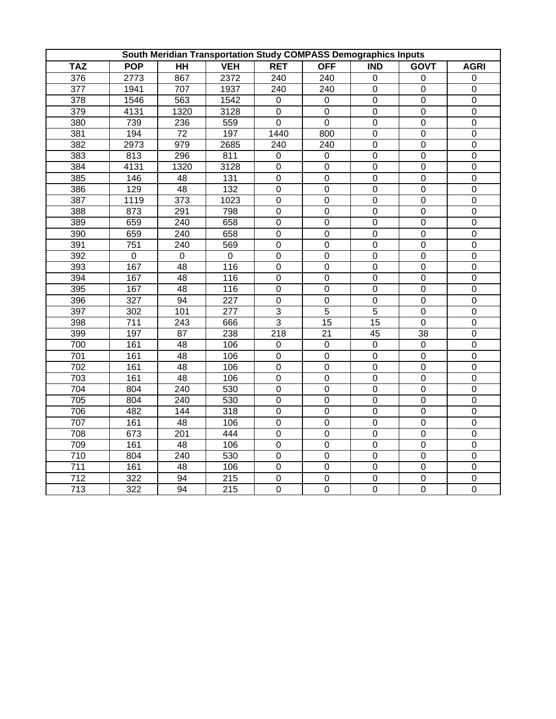|                  |                |                 |                  | South Meridian Transportation Study COMPASS Demographics Inputs |                  |                  |                  |                  |
|------------------|----------------|-----------------|------------------|-----------------------------------------------------------------|------------------|------------------|------------------|------------------|
| <b>TAZ</b>       | <b>POP</b>     | $\overline{HH}$ | <b>VEH</b>       | <b>RET</b>                                                      | <b>OFF</b>       | <b>IND</b>       | <b>GOVT</b>      | <b>AGRI</b>      |
| $\overline{376}$ | 2773           | 867             | 2372             | 240                                                             | 240              | $\boldsymbol{0}$ | $\boldsymbol{0}$ | $\mathbf 0$      |
| $\overline{377}$ | 1941           | 707             | 1937             | 240                                                             | 240              | $\overline{0}$   | $\overline{0}$   | $\mathbf 0$      |
| $\overline{378}$ | 1546           | 563             | 1542             | $\overline{0}$                                                  | $\mathbf 0$      | $\overline{0}$   | $\overline{0}$   | $\overline{0}$   |
| 379              | 4131           | 1320            | 3128             | $\mathbf 0$                                                     | $\mathsf 0$      | $\overline{0}$   | $\mathbf 0$      | $\boldsymbol{0}$ |
| 380              | 739            | 236             | 559              | $\overline{0}$                                                  | $\overline{0}$   | $\boldsymbol{0}$ | $\boldsymbol{0}$ | $\boldsymbol{0}$ |
| 381              | 194            | 72              | 197              | 1440                                                            | 800              | $\mathbf 0$      | $\boldsymbol{0}$ | $\boldsymbol{0}$ |
| 382              | 2973           | 979             | 2685             | 240                                                             | 240              | $\overline{0}$   | $\boldsymbol{0}$ | $\boldsymbol{0}$ |
| 383              | 813            | 296             | 811              | 0                                                               | 0                | $\boldsymbol{0}$ | $\mathsf 0$      | $\boldsymbol{0}$ |
| 384              | 4131           | 1320            | 3128             | $\pmb{0}$                                                       | $\mathsf 0$      | $\mathbf 0$      | $\boldsymbol{0}$ | $\boldsymbol{0}$ |
| 385              | 146            | 48              | 131              | $\overline{0}$                                                  | $\overline{0}$   | $\overline{0}$   | $\overline{0}$   | $\overline{0}$   |
| 386              | 129            | 48              | 132              | $\mathbf 0$                                                     | $\mathsf 0$      | $\pmb{0}$        | $\boldsymbol{0}$ | $\boldsymbol{0}$ |
| 387              | 1119           | 373             | 1023             | $\pmb{0}$                                                       | $\mathsf 0$      | $\mathbf 0$      | $\boldsymbol{0}$ | $\boldsymbol{0}$ |
| 388              | 873            | 291             | 798              | $\mathbf 0$                                                     | $\mathsf 0$      | $\boldsymbol{0}$ | $\boldsymbol{0}$ | $\mathbf 0$      |
| 389              | 659            | 240             | 658              | $\overline{0}$                                                  | $\overline{0}$   | $\overline{0}$   | $\overline{0}$   | $\overline{0}$   |
| 390              | 659            | 240             | 658              | $\overline{0}$                                                  | $\overline{0}$   | $\overline{0}$   | $\overline{0}$   | $\boldsymbol{0}$ |
| 391              | 751            | 240             | 569              | $\overline{0}$                                                  | $\overline{0}$   | $\overline{0}$   | $\overline{0}$   | $\mathbf 0$      |
| 392              | $\overline{0}$ | $\overline{0}$  | $\overline{0}$   | $\overline{0}$                                                  | $\overline{0}$   | $\overline{0}$   | $\overline{0}$   | $\mathbf 0$      |
| 393              | 167            | 48              | 116              | $\overline{0}$                                                  | $\overline{0}$   | $\overline{0}$   | $\overline{0}$   | $\boldsymbol{0}$ |
| 394              | 167            | 48              | 116              | $\mathbf 0$                                                     | $\mathsf 0$      | $\boldsymbol{0}$ | $\boldsymbol{0}$ | $\boldsymbol{0}$ |
| 395              | 167            | 48              | 116              | $\mathbf 0$                                                     | $\pmb{0}$        | $\boldsymbol{0}$ | $\boldsymbol{0}$ | $\boldsymbol{0}$ |
| 396              | 327            | 94              | 227              | $\mathbf 0$                                                     | $\mathbf 0$      | $\mathbf 0$      | $\mathbf 0$      | $\boldsymbol{0}$ |
| 397              | 302            | 101             | 277              | $\overline{3}$                                                  | $\overline{5}$   | $\overline{5}$   | $\boldsymbol{0}$ | $\boldsymbol{0}$ |
| 398              | 711            | 243             | 666              | $\overline{3}$                                                  | $\overline{15}$  | $\overline{15}$  | $\overline{0}$   | $\boldsymbol{0}$ |
| 399              | 197            | 87              | 238              | $\overline{218}$                                                | $\overline{21}$  | 45               | $\overline{38}$  | $\boldsymbol{0}$ |
| 700              | 161            | 48              | 106              | 0                                                               | 0                | $\overline{0}$   | $\boldsymbol{0}$ | $\boldsymbol{0}$ |
| 701              | 161            | 48              | 106              | $\pmb{0}$                                                       | 0                | $\pmb{0}$        | $\boldsymbol{0}$ | $\boldsymbol{0}$ |
| 702              | 161            | 48              | 106              | $\pmb{0}$                                                       | $\boldsymbol{0}$ | $\boldsymbol{0}$ | $\boldsymbol{0}$ | $\mathbf 0$      |
| 703              | 161            | 48              | 106              | $\overline{0}$                                                  | $\overline{0}$   | $\overline{0}$   | $\overline{0}$   | $\overline{0}$   |
| 704              | 804            | $\frac{1}{240}$ | 530              | $\overline{0}$                                                  | $\mathsf 0$      | $\overline{0}$   | $\boldsymbol{0}$ | $\boldsymbol{0}$ |
| 705              | 804            | 240             | 530              | $\overline{0}$                                                  | $\mathsf 0$      | $\overline{0}$   | $\overline{0}$   | $\mathbf 0$      |
| 706              | 482            | 144             | 318              | $\overline{0}$                                                  | $\overline{0}$   | $\overline{0}$   | $\overline{0}$   | $\mathbf 0$      |
| 707              | 161            | 48              | 106              | $\overline{0}$                                                  | $\mathsf 0$      | $\overline{0}$   | $\boldsymbol{0}$ | $\boldsymbol{0}$ |
| 708              | 673            | 201             | 444              | $\mathbf 0$                                                     | $\mathsf 0$      | $\boldsymbol{0}$ | $\boldsymbol{0}$ | $\boldsymbol{0}$ |
| 709              | 161            | 48              | 106              | $\pmb{0}$                                                       | 0                | $\boldsymbol{0}$ | $\boldsymbol{0}$ | $\boldsymbol{0}$ |
| 710              | 804            | 240             | 530              | $\overline{0}$                                                  | $\overline{0}$   | $\overline{0}$   | $\boldsymbol{0}$ | $\overline{0}$   |
| 711              | 161            | 48              | 106              | $\mathbf 0$                                                     | 0                | $\boldsymbol{0}$ | $\boldsymbol{0}$ | $\boldsymbol{0}$ |
| 712              | 322            | 94              | 215              | $\mathbf 0$                                                     | 0                | $\boldsymbol{0}$ | $\boldsymbol{0}$ | $\boldsymbol{0}$ |
| $\overline{713}$ | 322            | $\overline{94}$ | $\overline{215}$ | $\overline{0}$                                                  | $\overline{0}$   | $\overline{0}$   | $\overline{0}$   | $\overline{0}$   |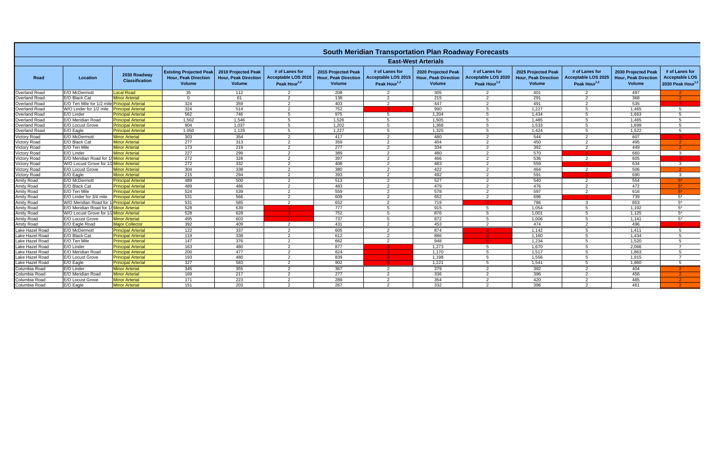|                      |                                              |                                       |                                                                                |                                                                     |                                                                   |                                                                     | <b>South Meridian Transportation Plan Roadway Forecasts</b>       |                                                                     |                                                                          |                                                                     |                                                                   |                                                                     |                                                                   |
|----------------------|----------------------------------------------|---------------------------------------|--------------------------------------------------------------------------------|---------------------------------------------------------------------|-------------------------------------------------------------------|---------------------------------------------------------------------|-------------------------------------------------------------------|---------------------------------------------------------------------|--------------------------------------------------------------------------|---------------------------------------------------------------------|-------------------------------------------------------------------|---------------------------------------------------------------------|-------------------------------------------------------------------|
|                      |                                              |                                       |                                                                                |                                                                     |                                                                   |                                                                     |                                                                   | <b>East-West Arterials</b>                                          |                                                                          |                                                                     |                                                                   |                                                                     |                                                                   |
| Road                 | Location                                     | 2030 Roadway<br><b>Classification</b> | <b>Existing Projected Peak</b><br><b>Hour. Peak Direction</b><br><b>Volume</b> | 2010 Projected Peak<br><b>Hour. Peak Direction</b><br><b>Volume</b> | # of Lanes for<br>Acceptable LOS 2010<br>Peak Hour <sup>1,2</sup> | 2015 Projected Peak<br><b>Hour. Peak Direction</b><br><b>Volume</b> | # of Lanes for<br>Acceptable LOS 2015<br>Peak Hour <sup>1,2</sup> | 2020 Projected Peak<br><b>Hour. Peak Direction</b><br><b>Volume</b> | # of Lanes for<br><b>Acceptable LOS 2020</b><br>Peak Hour <sup>1,2</sup> | 2025 Projected Peak<br><b>Hour. Peak Direction</b><br><b>Volume</b> | # of Lanes for<br>Acceptable LOS 2025<br>Peak Hour <sup>1,2</sup> | 2030 Projected Peak<br><b>Hour. Peak Direction</b><br><b>Volume</b> | # of Lanes for<br>Acceptable LOS<br>2030 Peak Hour <sup>1,2</sup> |
| Overland Road        | E/O McDermott                                | <b>Local Road</b>                     | 35                                                                             | 112                                                                 | 2                                                                 | 208                                                                 | 2                                                                 | 305                                                                 | 2                                                                        | 401                                                                 | $\overline{2}$                                                    | 497                                                                 |                                                                   |
| Overland Road        | E/O Black Cat                                | <b>Minor Arterial</b>                 | $\Omega$                                                                       | 61                                                                  | 2                                                                 | 138                                                                 | 2                                                                 | 215                                                                 | $\mathcal{P}$                                                            | 291                                                                 | 2                                                                 | 368                                                                 |                                                                   |
| Overland Road        | E/O Ten Mile for 1/2 mile Principal Arterial |                                       | 324                                                                            | 359                                                                 | $\mathcal{P}$                                                     | 403                                                                 | $\mathcal{P}$                                                     | 447                                                                 | $\mathcal{P}$                                                            | 491                                                                 | 2                                                                 | 535                                                                 |                                                                   |
| Overland Road        | W/O Linder for 1/2 mile                      | <b>Principal Arterial</b>             | 324                                                                            | 514                                                                 | $\overline{2}$                                                    | 752                                                                 |                                                                   | 990                                                                 | -5                                                                       | 1,227                                                               | 5                                                                 | 1,465                                                               | -5                                                                |
| Overland Road        | E/O Linder                                   | <b>Principal Arterial</b>             | 562                                                                            | 746                                                                 |                                                                   | 975                                                                 |                                                                   | 1,204                                                               |                                                                          | 1,434                                                               | -5                                                                | 1,663                                                               | -5                                                                |
| Overland Road        | E/O Meridian Road                            | <b>Principal Arterial</b>             | 1.562                                                                          | 1.546                                                               | 5                                                                 | 1.526                                                               | -5                                                                | 1.505                                                               | -5                                                                       | 1.485                                                               | -5                                                                | 1.465                                                               | -5                                                                |
| Overland Road        | E/O Locust Grove                             | <b>Principal Arterial</b>             | 904                                                                            | 1,037                                                               |                                                                   | 1,202                                                               | -5                                                                | 1,368                                                               |                                                                          | 1,533                                                               | 5                                                                 | 1,699                                                               | -5                                                                |
| <b>Overland Road</b> | E/O Eagle                                    | <b>Principal Arterial</b>             | 1,050                                                                          | 1,129                                                               | 5                                                                 | 1,227                                                               | -5                                                                | 1,325                                                               | -5                                                                       | 1,424                                                               | 5                                                                 | 1,522                                                               | -5                                                                |
| <b>Victory Road</b>  | E/O McDermott                                | <b>Minor Arterial</b>                 | 303                                                                            | 354                                                                 | 2                                                                 | 417                                                                 | 2                                                                 | 480                                                                 | 2                                                                        | 544                                                                 | 2                                                                 | 607                                                                 |                                                                   |
| Victory Road         | E/O Black Cat                                | <b>Minor Arterial</b>                 | 277                                                                            | 313                                                                 | $\overline{2}$                                                    | 359                                                                 | $\overline{2}$                                                    | 404                                                                 | 2                                                                        | 450                                                                 | 2                                                                 | 495                                                                 |                                                                   |
| <b>Victory Road</b>  | E/O Ten Mile                                 | <b>Minor Arterial</b>                 | 173                                                                            | 219                                                                 | 2                                                                 | 277                                                                 | $\overline{2}$                                                    | 334                                                                 | -2                                                                       | 392                                                                 | 2                                                                 | 449                                                                 |                                                                   |
| Victory Road         | E/O Linder                                   | <b>Minor Arterial</b>                 | 227                                                                            | 299                                                                 | 2                                                                 | 389                                                                 | 2                                                                 | 480                                                                 | 2                                                                        | 570                                                                 | -3.                                                               | 660                                                                 | $\mathbf{3}$                                                      |
| <b>Victory Road</b>  | E/O Meridian Road for                        | Minor Arterial                        | 272                                                                            | 328                                                                 | 2                                                                 | 397                                                                 | 2                                                                 | 466                                                                 | 2                                                                        | 536                                                                 | 2                                                                 | 605                                                                 |                                                                   |
| <b>Victory Road</b>  | W/O Locust Grove for 1/2 Minor Arterial      |                                       | 272                                                                            | 332                                                                 | 2                                                                 | 408                                                                 | 2                                                                 | 483                                                                 | 2                                                                        | 559                                                                 |                                                                   | 634                                                                 | -3                                                                |
| Victory Road         | E/O Locust Grove                             | <b>Minor Arterial</b>                 | 304                                                                            | 338                                                                 | 2                                                                 | 380                                                                 | $\mathcal{P}$                                                     | 422                                                                 | 2                                                                        | 464                                                                 | 2                                                                 | 506                                                                 |                                                                   |
| <b>Victory Road</b>  | E/O Eagle                                    | <b>Minor Arterial</b>                 | 215                                                                            | 294                                                                 | 2                                                                 | 393                                                                 | 2                                                                 | 492                                                                 | $\mathcal{P}$                                                            | 591                                                                 |                                                                   | 690                                                                 | 3                                                                 |
| <b>Amity Road</b>    | E/O McDermott                                | <b>Principal Arterial</b>             | 489                                                                            | 500                                                                 | $\mathcal{P}$                                                     | 513                                                                 | $\mathcal{P}$                                                     | 527                                                                 | $\mathcal{P}$                                                            | 540                                                                 | 2                                                                 | 554                                                                 | $5*$                                                              |
| Amity Road           | E/O Black Cat                                | <b>Principal Arterial</b>             | 489                                                                            | 486                                                                 | 2                                                                 | 483                                                                 | 2                                                                 | 479                                                                 | $\mathcal{P}$                                                            | 476                                                                 | $\overline{2}$                                                    | 472                                                                 | $5*$                                                              |
| <b>Amity Road</b>    | E/O Ten Mile                                 | <b>Principal Arterial</b>             | 524                                                                            | 539                                                                 | 2                                                                 | 559                                                                 | 2                                                                 | 578                                                                 | 2                                                                        | 597                                                                 | 2                                                                 | 616                                                                 | $5^*$                                                             |
| <b>Amity Road</b>    | E/O Linder for 3/4 mile                      | <b>Principal Arterial</b>             | 531                                                                            | 566                                                                 | 2                                                                 | 609                                                                 | 2                                                                 | 652                                                                 | $\mathcal{P}$                                                            | 696                                                                 |                                                                   | 739                                                                 | 5*                                                                |
| <b>Amity Road</b>    | W/O Meridian Road for 1                      | 1 Principal Arterial                  | 531                                                                            | 585                                                                 | $\mathcal{P}$                                                     | 652                                                                 | 2                                                                 | 719                                                                 |                                                                          | 786                                                                 | $\mathbf{3}$                                                      | 853                                                                 | $5^*$                                                             |
| <b>Amity Road</b>    | E/O Meridian Road for 1                      | <b>/Minor Arterial</b>                | 528                                                                            | 639                                                                 |                                                                   | 777                                                                 | .5                                                                | 915                                                                 | -5                                                                       | 1.054                                                               | -5                                                                | 1,192                                                               | $5^*$                                                             |
| <b>Amity Road</b>    | W/O Locust Grove for 1                       | /2 Minor Arterial                     | 528                                                                            | 628                                                                 |                                                                   | 752                                                                 | 5                                                                 | 876                                                                 |                                                                          | 1,001                                                               | -5                                                                | 1,125                                                               | $5^*$                                                             |
| <b>Amity Road</b>    | E/O Locust Grove                             | <b>Minor Arterial</b>                 | 495                                                                            | 603                                                                 |                                                                   | 737                                                                 | -5                                                                | $\overline{872}$                                                    | -5                                                                       | 1,006                                                               | -5                                                                | 1,141                                                               | $5^*$                                                             |
| <b>Amity Road</b>    | E/O Eagle Road                               | <b>Major Collector</b>                | 392                                                                            | 409                                                                 | 2                                                                 | 431                                                                 | 2                                                                 | 453                                                                 | $\mathcal{P}$                                                            | 474                                                                 | $\overline{2}$                                                    | 496                                                                 | -51                                                               |
| Lake Hazel Road      | E/O McDermott                                | <b>Principal Arterial</b>             | 122                                                                            | 337                                                                 | $\mathcal{P}$                                                     | 605                                                                 | 2                                                                 | 874                                                                 |                                                                          | 1,142                                                               | -5                                                                | 1,411                                                               | -5                                                                |
| Lake Hazel Road      | E/O Black Cat                                | <b>Principal Arterial</b>             | 119                                                                            | 338                                                                 | 2                                                                 | 612                                                                 | 2                                                                 | 886                                                                 |                                                                          | 1.160                                                               | 5                                                                 | 1,434                                                               | -5                                                                |
| Lake Hazel Road      | E/O Ten Mile                                 | <b>Principal Arterial</b>             | 147                                                                            | 376                                                                 | 2                                                                 | 662                                                                 | 2                                                                 | 948                                                                 |                                                                          | 1,234                                                               | 5                                                                 | 1,520                                                               | -5                                                                |
| Lake Hazel Road      | E/O Linder                                   | <b>Principal Arterial</b>             | 163                                                                            | 480                                                                 | $\mathcal{P}$                                                     | 877                                                                 |                                                                   | 1,273                                                               | -5                                                                       | 1,670                                                               | 5                                                                 | 2,066                                                               | $\overline{7}$                                                    |
| Lake Hazel Road      | E/O Meridian Road                            | <b>Principal Arterial</b>             | $\overline{200}$                                                               | 477                                                                 | $\mathcal{P}$                                                     | 824                                                                 |                                                                   | 1.170                                                               |                                                                          | 1,517                                                               | -5                                                                | 1,863                                                               | -5                                                                |
| Lake Hazel Road      | E/O Locust Grove                             | <b>Principal Arterial</b>             | 193                                                                            | 480                                                                 | 2                                                                 | 839                                                                 |                                                                   | 1,198                                                               | -5                                                                       | 1,556                                                               | 5                                                                 | 1,915                                                               | $\overline{7}$                                                    |
| Lake Hazel Road      | E/O Eagle                                    | <b>Principal Arterial</b>             | 327                                                                            | 583                                                                 | $\mathcal{P}$                                                     | 902                                                                 |                                                                   | 1,221                                                               | -5                                                                       | 1,541                                                               | 5                                                                 | 1,860                                                               | -5                                                                |
| Columbia Road        | E/O Linder                                   | <b>Minor Arterial</b>                 | 345                                                                            | 355                                                                 | 2                                                                 | 367                                                                 | 2                                                                 | 379                                                                 | -2                                                                       | 392                                                                 | $\overline{2}$                                                    | 404                                                                 |                                                                   |
| Columbia Road        | E/O Meridian Road                            | <b>Minor Arterial</b>                 | 169                                                                            | 217                                                                 | $\overline{2}$                                                    | 277                                                                 | $\overline{2}$                                                    | 336                                                                 | $\mathcal{P}$                                                            | 396                                                                 | 2                                                                 | 456                                                                 |                                                                   |
| Columbia Road        | E/O Locust Grove                             | <b>Minor Arterial</b>                 | 171                                                                            | 223                                                                 | $\mathcal{P}$                                                     | 289                                                                 | $\mathcal{P}$                                                     | 354                                                                 | $\mathcal{P}$                                                            | 420                                                                 | 2                                                                 | 485                                                                 |                                                                   |
| Columbia Road        | E/O Eagle                                    | <b>Minor Arterial</b>                 | 151                                                                            | $\overline{203}$                                                    | $\mathcal{P}$                                                     | 267                                                                 | $\mathcal{P}$                                                     | 332                                                                 | $\mathcal{P}$                                                            | 396                                                                 | $\mathcal{P}$                                                     | 461                                                                 |                                                                   |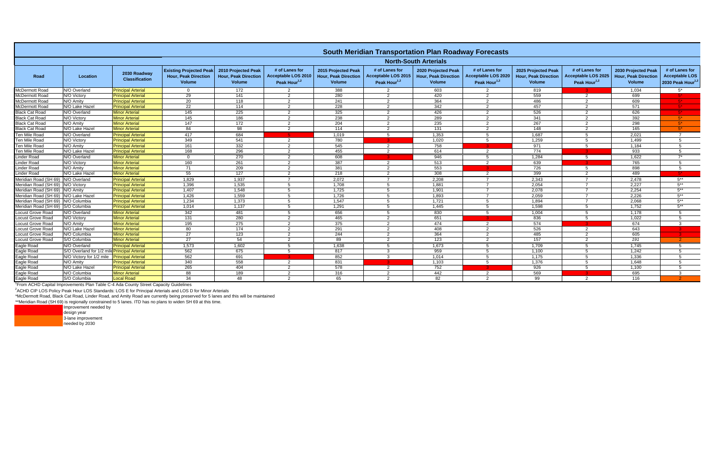|                                        |                                              |                                       |                                                                                |                                                              |                                                                   |                                                                     | <b>South Meridian Transportation Plan Roadway Forecasts</b>     |                                                              |                                                                    |                                                                     |                                                          |                                                              |                                                                          |
|----------------------------------------|----------------------------------------------|---------------------------------------|--------------------------------------------------------------------------------|--------------------------------------------------------------|-------------------------------------------------------------------|---------------------------------------------------------------------|-----------------------------------------------------------------|--------------------------------------------------------------|--------------------------------------------------------------------|---------------------------------------------------------------------|----------------------------------------------------------|--------------------------------------------------------------|--------------------------------------------------------------------------|
|                                        |                                              |                                       |                                                                                |                                                              |                                                                   |                                                                     |                                                                 | <b>North-South Arterials</b>                                 |                                                                    |                                                                     |                                                          |                                                              |                                                                          |
| Road                                   | Location                                     | 2030 Roadway<br><b>Classification</b> | <b>Existing Projected Peak</b><br><b>Hour, Peak Direction</b><br><b>Volume</b> | 2010 Projected Peak<br><b>Hour, Peak Direction</b><br>Volume | # of Lanes for<br>Acceptable LOS 2010<br>Peak Hour <sup>1,2</sup> | 2015 Projected Peak<br><b>Hour, Peak Direction</b><br><b>Volume</b> | # of Lanes for<br><b>Acceptable LOS 2015</b><br>Peak Hour $1,2$ | 2020 Projected Peak<br><b>Hour, Peak Direction</b><br>Volume | # of Lanes for<br><b>Acceptable LOS 2020</b><br>Peak Hour $^{1,2}$ | 2025 Projected Peak<br><b>Hour, Peak Direction</b><br><b>Volume</b> | # of Lanes for<br>Acceptable LOS 2025<br>Peak Hour $1,2$ | 2030 Projected Peak<br><b>Hour, Peak Direction</b><br>Volume | # of Lanes for<br><b>Acceptable LOS</b><br>2030 Peak Hour <sup>1,2</sup> |
| <b>McDermott Road</b>                  | N/O Overland                                 | <b>Principal Arterial</b>             | $\overline{0}$                                                                 | 172                                                          | 2                                                                 | 388                                                                 | $\overline{\mathbf{2}}$                                         | 603                                                          | $\overline{2}$                                                     | 819                                                                 |                                                          | 1,034                                                        | $5^*$                                                                    |
| McDermott Road                         | N/O Victory                                  | <b>Principal Arterial</b>             | 29                                                                             | 141                                                          | $\mathcal{P}$                                                     | 280                                                                 | $\overline{2}$                                                  | 420                                                          | 2                                                                  | 559                                                                 | 2                                                        | 699                                                          |                                                                          |
| McDermott Road                         | N/O Amity                                    | <b>Principal Arterial</b>             | 20                                                                             | 118                                                          | $\mathcal{P}$                                                     | 241                                                                 | $\overline{2}$                                                  | 364                                                          | $\overline{2}$                                                     | 486                                                                 | $\overline{2}$                                           | 609                                                          |                                                                          |
| <b>McDermott Road</b>                  | N/O Lake Hazel                               | <b>Principal Arteria</b>              | 22                                                                             | 114                                                          | $\overline{2}$                                                    | 228                                                                 | $\overline{2}$                                                  | 342                                                          | 2                                                                  | 457                                                                 | $\overline{2}$                                           | 571                                                          |                                                                          |
| <b>Black Cat Road</b>                  | N/O Overland                                 | <b>Minor Arterial</b>                 | 145                                                                            | 225                                                          | 2                                                                 | 325                                                                 | $\overline{2}$                                                  | 426                                                          | 2                                                                  | 526                                                                 | $\overline{2}$                                           | 626                                                          |                                                                          |
| <b>Black Cat Road</b>                  | N/O Victory                                  | <b>Minor Arterial</b>                 | $\frac{145}{2}$                                                                | 186                                                          | $\overline{2}$                                                    | 238                                                                 | 2                                                               | 289                                                          | 2                                                                  | 341                                                                 | 2                                                        | 392                                                          | $5*$                                                                     |
| <b>Black Cat Road</b>                  | N/O Amity                                    | <b>Minor Arterial</b>                 | 147                                                                            | 172                                                          | $\mathcal{P}$                                                     | 204                                                                 | -2                                                              | 235                                                          | $\overline{2}$                                                     | 267                                                                 | 2                                                        | 298                                                          | $5^*$                                                                    |
| <b>Black Cat Road</b>                  | N/O Lake Hazel                               | <b>Minor Arterial</b>                 | 84                                                                             | 98                                                           | 2                                                                 | 114                                                                 | $\overline{2}$                                                  | 131                                                          | 2                                                                  | 148                                                                 | $\overline{2}$                                           | 165                                                          | $5*$                                                                     |
| <b>Ten Mile Road</b>                   | N/O Overland                                 | <b>Principal Arterial</b>             | 417                                                                            | 684                                                          |                                                                   | 1,019                                                               | -5                                                              | 1,353                                                        | 5                                                                  | 1,687                                                               | -5                                                       | 2,021                                                        | $\overline{7}$                                                           |
| <b>Ten Mile Road</b>                   | N/O Victory                                  | <b>Principal Arterial</b>             | $\overline{349}$                                                               | 541                                                          | 2                                                                 | 780                                                                 |                                                                 | 1.020                                                        | $5^{\circ}$                                                        | 1.259                                                               | $5^{\circ}$                                              | 1.499                                                        | $5^{\circ}$                                                              |
| <b>Ten Mile Road</b>                   | N/O Amity                                    | <b>Principal Arterial</b>             | 161                                                                            | 332                                                          | 2                                                                 | 545                                                                 | $\overline{2}$                                                  | 758                                                          |                                                                    | 971                                                                 | -5                                                       | 1,184                                                        | -5                                                                       |
| <b>Ten Mile Road</b>                   | N/O Lake Hazel                               | <b>Principal Arterial</b>             | 168                                                                            | 296                                                          | 2                                                                 | 455                                                                 | $\overline{2}$                                                  | 614                                                          | $\overline{2}$                                                     | 774                                                                 |                                                          | 933                                                          | -5                                                                       |
| Linder Road                            | N/O Overland                                 | <b>Minor Arterial</b>                 | $\Omega$                                                                       | 270                                                          | $\mathcal{P}$                                                     | 608                                                                 |                                                                 | 946                                                          | -5                                                                 | 1.284                                                               | -5                                                       | 1,622                                                        | $7^*$                                                                    |
| <b>Linder Road</b>                     | N/O Victory                                  | <b>Minor Arterial</b>                 | 160                                                                            | 261                                                          | 2                                                                 | 387                                                                 | $\overline{2}$                                                  | 513                                                          | 2                                                                  | 639                                                                 |                                                          | 765                                                          | -5                                                                       |
| <b>Linder Road</b>                     | N/O Amity                                    | <b>Minor Arterial</b>                 | 71                                                                             | 209                                                          | 2                                                                 | 381                                                                 | $\overline{2}$                                                  | 553                                                          |                                                                    | 726                                                                 | -5                                                       | 898                                                          | -5                                                                       |
| Linder Road                            | N/O Lake Hazel                               | <b>Minor Arterial</b>                 | 55                                                                             | 127                                                          | 2                                                                 | 218                                                                 | $\overline{2}$                                                  | 308                                                          | $\overline{2}$                                                     | 399                                                                 | $\overline{2}$                                           | 489                                                          |                                                                          |
| Meridian Road (SH 69) N/O Overland     |                                              | <b>Principal Arterial</b>             | 1,829                                                                          | 1,937                                                        |                                                                   | 2,072                                                               |                                                                 | 2.208                                                        |                                                                    | 2.343                                                               |                                                          | 2.478                                                        | $5***$                                                                   |
| Meridian Road (SH 69) N/O Victory      |                                              | <b>Principal Arterial</b>             | 1,396                                                                          | 1,535                                                        | 5                                                                 | 1,708                                                               | 5                                                               | 1,881                                                        | $\overline{7}$                                                     | 2,054                                                               | $\overline{7}$                                           | 2,227                                                        | $5***$                                                                   |
| Meridian Road (SH 69) N/O Amity        |                                              | <b>Principal Arterial</b>             | 1,407                                                                          | 1,548                                                        | 5                                                                 | 1,725                                                               | -5                                                              | 1,901                                                        |                                                                    | 2.078                                                               |                                                          | 2,254                                                        | $5***$                                                                   |
| Meridian Road (SH 69)   N/O Lake Hazel |                                              | <b>Principal Arterial</b>             | 1,426                                                                          | 1,559                                                        | -5                                                                | 1,726                                                               | -5                                                              | 1,893                                                        | 7                                                                  | 2,059                                                               | $\overline{7}$                                           | 2,226                                                        | $5***$                                                                   |
| Meridian Road (SH 69) N/O Columbia     |                                              | <b>Principal Arterial</b>             | 1.234                                                                          | 1,373                                                        | -5                                                                | 1.547                                                               | -5                                                              | 1.721                                                        | -5                                                                 | 1.894                                                               | $\overline{7}$                                           | 2.068                                                        | $5***$                                                                   |
| Meridian Road (SH 69) S/O Columbia     |                                              | <b>Principal Arterial</b>             | 1,014                                                                          | 1,137                                                        | - 5                                                               | 1,291                                                               | 5                                                               | 1,445                                                        | 5                                                                  | 1,598                                                               | - 5                                                      | 1,752                                                        | $5***$                                                                   |
| <b>Locust Grove Road</b>               | N/O Overland                                 | <b>Minor Arterial</b>                 | 342                                                                            | 481                                                          | -5                                                                | 656                                                                 | - 5                                                             | 830                                                          | 5                                                                  | 1.004                                                               | 5                                                        | 1.178                                                        | -5                                                                       |
| <b>Locust Grove Road</b>               | N/O Victory                                  | <b>Minor Arterial</b>                 | 131                                                                            | 280                                                          | $\mathcal{P}$                                                     | 465                                                                 | -2                                                              | 651                                                          |                                                                    | 836                                                                 | -5                                                       | 1,022                                                        | -5                                                                       |
| Locust Grove Road                      | N/O Amity                                    | <b>Minor Arterial</b>                 | 195                                                                            | $\overline{275}$                                             | 2                                                                 | 375                                                                 | $\overline{2}$                                                  | 474                                                          | 2                                                                  | 574                                                                 |                                                          | 674                                                          | $\mathbf{3}$                                                             |
| <b>Locust Grove Road</b>               | N/O Lake Hazel                               | <b>Minor Arterial</b>                 | 80                                                                             | 174                                                          | 2                                                                 | 291                                                                 | $\overline{2}$                                                  | 408                                                          | $\overline{2}$                                                     | 526                                                                 | $\overline{2}$                                           | 643                                                          |                                                                          |
| Locust Grove Road                      | N/O Columbia                                 | <b>Minor Arterial</b>                 | 27                                                                             | 123                                                          | 2                                                                 | 244                                                                 | $\overline{2}$                                                  | 364                                                          | $\overline{2}$                                                     | 485                                                                 | 2                                                        | 605                                                          |                                                                          |
| <b>Locust Grove Road</b>               | S/O Columbia                                 | <b>Minor Arterial</b>                 | $\overline{27}$                                                                | 54                                                           | 2                                                                 | 89                                                                  | $\overline{2}$                                                  | 123                                                          | 2                                                                  | 157                                                                 | 2                                                        | 191                                                          | $\mathcal{P}$                                                            |
| Eagle Road                             | N/O Overland                                 | <b>Principal Arterial</b>             | 1,573                                                                          | 1,602                                                        | 5                                                                 | 1,638                                                               | -5                                                              | 1,673                                                        | -5                                                                 | 1,709                                                               | 5                                                        | 1,745                                                        | -5                                                                       |
| Eagle Road                             | S/O Overland for 1/2 mile Principal Arterial |                                       | 562                                                                            | 675                                                          | -5                                                                | 817                                                                 | $\cdot$ 3                                                       | 959                                                          | -5                                                                 | 1,100                                                               | -5                                                       | 1,242                                                        | -5                                                                       |
| Eagle Road                             | N/O Victory for 1/2 mile                     | <b>Principal Arterial</b>             | 562                                                                            | 691                                                          |                                                                   | 852                                                                 | $\mathbf{3}$                                                    | 1,014                                                        | 5                                                                  | 1,175                                                               | 5                                                        | 1,336                                                        | -5                                                                       |
| Eagle Road                             | N/O Amity                                    | <b>Principal Arterial</b>             | 340                                                                            | 558                                                          | 2                                                                 | 831                                                                 |                                                                 | 1,103                                                        | 5                                                                  | 1,376                                                               | 5                                                        | 1,648                                                        | 5                                                                        |
| Eagle Road                             | N/O Lake Hazel                               | Principal Arterial                    | 265                                                                            | 404                                                          | 2                                                                 | 578                                                                 | $\overline{2}$                                                  | 752                                                          |                                                                    | 926                                                                 | -5                                                       | 1,100                                                        | -5                                                                       |
| Eagle Road                             | N/O Columbia                                 | <b>Minor Arterial</b>                 | 88                                                                             | 189                                                          | 2                                                                 | 316                                                                 | $\overline{2}$                                                  | 442                                                          | $\overline{2}$                                                     | 569                                                                 |                                                          | 695                                                          | 3                                                                        |
| Eagle Road                             | S/O Columbia                                 | <b>Local Road</b>                     | $\overline{34}$                                                                | 48                                                           | 2                                                                 | 65                                                                  | $\overline{2}$                                                  | 82                                                           | 2                                                                  | 99                                                                  | 2                                                        | $\overline{116}$                                             |                                                                          |

<sup>1</sup> From ACHD Capital Improvements Plan Table C-4 Ada County Street Capacity Guidelines

<sup>2</sup>ACHD CIP LOS Policy Peak Hour LOS Standards: LOS E for Principal Arterials and LOS D for Minor Arterials

\*McDermott Road, Black Cat Road, Linder Road, and Amity Road are currently being preserved for 5 lanes and this will be maintained

\*\*Meridian Road (SH 69) is regionally constrained to 5 lanes. ITD has no plans to widen SH 69 at this time.

Improvement needed by design year 3-lane improvement

needed by 2030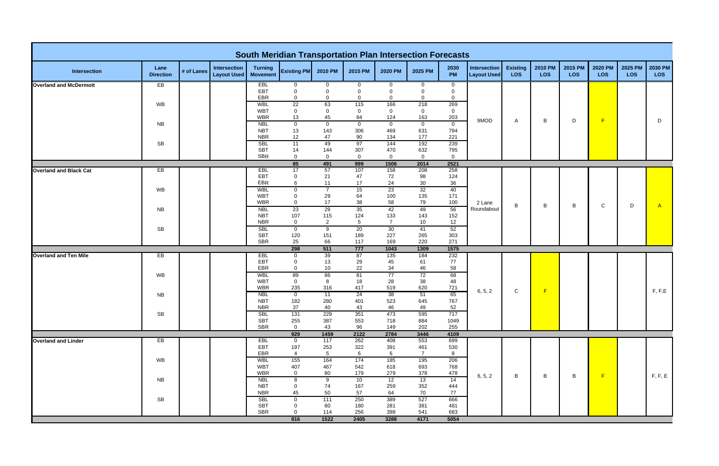|                               |                          |            |                                    |                                   | <b>South Meridian Transportation Plan Intersection Forecasts</b> |                        |                         |                       |                       |                               |                                           |                        |                       |                       |                       |                       |                |
|-------------------------------|--------------------------|------------|------------------------------------|-----------------------------------|------------------------------------------------------------------|------------------------|-------------------------|-----------------------|-----------------------|-------------------------------|-------------------------------------------|------------------------|-----------------------|-----------------------|-----------------------|-----------------------|----------------|
| <b>Intersection</b>           | Lane<br><b>Direction</b> | # of Lanes | Intersection<br><b>Layout Used</b> | <b>Turning</b><br><b>Movement</b> | <b>Existing PM</b>                                               | 2010 PM                | 2015 PM                 | 2020 PM               | 2025 PM               | 2030<br>PM                    | <b>Intersection</b><br><b>Layout Used</b> | <b>Existing</b><br>LOS | 2010 PM<br><b>LOS</b> | 2015 PM<br><b>LOS</b> | <b>2020 PM</b><br>LOS | 2025 PM<br><b>LOS</b> | 2030 PM<br>LOS |
| <b>Overland and McDermott</b> | EB                       |            |                                    | EBL                               | $\overline{0}$                                                   | $\overline{0}$         | $\mathbf 0$             | $\mathbf{0}$          | $\mathbf 0$           | $\mathbf{0}$                  |                                           |                        |                       |                       |                       |                       |                |
|                               |                          |            |                                    | EBT<br>EBR                        | $\mathbf 0$<br>$\mathbf 0$                                       | $\Omega$<br>0          | $\Omega$<br>$\mathbf 0$ | 0<br>$\Omega$         | $\Omega$<br>$\Omega$  | $\overline{0}$<br>$\mathbf 0$ |                                           |                        |                       |                       |                       |                       |                |
|                               | <b>WB</b>                |            |                                    | <b>WBL</b>                        | $\overline{22}$                                                  | 63                     | 115                     | 166                   | 218                   | 269                           |                                           |                        |                       |                       |                       |                       |                |
|                               |                          |            |                                    | <b>WBT</b>                        | $\mathbf 0$                                                      | $\mathbf 0$            | $\mathbf 0$             | $\mathbf{0}$          | $\mathbf 0$           | $\overline{0}$                |                                           |                        |                       |                       |                       |                       |                |
|                               |                          |            |                                    | <b>WBR</b><br><b>NBL</b>          | 13<br>$\overline{0}$                                             | 45<br>$\mathbf 0$      | 84<br>$\overline{0}$    | 124<br>$\overline{0}$ | 163<br>$\overline{0}$ | 203<br>$\overline{0}$         | 9MOD                                      | $\mathsf{A}$           | B                     | D                     | F                     |                       | D              |
|                               | NB.                      |            |                                    | <b>NBT</b>                        | 13                                                               | 143                    | 306                     | 469                   | 631                   | 794                           |                                           |                        |                       |                       |                       |                       |                |
|                               |                          |            |                                    | <b>NBR</b>                        | 12                                                               | 47                     | 90                      | 134                   | 177                   | 221                           |                                           |                        |                       |                       |                       |                       |                |
|                               | <b>SB</b>                |            |                                    | <b>SBL</b>                        | 11                                                               | 49                     | 97                      | 144                   | 192                   | 239                           |                                           |                        |                       |                       |                       |                       |                |
|                               |                          |            |                                    | <b>SBT</b><br><b>SBR</b>          | 14<br>$\mathbf{0}$                                               | 144<br>$\mathbf 0$     | 307<br>$\mathbf 0$      | 470<br>$\overline{0}$ | 632<br>$\mathbf 0$    | 795<br>$\overline{0}$         |                                           |                        |                       |                       |                       |                       |                |
|                               |                          |            |                                    |                                   | 85                                                               | 491                    | 999                     | 1506                  | 2014                  | 2521                          |                                           |                        |                       |                       |                       |                       |                |
| <b>Overland and Black Cat</b> | EB                       |            |                                    | <b>EBL</b>                        | 17                                                               | 57                     | 107                     | 158                   | 208                   | 258                           |                                           |                        |                       |                       |                       |                       |                |
|                               |                          |            |                                    | EBT                               | 0                                                                | 21                     | 47                      | 72                    | 98                    | 124                           |                                           |                        |                       |                       |                       |                       |                |
|                               | WB                       |            |                                    | EBR<br><b>WBL</b>                 | 6<br>$\overline{0}$                                              | 11<br>$\overline{7}$   | 17<br>15                | 24<br>23              | 30<br>32              | 36<br>40                      |                                           |                        |                       |                       |                       |                       |                |
|                               |                          |            |                                    | <b>WBT</b>                        | $\mathbf 0$                                                      | 29                     | 64                      | 100                   | 135                   | 171                           |                                           |                        |                       |                       |                       |                       |                |
|                               |                          |            |                                    | <b>WBR</b>                        | $\mathbf{0}$                                                     | 17                     | 38                      | 58                    | 79                    | 100                           | 2 Lane                                    | B                      | В                     | B                     | $\mathsf{C}$          | D                     | A              |
|                               | NB.                      |            |                                    | <b>NBL</b>                        | 23                                                               | 29                     | 35                      | 42                    | 49                    | 56                            | Roundabout                                |                        |                       |                       |                       |                       |                |
|                               |                          |            |                                    | <b>NBT</b><br><b>NBR</b>          | 107<br>$\mathbf 0$                                               | 115<br>$\overline{2}$  | 124<br>$5\phantom{.0}$  | 133<br>$\overline{7}$ | 143                   | 152<br>12                     |                                           |                        |                       |                       |                       |                       |                |
|                               | <b>SB</b>                |            |                                    | <b>SBL</b>                        | $\overline{0}$                                                   | $\overline{9}$         | 20                      | 30                    | 10<br>41              | 52                            |                                           |                        |                       |                       |                       |                       |                |
|                               |                          |            |                                    | <b>SBT</b>                        | 120                                                              | 151                    | 189                     | 227                   | 265                   | 303                           |                                           |                        |                       |                       |                       |                       |                |
|                               |                          |            |                                    | <b>SBR</b>                        | 25                                                               | 66                     | 117                     | 169                   | 220                   | 271                           |                                           |                        |                       |                       |                       |                       |                |
|                               |                          |            |                                    |                                   | 298                                                              | 511                    | 777                     | 1043                  | 1309                  | 1575                          |                                           |                        |                       |                       |                       |                       |                |
| <b>Overland and Ten Mile</b>  | EB                       |            |                                    | <b>EBL</b><br>EBT                 | $\mathbf 0$<br>0                                                 | 39<br>13               | 87<br>29                | 135<br>45             | 184<br>61             | 232<br>77                     |                                           |                        |                       |                       |                       |                       |                |
|                               |                          |            |                                    | <b>EBR</b>                        | $\mathbf{0}$                                                     | 10                     | 22                      | 34                    | 46                    | 58                            |                                           |                        |                       |                       |                       |                       |                |
|                               | <b>WB</b>                |            |                                    | <b>WBL</b>                        | 89                                                               | 86                     | 81                      | 77                    | 72                    | 68                            |                                           |                        |                       |                       |                       |                       |                |
|                               |                          |            |                                    | <b>WBT</b>                        | $\overline{0}$                                                   | 8                      | 18                      | 28                    | 38                    | 48                            |                                           |                        |                       |                       |                       |                       |                |
|                               | NB.                      |            |                                    | <b>WBR</b><br><b>NBL</b>          | 235<br>$\overline{0}$                                            | 316<br>$\overline{11}$ | 417<br>$\overline{24}$  | 519<br>38             | 620<br>51             | 721<br>65                     | 6, 5, 2                                   | $\mathsf C$            | F                     |                       |                       |                       | F, F, E        |
|                               |                          |            |                                    | <b>NBT</b>                        | 182                                                              | 280                    | 401                     | 523                   | 645                   | 767                           |                                           |                        |                       |                       |                       |                       |                |
|                               |                          |            |                                    | <b>NBR</b>                        | 37                                                               | 40                     | 43                      | 46                    | 49                    | 52                            |                                           |                        |                       |                       |                       |                       |                |
|                               | <b>SB</b>                |            |                                    | <b>SBL</b>                        | 131                                                              | 229                    | 351                     | 473                   | 595                   | 717                           |                                           |                        |                       |                       |                       |                       |                |
|                               |                          |            |                                    | <b>SBT</b><br><b>SBR</b>          | 255<br>$\overline{0}$                                            | 387<br>43              | 553<br>96               | 718<br>149            | 884<br>202            | 1049<br>255                   |                                           |                        |                       |                       |                       |                       |                |
|                               |                          |            |                                    |                                   | 929                                                              | 1459                   | 2122                    | 2784                  | 3446                  | 4109                          |                                           |                        |                       |                       |                       |                       |                |
| <b>Overland and Linder</b>    | EB                       |            |                                    | <b>EBL</b>                        | $\overline{0}$                                                   | 117                    | 262                     | 408                   | 553                   | 699                           |                                           |                        |                       |                       |                       |                       |                |
|                               |                          |            |                                    | <b>EBT</b>                        | 197                                                              | 253                    | 322                     | 391                   | 461                   | 530                           |                                           |                        |                       |                       |                       |                       |                |
|                               | WB                       |            |                                    | EBR<br><b>WBL</b>                 | $\overline{4}$<br>155                                            | $5\phantom{.0}$<br>164 | $6\phantom{.}6$<br>174  | 6<br>185              | $\overline{7}$<br>195 | 8<br>206                      |                                           |                        |                       |                       |                       |                       |                |
|                               |                          |            |                                    | <b>WBT</b>                        | 407                                                              | 467                    | 542                     | 618                   | 693                   | 768                           |                                           |                        |                       |                       |                       |                       |                |
|                               |                          |            |                                    | <b>WBR</b>                        | $\overline{0}$                                                   | 80                     | 179                     | 279                   | 378                   | 478                           | 6, 5, 2                                   | B                      | B                     | B                     | F                     |                       | F, F, E        |
|                               | <b>NB</b>                |            |                                    | <b>NBL</b>                        | 8                                                                | $\overline{9}$         | 10                      | 12                    | 13                    | 14                            |                                           |                        |                       |                       |                       |                       |                |
|                               |                          |            |                                    | <b>NBT</b><br><b>NBR</b>          | $\overline{0}$<br>45                                             | 74<br>50               | 167<br>57               | 259<br>64             | 352<br>70             | 444<br>77                     |                                           |                        |                       |                       |                       |                       |                |
|                               | <b>SB</b>                |            |                                    | <b>SBL</b>                        | $\mathbf 0$                                                      | 111                    | 250                     | 389                   | 527                   | 666                           |                                           |                        |                       |                       |                       |                       |                |
|                               |                          |            |                                    | <b>SBT</b>                        | 0                                                                | 80                     | 180                     | 281                   | 381                   | 481                           |                                           |                        |                       |                       |                       |                       |                |
|                               |                          |            |                                    | <b>SBR</b>                        | $\Omega$                                                         | 114                    | 256                     | 398                   | 541                   | 683                           |                                           |                        |                       |                       |                       |                       |                |
|                               |                          |            |                                    |                                   | 816                                                              | 1522                   | 2405                    | 3288                  | 4171                  | 5054                          |                                           |                        |                       |                       |                       |                       |                |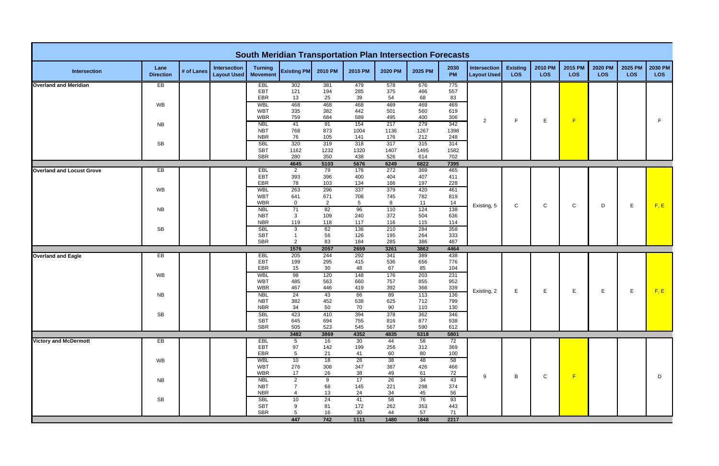|                                  |                          |            |                                    |                                   | <b>South Meridian Transportation Plan Intersection Forecasts</b> |                       |                 |             |             |             |                                           |                               |                       |                       |                       |                       |                       |
|----------------------------------|--------------------------|------------|------------------------------------|-----------------------------------|------------------------------------------------------------------|-----------------------|-----------------|-------------|-------------|-------------|-------------------------------------------|-------------------------------|-----------------------|-----------------------|-----------------------|-----------------------|-----------------------|
| <b>Intersection</b>              | Lane<br><b>Direction</b> | # of Lanes | Intersection<br><b>Layout Used</b> | <b>Turning</b><br><b>Movement</b> | <b>Existing PM</b>                                               | 2010 PM               | 2015 PM         | 2020 PM     | 2025 PM     | 2030<br>PM  | <b>Intersection</b><br><b>Layout Used</b> | <b>Existing</b><br><b>LOS</b> | 2010 PM<br><b>LOS</b> | 2015 PM<br><b>LOS</b> | 2020 PM<br><b>LOS</b> | 2025 PM<br><b>LOS</b> | 2030 PM<br><b>LOS</b> |
| <b>Overland and Meridian</b>     | EB                       |            |                                    | <b>EBL</b>                        | 302                                                              | 381                   | 479             | 578         | 676         | 775         |                                           |                               |                       |                       |                       |                       |                       |
|                                  |                          |            |                                    | EBT<br>EBR                        | 121<br>13                                                        | 194<br>25             | 285<br>39       | 375<br>54   | 466<br>68   | 557<br>83   |                                           |                               |                       |                       |                       |                       |                       |
|                                  | WB                       |            |                                    | <b>WBL</b>                        | 468                                                              | 468                   | 468             | 469         | 469         | 469         |                                           |                               |                       |                       |                       |                       |                       |
|                                  |                          |            |                                    | <b>WBT</b>                        | 335                                                              | 382                   | 442             | 501         | 560         | 619         |                                           |                               |                       |                       |                       |                       |                       |
|                                  |                          |            |                                    | <b>WBR</b>                        | 759                                                              | 684                   | 589             | 495         | 400         | 306         | $\overline{2}$                            | F                             | Е                     | F                     |                       |                       | F                     |
|                                  | <b>NB</b>                |            |                                    | <b>NBL</b><br><b>NBT</b>          | 41<br>768                                                        | 91<br>873             | 154<br>1004     | 217<br>1136 | 279<br>1267 | 342<br>1398 |                                           |                               |                       |                       |                       |                       |                       |
|                                  |                          |            |                                    | <b>NBR</b>                        | 76                                                               | 105                   | 141             | 176         | 212         | 248         |                                           |                               |                       |                       |                       |                       |                       |
|                                  | <b>SB</b>                |            |                                    | <b>SBL</b>                        | 320                                                              | 319                   | 318             | 317         | 315         | 314         |                                           |                               |                       |                       |                       |                       |                       |
|                                  |                          |            |                                    | <b>SBT</b><br><b>SBR</b>          | 1162<br>280                                                      | 1232<br>350           | 1320<br>438     | 1407<br>526 | 1495<br>614 | 1582<br>702 |                                           |                               |                       |                       |                       |                       |                       |
|                                  |                          |            |                                    |                                   | 4645                                                             | 5103                  | 5676            | 6249        | 6822        | 7395        |                                           |                               |                       |                       |                       |                       |                       |
| <b>Overland and Locust Grove</b> | EB                       |            |                                    | <b>EBL</b>                        | $\overline{2}$                                                   | 79                    | 176             | 272         | 369         | 465         |                                           |                               |                       |                       |                       |                       |                       |
|                                  |                          |            |                                    | EBT                               | 393                                                              | 396                   | 400             | 404         | 407         | 411         |                                           |                               |                       |                       |                       |                       |                       |
|                                  |                          |            |                                    | EBR                               | 78                                                               | 103                   | 134             | 166         | 197         | 228         |                                           |                               |                       |                       |                       |                       |                       |
|                                  | WB                       |            |                                    | <b>WBL</b><br><b>WBT</b>          | 263<br>641                                                       | 296<br>671            | 337<br>708      | 379<br>745  | 420<br>782  | 461<br>819  |                                           |                               |                       |                       |                       |                       |                       |
|                                  |                          |            |                                    | <b>WBR</b>                        | $\overline{0}$                                                   | $\overline{2}$        | $5\overline{)}$ | 8           | 11          | 14          |                                           |                               |                       |                       |                       |                       |                       |
|                                  | <b>NB</b>                |            |                                    | <b>NBL</b>                        | 71                                                               | 82                    | 96              | 110         | 124         | 138         | Existing, 5                               | $\mathsf C$                   | $\mathsf{C}$          | C                     | D                     | E.                    | F, E                  |
|                                  |                          |            |                                    | <b>NBT</b>                        | $\mathbf{3}$                                                     | 109                   | 240             | 372         | 504         | 636         |                                           |                               |                       |                       |                       |                       |                       |
|                                  |                          |            |                                    | <b>NBR</b><br><b>SBL</b>          | 119                                                              | 118<br>62             | 117<br>136      | 116<br>210  | 115<br>284  | 114<br>358  |                                           |                               |                       |                       |                       |                       |                       |
|                                  | <b>SB</b>                |            |                                    | <b>SBT</b>                        | $\mathbf{3}$                                                     | 56                    | 126             | 195         | 264         | 333         |                                           |                               |                       |                       |                       |                       |                       |
|                                  |                          |            |                                    | <b>SBR</b>                        | $\overline{2}$                                                   | 83                    | 184             | 285         | 386         | 487         |                                           |                               |                       |                       |                       |                       |                       |
|                                  |                          |            |                                    |                                   | 1576                                                             | 2057                  | 2659            | 3261        | 3862        | 4464        |                                           |                               |                       |                       |                       |                       |                       |
| <b>Overland and Eagle</b>        | EВ                       |            |                                    | <b>EBL</b><br>EBT                 | 205<br>199                                                       | 244<br>295            | 292<br>415      | 341<br>536  | 389<br>656  | 438<br>776  |                                           |                               |                       |                       |                       |                       |                       |
|                                  |                          |            |                                    | EBR                               | 15                                                               | 30                    | 48              | 67          | 85          | 104         |                                           |                               |                       |                       |                       |                       |                       |
|                                  | WB                       |            |                                    | <b>WBL</b>                        | 98                                                               | 120                   | 148             | 176         | 203         | 231         |                                           |                               |                       |                       |                       |                       |                       |
|                                  |                          |            |                                    | <b>WBT</b>                        | 485                                                              | 563                   | 660             | 757         | 855         | 952         |                                           |                               |                       |                       |                       |                       |                       |
|                                  |                          |            |                                    | <b>WBR</b>                        | 467                                                              | 446                   | 419             | 392         | 366<br>113  | 339         | Existing, 2                               | E.                            | E.                    | E.                    | Е                     | E.                    | F, E                  |
|                                  | <b>NB</b>                |            |                                    | <b>NBL</b><br><b>NBT</b>          | 24<br>382                                                        | 43<br>452             | 66<br>538       | 89<br>625   | 712         | 136<br>799  |                                           |                               |                       |                       |                       |                       |                       |
|                                  |                          |            |                                    | <b>NBR</b>                        | 34                                                               | 50                    | 70              | 90          | 110         | 130         |                                           |                               |                       |                       |                       |                       |                       |
|                                  | SB                       |            |                                    | <b>SBL</b>                        | 423                                                              | 410                   | 394             | 378         | 362         | 346         |                                           |                               |                       |                       |                       |                       |                       |
|                                  |                          |            |                                    | <b>SBT</b>                        | 645                                                              | 694                   | 755             | 816         | 877         | 938         |                                           |                               |                       |                       |                       |                       |                       |
|                                  |                          |            |                                    | <b>SBR</b>                        | 505<br>3482                                                      | 523<br>3869           | 545<br>4352     | 567<br>4835 | 590<br>5318 | 612<br>5801 |                                           |                               |                       |                       |                       |                       |                       |
| <b>Victory and McDermott</b>     | EB                       |            |                                    | EBL                               | $5\overline{)}$                                                  | 16                    | 30              | 44          | 58          | 72          |                                           |                               |                       |                       |                       |                       |                       |
|                                  |                          |            |                                    | EBT                               | 97                                                               | 142                   | 199             | 256         | 312         | 369         |                                           |                               |                       |                       |                       |                       |                       |
|                                  |                          |            |                                    | EBR                               | $5\phantom{.0}$                                                  | 21                    | 41              | 60          | 80          | 100         |                                           |                               |                       |                       |                       |                       |                       |
|                                  | WB                       |            |                                    | <b>WBL</b><br><b>WBT</b>          | 10<br>276                                                        | 18<br>308             | 28<br>347       | 38<br>387   | 48<br>426   | 58<br>466   |                                           |                               |                       |                       |                       |                       |                       |
|                                  |                          |            |                                    | <b>WBR</b>                        | 17                                                               | 26                    | 38              | 49          | 61          | 72          |                                           |                               |                       |                       |                       |                       |                       |
|                                  | <b>NB</b>                |            |                                    | <b>NBL</b>                        | $\overline{2}$                                                   | 9                     | 17              | 26          | 34          | 43          | 9                                         | B                             | $\mathbf C$           | F                     |                       |                       | D                     |
|                                  |                          |            |                                    | <b>NBT</b>                        |                                                                  | 68                    | 145             | 221         | 298         | 374         |                                           |                               |                       |                       |                       |                       |                       |
|                                  |                          |            |                                    | <b>NBR</b>                        | $\boldsymbol{\Lambda}$                                           | 13                    | 24              | 34          | 45          | 56          |                                           |                               |                       |                       |                       |                       |                       |
|                                  | SB                       |            |                                    | <b>SBL</b><br><b>SBT</b>          | 10<br>9                                                          | $\overline{24}$<br>81 | 41<br>172       | 58<br>262   | 76<br>353   | 93<br>443   |                                           |                               |                       |                       |                       |                       |                       |
|                                  |                          |            |                                    | SBR                               | $5\phantom{.0}$                                                  | 16                    | 30              | 44          | 57          | 71          |                                           |                               |                       |                       |                       |                       |                       |
|                                  |                          |            |                                    |                                   | 447                                                              | 742                   | 1111            | 1480        | 1848        | 2217        |                                           |                               |                       |                       |                       |                       |                       |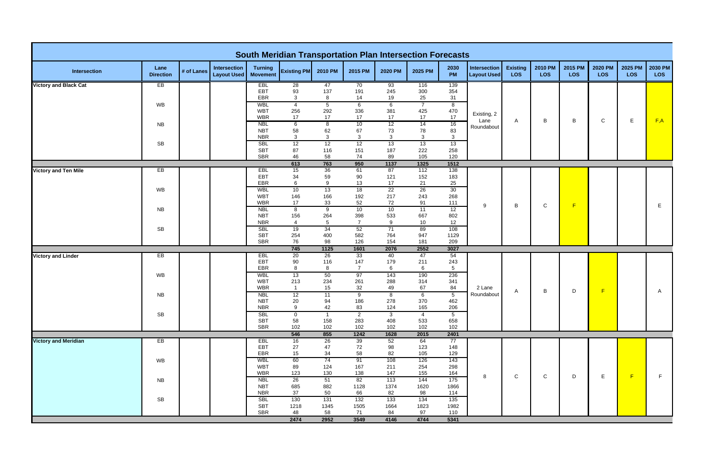|                              |                          |            |                                    |                                   | <b>South Meridian Transportation Plan Intersection Forecasts</b> |                    |                      |                     |                       |                         |                                           |                               |                |                       |                       |                       |                       |
|------------------------------|--------------------------|------------|------------------------------------|-----------------------------------|------------------------------------------------------------------|--------------------|----------------------|---------------------|-----------------------|-------------------------|-------------------------------------------|-------------------------------|----------------|-----------------------|-----------------------|-----------------------|-----------------------|
| <b>Intersection</b>          | Lane<br><b>Direction</b> | # of Lanes | Intersection<br><b>Layout Used</b> | <b>Turning</b><br><b>Movement</b> | <b>Existing PM</b>                                               | 2010 PM            | 2015 PM              | 2020 PM             | 2025 PM               | 2030<br>PM              | <b>Intersection</b><br><b>Layout Used</b> | <b>Existing</b><br><b>LOS</b> | 2010 PM<br>LOS | 2015 PM<br><b>LOS</b> | 2020 PM<br><b>LOS</b> | 2025 PM<br><b>LOS</b> | 2030 PM<br><b>LOS</b> |
| <b>Victory and Black Cat</b> | EB                       |            |                                    | <b>EBL</b>                        | 28                                                               | 47                 | 70                   | 93                  | 116                   | 139                     |                                           |                               |                |                       |                       |                       |                       |
|                              |                          |            |                                    | EBT<br>EBR                        | 93<br>$\mathbf{3}$                                               | 137<br>8           | 191<br>14            | 245<br>19           | 300<br>25             | 354<br>31               |                                           |                               |                |                       |                       |                       |                       |
|                              | WB                       |            |                                    | WBL                               | $\overline{4}$                                                   | $\overline{5}$     | $6\overline{}$       | $6\overline{6}$     | $\overline{7}$        | $\overline{\mathbf{8}}$ |                                           |                               |                |                       |                       |                       |                       |
|                              |                          |            |                                    | <b>WBT</b><br><b>WBR</b>          | 256<br>17                                                        | 292<br>17          | 336<br>$17$          | 381<br>17           | 425<br>$17$           | 470<br>17               | Existing, 2                               |                               |                |                       |                       |                       |                       |
|                              | <b>NB</b>                |            |                                    | <b>NBL</b>                        | $\overline{6}$                                                   | $\overline{8}$     | 10                   | 12                  | 14                    | 16                      | Lane                                      | A                             | B              | B                     | $\mathbf C$           | E.                    | F,A                   |
|                              |                          |            |                                    | <b>NBT</b>                        | 58                                                               | 62                 | 67                   | 73                  | 78                    | 83                      | Roundabout                                |                               |                |                       |                       |                       |                       |
|                              | SB                       |            |                                    | <b>NBR</b><br><b>SBL</b>          | 3<br>12                                                          | $\mathbf{3}$<br>12 | $\mathbf{3}$<br>12   | $\mathbf{3}$<br>13  | $\mathbf{3}$<br>13    | $\mathbf{3}$<br>13      |                                           |                               |                |                       |                       |                       |                       |
|                              |                          |            |                                    | <b>SBT</b>                        | 87                                                               | 116                | 151                  | 187                 | 222                   | 258                     |                                           |                               |                |                       |                       |                       |                       |
|                              |                          |            |                                    | <b>SBR</b>                        | 46                                                               | 58                 | 74                   | 89                  | 105                   | 120                     |                                           |                               |                |                       |                       |                       |                       |
|                              |                          |            |                                    |                                   | 613                                                              | 763                | 950                  | 1137                | 1325                  | 1512                    |                                           |                               |                |                       |                       |                       |                       |
| <b>Victory and Ten Mile</b>  | EB                       |            |                                    | <b>EBL</b><br>EBT                 | 15<br>34                                                         | 36<br>59           | 61<br>90             | 87<br>121           | 112<br>152            | 138<br>183              |                                           |                               |                |                       |                       |                       |                       |
|                              |                          |            |                                    | EBR                               | 6                                                                | 9                  | 13                   | 17                  | 21                    | 25                      |                                           |                               |                |                       |                       |                       |                       |
|                              | WB                       |            |                                    | <b>WBL</b>                        | 10                                                               | 13                 | 18                   | 22                  | 26                    | 30                      |                                           |                               |                |                       |                       |                       |                       |
|                              |                          |            |                                    | <b>WBT</b><br><b>WBR</b>          | 146<br>17                                                        | 166<br>33          | 192<br>52            | 217<br>72           | 243<br>91             | 268<br>111              |                                           |                               |                |                       |                       |                       |                       |
|                              | <b>NB</b>                |            |                                    | <b>NBL</b>                        | 8                                                                | 9                  | 10                   | 10                  | 11                    | 12                      | 9                                         | B                             | ${\bf C}$      | F                     |                       |                       | E.                    |
|                              |                          |            |                                    | <b>NBT</b>                        | 156                                                              | 264                | 398                  | 533                 | 667                   | 802                     |                                           |                               |                |                       |                       |                       |                       |
|                              |                          |            |                                    | <b>NBR</b><br><b>SBL</b>          | $\overline{4}$                                                   | $5\phantom{.0}$    | $\overline{7}$<br>52 | 9                   | 10                    | 12<br>108               |                                           |                               |                |                       |                       |                       |                       |
|                              | SB                       |            |                                    | <b>SBT</b>                        | 19<br>254                                                        | 34<br>400          | 582                  | 71<br>764           | 89<br>947             | 1129                    |                                           |                               |                |                       |                       |                       |                       |
|                              |                          |            |                                    | <b>SBR</b>                        | 76                                                               | 98                 | 126                  | 154                 | 181                   | 209                     |                                           |                               |                |                       |                       |                       |                       |
|                              |                          |            |                                    |                                   | 745                                                              | 1125               | 1601                 | 2076                | 2552                  | 3027                    |                                           |                               |                |                       |                       |                       |                       |
| <b>Victory and Linder</b>    | EB                       |            |                                    | EBL<br>EBT                        | 20<br>90                                                         | 26<br>116          | 33<br>147            | 40<br>179           | 47<br>211             | 54<br>243               |                                           |                               |                |                       |                       |                       |                       |
|                              |                          |            |                                    | EBR                               | 8                                                                | 8                  | $\overline{7}$       | 6                   | $6\phantom{.}6$       | $5\phantom{.0}$         |                                           |                               |                |                       |                       |                       |                       |
|                              | WB                       |            |                                    | <b>WBL</b>                        | 13                                                               | 50                 | 97                   | 143                 | 190                   | 236                     |                                           |                               |                |                       |                       |                       |                       |
|                              |                          |            |                                    | <b>WBT</b><br><b>WBR</b>          | 213<br>$\overline{1}$                                            | 234<br>15          | 261<br>32            | 288<br>49           | 314<br>67             | 341<br>84               | 2 Lane                                    |                               |                |                       |                       |                       |                       |
|                              | <b>NB</b>                |            |                                    | <b>NBL</b>                        | 12                                                               | 11                 | 9                    | 8                   | $\overline{6}$        | $5\overline{)}$         | Roundabout                                | A                             | В              | D                     | F                     |                       | A                     |
|                              |                          |            |                                    | <b>NBT</b>                        | 20                                                               | 94                 | 186                  | 278                 | 370                   | 462                     |                                           |                               |                |                       |                       |                       |                       |
|                              | SB                       |            |                                    | <b>NBR</b><br><b>SBL</b>          | 9<br>$\mathbf{0}$                                                | 42<br>$\mathbf{1}$ | 83<br>$\overline{2}$ | 124<br>$\mathbf{3}$ | 165<br>$\overline{4}$ | 206<br>$5\overline{)}$  |                                           |                               |                |                       |                       |                       |                       |
|                              |                          |            |                                    | <b>SBT</b>                        | 58                                                               | 158                | 283                  | 408                 | 533                   | 658                     |                                           |                               |                |                       |                       |                       |                       |
|                              |                          |            |                                    | <b>SBR</b>                        | 102                                                              | 102                | 102                  | 102                 | 102                   | 102                     |                                           |                               |                |                       |                       |                       |                       |
|                              |                          |            |                                    |                                   | 546                                                              | 855                | 1242                 | 1628                | 2015                  | 2401                    |                                           |                               |                |                       |                       |                       |                       |
| <b>Victory and Meridian</b>  | EB                       |            |                                    | EBL<br>EBT                        | 16<br>27                                                         | 26<br>47           | 39<br>72             | 52<br>98            | 64<br>123             | 77<br>148               |                                           |                               |                |                       |                       |                       |                       |
|                              |                          |            |                                    | EBR                               | 15 <sub>15</sub>                                                 | 34                 | 58                   | 82                  | 105                   | 129                     |                                           |                               |                |                       |                       |                       |                       |
|                              | WB                       |            |                                    | WBL                               | 60                                                               | 74                 | 91                   | 108                 | 126                   | 143                     |                                           |                               |                |                       |                       |                       |                       |
|                              |                          |            |                                    | WBT<br><b>WBR</b>                 | 89<br>123                                                        | 124<br>130         | 167<br>138           | 211<br>147          | 254<br>155            | 298<br>164              |                                           |                               |                |                       |                       |                       |                       |
|                              | <b>NB</b>                |            |                                    | <b>NBL</b>                        | 26                                                               | 51                 | 82                   | 113                 | 144                   | 175                     | 8                                         | $\mathbf C$                   | $\mathsf{C}$   | D                     | $\mathsf E$           | F                     | F.                    |
|                              |                          |            |                                    | <b>NBT</b>                        | 685                                                              | 882                | 1128                 | 1374                | 1620                  | 1866                    |                                           |                               |                |                       |                       |                       |                       |
|                              |                          |            |                                    | <b>NBR</b><br><b>SBL</b>          | 37<br>130                                                        | 50<br>131          | 66<br>132            | 82<br>133           | 98<br>134             | 114<br>135              |                                           |                               |                |                       |                       |                       |                       |
|                              | SB                       |            |                                    | <b>SBT</b>                        | 1218                                                             | 1345               | 1505                 | 1664                | 1823                  | 1982                    |                                           |                               |                |                       |                       |                       |                       |
|                              |                          |            |                                    | <b>SBR</b>                        | 48                                                               | 58                 | 71                   | 84                  | 97                    | 110                     |                                           |                               |                |                       |                       |                       |                       |
|                              |                          |            |                                    |                                   | 2474                                                             | 2952               | 3549                 | 4146                | 4744                  | 5341                    |                                           |                               |                |                       |                       |                       |                       |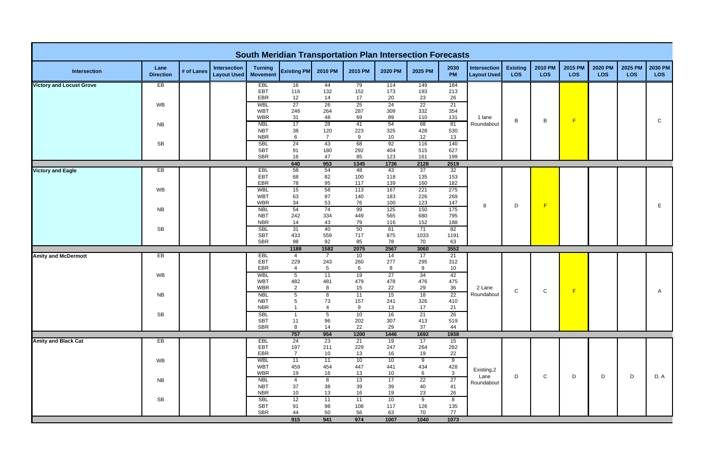|                                 |                          |            |                                           |                                   | <b>South Meridian Transportation Plan Intersection Forecasts</b> |                               |                 |                       |                |                         |                                    |                               |                       |                       |                       |                       |                       |
|---------------------------------|--------------------------|------------|-------------------------------------------|-----------------------------------|------------------------------------------------------------------|-------------------------------|-----------------|-----------------------|----------------|-------------------------|------------------------------------|-------------------------------|-----------------------|-----------------------|-----------------------|-----------------------|-----------------------|
| Intersection                    | Lane<br><b>Direction</b> | # of Lanes | <b>Intersection</b><br><b>Layout Used</b> | <b>Turning</b><br><b>Movement</b> | <b>Existing PM</b>                                               | 2010 PM                       | 2015 PM         | 2020 PM               | 2025 PM        | 2030<br>PM              | Intersection<br><b>Layout Used</b> | <b>Existing</b><br><b>LOS</b> | 2010 PM<br><b>LOS</b> | 2015 PM<br><b>LOS</b> | 2020 PM<br><b>LOS</b> | 2025 PM<br><b>LOS</b> | 2030 PM<br><b>LOS</b> |
| <b>Victory and Locust Grove</b> | EB                       |            |                                           | <b>EBL</b>                        | 16                                                               | 44                            | 79              | 114                   | 149            | 184                     |                                    |                               |                       |                       |                       |                       |                       |
|                                 |                          |            |                                           | EBT<br>EBR                        | 116<br>12                                                        | 132<br>14                     | 152<br>17       | 173<br>20             | 193<br>23      | 213<br>26               |                                    |                               |                       |                       |                       |                       |                       |
|                                 | WB                       |            |                                           | <b>WBL</b>                        | 27                                                               | 26                            | 25              | 24                    | 22             | 21                      |                                    |                               |                       |                       |                       |                       |                       |
|                                 |                          |            |                                           | <b>WBT</b>                        | 246                                                              | 264                           | 287             | 309                   | 332            | 354                     |                                    |                               |                       |                       |                       |                       |                       |
|                                 | <b>NB</b>                |            |                                           | <b>WBR</b><br><b>NBL</b>          | 31<br>17                                                         | 48<br>28                      | 69<br>41        | 89<br>54              | 110<br>68      | 131<br>81               | 1 lane<br>Roundabout               | B                             | В                     | F                     |                       |                       | C                     |
|                                 |                          |            |                                           | <b>NBT</b>                        | 38                                                               | 120                           | 223             | 325                   | 428            | 530                     |                                    |                               |                       |                       |                       |                       |                       |
|                                 |                          |            |                                           | <b>NBR</b>                        | 6                                                                | $\overline{7}$                | 9               | 10                    | 12             | 13                      |                                    |                               |                       |                       |                       |                       |                       |
|                                 | SB                       |            |                                           | <b>SBL</b><br><b>SBT</b>          | 24<br>91                                                         | 43<br>180                     | 68<br>292       | 92<br>404             | 116<br>515     | 140<br>627              |                                    |                               |                       |                       |                       |                       |                       |
|                                 |                          |            |                                           | <b>SBR</b>                        | 16                                                               | 47                            | 85              | 123                   | 161            | 199                     |                                    |                               |                       |                       |                       |                       |                       |
|                                 |                          |            |                                           |                                   | 640                                                              | 953                           | 1345            | 1736                  | 2128           | 2519                    |                                    |                               |                       |                       |                       |                       |                       |
| <b>Victory and Eagle</b>        | EB                       |            |                                           | EBL<br>EBT                        | 58<br>68                                                         | 54<br>82                      | 48<br>100       | 43<br>118             | 37<br>135      | 32<br>153               |                                    |                               |                       |                       |                       |                       |                       |
|                                 |                          |            |                                           | EBR                               | 78                                                               | 95                            | 117             | 139                   | 160            | 182                     |                                    |                               |                       |                       |                       |                       |                       |
|                                 | WB                       |            |                                           | <b>WBL</b>                        | 15                                                               | 58                            | 113             | 167                   | 221            | 275                     |                                    |                               |                       |                       |                       |                       |                       |
|                                 |                          |            |                                           | <b>WBT</b><br><b>WBR</b>          | 63                                                               | 97                            | 140             | 183                   | 226            | 269<br>147              |                                    |                               |                       |                       |                       |                       |                       |
|                                 | <b>NB</b>                |            |                                           | <b>NBL</b>                        | 34<br>54                                                         | 53<br>74                      | 76<br>99        | 100<br>125            | 123<br>150     | 175                     | 8                                  | D                             |                       |                       |                       |                       | Е                     |
|                                 |                          |            |                                           | <b>NBT</b>                        | 242                                                              | 334                           | 449             | 565                   | 680            | 795                     |                                    |                               |                       |                       |                       |                       |                       |
|                                 |                          |            |                                           | <b>NBR</b>                        | 14                                                               | 43                            | 79              | 116                   | 152            | 188                     |                                    |                               |                       |                       |                       |                       |                       |
|                                 | SB                       |            |                                           | <b>SBL</b><br><b>SBT</b>          | 31<br>433                                                        | 40<br>559                     | 50<br>717       | 61<br>875             | 71<br>1033     | 82<br>1191              |                                    |                               |                       |                       |                       |                       |                       |
|                                 |                          |            |                                           | SBR                               | 98                                                               | 92                            | 85              | 78                    | 70             | 63                      |                                    |                               |                       |                       |                       |                       |                       |
|                                 |                          |            |                                           |                                   | 1188                                                             | 1582                          | 2075            | 2567                  | 3060           | 3552                    |                                    |                               |                       |                       |                       |                       |                       |
| <b>Amity and McDermott</b>      | E                        |            |                                           | <b>EBL</b><br>EBT                 | $\overline{4}$<br>229                                            | $\overline{7}$<br>243         | 10<br>260       | 14<br>277             | 17<br>295      | 21<br>312               |                                    |                               |                       |                       |                       |                       |                       |
|                                 |                          |            |                                           | EBR                               | $\overline{4}$                                                   | $5\phantom{.0}$               | $6\phantom{.}6$ | 8                     | 9              | 10                      |                                    |                               |                       |                       |                       |                       |                       |
|                                 | <b>WB</b>                |            |                                           | WBL                               | $\overline{5}$                                                   | 11                            | 19              | 27                    | 34             | 42                      |                                    |                               |                       |                       |                       |                       |                       |
|                                 |                          |            |                                           | <b>WBT</b>                        | 482                                                              | 481                           | 479             | 478                   | 476            | 475                     |                                    |                               |                       |                       |                       |                       |                       |
|                                 | <b>NB</b>                |            |                                           | <b>WBR</b><br><b>NBL</b>          | $\overline{2}$<br>$5\phantom{.0}$                                | 8<br>8                        | 15<br>11        | 22<br>15              | 29<br>18       | 36<br>$\overline{22}$   | 2 Lane<br>Roundabout               | $\mathbf C$                   | $\mathsf{C}$          | F                     |                       |                       | A                     |
|                                 |                          |            |                                           | <b>NBT</b>                        | 5                                                                | 73                            | 157             | 241                   | 326            | 410                     |                                    |                               |                       |                       |                       |                       |                       |
|                                 |                          |            |                                           | <b>NBR</b>                        | -1                                                               | $\overline{4}$                | 9               | 13                    | 17             | 21                      |                                    |                               |                       |                       |                       |                       |                       |
|                                 | <b>SB</b>                |            |                                           | <b>SBL</b><br><b>SBT</b>          | 11                                                               | 5<br>96                       | 10<br>202       | 16<br>307             | 21<br>413      | 26<br>519               |                                    |                               |                       |                       |                       |                       |                       |
|                                 |                          |            |                                           | <b>SBR</b>                        | 8                                                                | 14                            | 22              | 29                    | 37             | 44                      |                                    |                               |                       |                       |                       |                       |                       |
|                                 |                          |            |                                           |                                   | 757                                                              | 954                           | 1200            | 1446                  | 1692           | 1938                    |                                    |                               |                       |                       |                       |                       |                       |
| <b>Amity and Black Cat</b>      | EB                       |            |                                           | <b>EBL</b>                        | 24                                                               | 23                            | 21              | 19                    | 17             | 15                      |                                    |                               |                       |                       |                       |                       |                       |
|                                 |                          |            |                                           | EBT<br>EBR                        | 197<br>$\overline{7}$                                            | 211<br>10                     | 229<br>13       | 247<br>16             | 264<br>19      | 282<br>22               |                                    |                               |                       |                       |                       |                       |                       |
|                                 | WB                       |            |                                           | <b>WBL</b>                        | 11                                                               | 11                            | 10              | 10                    | $\overline{9}$ | $\overline{9}$          |                                    |                               |                       |                       |                       |                       |                       |
|                                 |                          |            |                                           | <b>WBT</b>                        | 459                                                              | 454                           | 447             | 441                   | 434            | 428                     | Existing,2                         |                               |                       |                       |                       |                       |                       |
|                                 | <b>NB</b>                |            |                                           | <b>WBR</b><br><b>NBL</b>          | 19<br>$\overline{4}$                                             | 16<br>$\overline{\mathbf{8}}$ | 13<br>13        | 10 <sup>°</sup><br>17 | 6<br>22        | $\mathbf{3}$<br>27      | Lane                               | D                             | $\mathsf{C}$          | D                     | D                     | D                     | D, A                  |
|                                 |                          |            |                                           | <b>NBT</b>                        | 37                                                               | 38                            | 39              | 39                    | 40             | 41                      | Roundabout                         |                               |                       |                       |                       |                       |                       |
|                                 |                          |            |                                           | <b>NBR</b>                        | 10                                                               | 13                            | 16              | 19                    | 23             | 26                      |                                    |                               |                       |                       |                       |                       |                       |
|                                 | $\mathsf{SB}\xspace$     |            |                                           | <b>SBL</b>                        | 12                                                               | 11                            | 11              | 10                    | 9              | $\overline{\mathbf{8}}$ |                                    |                               |                       |                       |                       |                       |                       |
|                                 |                          |            |                                           | <b>SBT</b><br>SBR                 | 91<br>44                                                         | 98<br>50                      | 108<br>56       | 117<br>63             | 126<br>70      | 135<br>77               |                                    |                               |                       |                       |                       |                       |                       |
|                                 |                          |            |                                           |                                   | 915                                                              | 941                           | 974             | 1007                  | 1040           | 1073                    |                                    |                               |                       |                       |                       |                       |                       |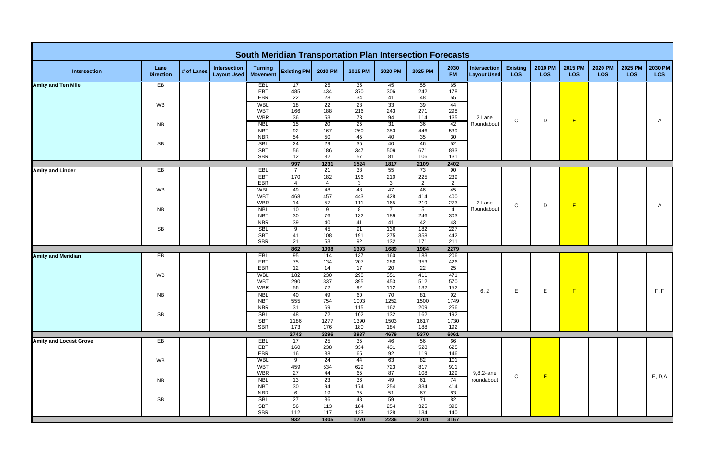|                               |                          |            |                                           |                                   | <b>South Meridian Transportation Plan Intersection Forecasts</b> |                       |                     |                       |                        |                       |                                    |                               |                       |                       |                              |                       |                       |
|-------------------------------|--------------------------|------------|-------------------------------------------|-----------------------------------|------------------------------------------------------------------|-----------------------|---------------------|-----------------------|------------------------|-----------------------|------------------------------------|-------------------------------|-----------------------|-----------------------|------------------------------|-----------------------|-----------------------|
| Intersection                  | Lane<br><b>Direction</b> | # of Lanes | <b>Intersection</b><br><b>Layout Used</b> | <b>Turning</b><br><b>Movement</b> | <b>Existing PM</b>                                               | 2010 PM               | 2015 PM             | 2020 PM               | 2025 PM                | 2030<br>PM            | Intersection<br><b>Layout Used</b> | <b>Existing</b><br><b>LOS</b> | 2010 PM<br><b>LOS</b> | 2015 PM<br><b>LOS</b> | <b>2020 PM</b><br><b>LOS</b> | 2025 PM<br><b>LOS</b> | 2030 PM<br><b>LOS</b> |
| <b>Amity and Ten Mile</b>     | EB                       |            |                                           | <b>EBL</b>                        | 17                                                               | 25                    | 35                  | 45                    | 55                     | 65                    |                                    |                               |                       |                       |                              |                       |                       |
|                               |                          |            |                                           | EBT<br>EBR                        | 485<br>22                                                        | 434<br>28             | 370<br>34           | 306<br>41             | 242<br>48              | 178<br>55             |                                    |                               |                       |                       |                              |                       |                       |
|                               | WB                       |            |                                           | <b>WBL</b>                        | 18                                                               | 22                    | 28                  | 33                    | 39                     | 44                    |                                    |                               |                       |                       |                              |                       |                       |
|                               |                          |            |                                           | <b>WBT</b>                        | 166                                                              | 188                   | 216                 | 243                   | 271                    | 298                   |                                    |                               |                       |                       |                              |                       |                       |
|                               | <b>NB</b>                |            |                                           | <b>WBR</b><br><b>NBL</b>          | 36<br>15                                                         | 53<br>20              | 73<br>25            | 94<br>31              | 114<br>36              | 135<br>42             | 2 Lane<br>Roundabout               | $\mathsf C$                   | D                     | F                     |                              |                       | A                     |
|                               |                          |            |                                           | <b>NBT</b>                        | 92                                                               | 167                   | 260                 | 353                   | 446                    | 539                   |                                    |                               |                       |                       |                              |                       |                       |
|                               |                          |            |                                           | <b>NBR</b>                        | 54                                                               | 50                    | 45                  | 40                    | 35                     | 30                    |                                    |                               |                       |                       |                              |                       |                       |
|                               | <b>SB</b>                |            |                                           | <b>SBL</b><br><b>SBT</b>          | 24                                                               | 29                    | 35<br>347           | 40<br>509             | 46<br>671              | 52                    |                                    |                               |                       |                       |                              |                       |                       |
|                               |                          |            |                                           | <b>SBR</b>                        | 56<br>12                                                         | 186<br>32             | 57                  | 81                    | 106                    | 833<br>131            |                                    |                               |                       |                       |                              |                       |                       |
|                               |                          |            |                                           |                                   | 997                                                              | 1231                  | 1524                | 1817                  | 2109                   | 2402                  |                                    |                               |                       |                       |                              |                       |                       |
| <b>Amity and Linder</b>       | EB                       |            |                                           | EBL                               | $\overline{7}$                                                   | 21                    | 38                  | 55                    | 73                     | 90                    |                                    |                               |                       |                       |                              |                       |                       |
|                               |                          |            |                                           | EBT<br>EBR                        | 170<br>$\overline{4}$                                            | 182<br>$\overline{4}$ | 196<br>$\mathbf{3}$ | 210<br>$\mathbf{3}$   | 225<br>$\overline{2}$  | 239<br>$\overline{2}$ |                                    |                               |                       |                       |                              |                       |                       |
|                               | WB                       |            |                                           | <b>WBL</b>                        | 49                                                               | 48                    | 48                  | 47                    | 46                     | 45                    |                                    |                               |                       |                       |                              |                       |                       |
|                               |                          |            |                                           | <b>WBT</b>                        | 468                                                              | 457                   | 443                 | 428                   | 414                    | 400                   |                                    |                               |                       |                       |                              |                       |                       |
|                               |                          |            |                                           | <b>WBR</b>                        | 14                                                               | 57                    | 111                 | 165                   | 219                    | 273                   | 2 Lane                             | $\mathbf C$                   | D                     | F                     |                              |                       | A                     |
|                               | <b>NB</b>                |            |                                           | <b>NBL</b><br><b>NBT</b>          | 10<br>30                                                         | 9<br>76               | 8<br>132            | $\overline{7}$<br>189 | $5\phantom{.0}$<br>246 | $\overline{4}$<br>303 | Roundabout                         |                               |                       |                       |                              |                       |                       |
|                               |                          |            |                                           | <b>NBR</b>                        | 39                                                               | 40                    | 41                  | 41                    | 42                     | 43                    |                                    |                               |                       |                       |                              |                       |                       |
|                               | <b>SB</b>                |            |                                           | <b>SBL</b>                        | 9                                                                | 45                    | 91                  | 136                   | 182                    | 227                   |                                    |                               |                       |                       |                              |                       |                       |
|                               |                          |            |                                           | <b>SBT</b><br>SBR                 | 41<br>21                                                         | 108<br>53             | 191<br>92           | 275<br>132            | 358<br>171             | 442<br>211            |                                    |                               |                       |                       |                              |                       |                       |
|                               |                          |            |                                           |                                   | 862                                                              | 1098                  | 1393                | 1689                  | 1984                   | 2279                  |                                    |                               |                       |                       |                              |                       |                       |
| <b>Amity and Meridian</b>     | E                        |            |                                           | <b>EBL</b>                        | 95                                                               | 114                   | 137                 | 160                   | 183                    | 206                   |                                    |                               |                       |                       |                              |                       |                       |
|                               |                          |            |                                           | EBT                               | 75                                                               | 134                   | 207                 | 280                   | 353                    | 426                   |                                    |                               |                       |                       |                              |                       |                       |
|                               | <b>WB</b>                |            |                                           | EBR<br>WBL                        | 12<br>182                                                        | 14<br>230             | 17<br>290           | 20<br>351             | 22<br>411              | 25<br>471             |                                    |                               |                       |                       |                              |                       |                       |
|                               |                          |            |                                           | <b>WBT</b>                        | 290                                                              | 337                   | 395                 | 453                   | 512                    | 570                   |                                    |                               |                       |                       |                              |                       |                       |
|                               |                          |            |                                           | <b>WBR</b>                        | 56                                                               | 72                    | 92                  | 112                   | 132                    | 152                   | 6, 2                               | Е                             | E.                    | F                     |                              |                       | F, F                  |
|                               | <b>NB</b>                |            |                                           | <b>NBL</b>                        | 40                                                               | 49                    | 60                  | 70                    | 81                     | 92                    |                                    |                               |                       |                       |                              |                       |                       |
|                               |                          |            |                                           | <b>NBT</b><br><b>NBR</b>          | 555<br>31                                                        | 754<br>69             | 1003<br>115         | 1252<br>162           | 1500<br>209            | 1749<br>256           |                                    |                               |                       |                       |                              |                       |                       |
|                               | <b>SB</b>                |            |                                           | <b>SBL</b>                        | 48                                                               | 72                    | 102                 | 132                   | 162                    | 192                   |                                    |                               |                       |                       |                              |                       |                       |
|                               |                          |            |                                           | <b>SBT</b>                        | 1186                                                             | 1277                  | 1390                | 1503                  | 1617                   | 1730                  |                                    |                               |                       |                       |                              |                       |                       |
|                               |                          |            |                                           | SBR                               | 173<br>2743                                                      | 176<br>3296           | 180<br>3987         | 184<br>4679           | 188<br>5370            | 192<br>6061           |                                    |                               |                       |                       |                              |                       |                       |
| <b>Amity and Locust Grove</b> | EB                       |            |                                           | EBL                               | 17                                                               | 25                    | 35                  | 46                    | 56                     | 66                    |                                    |                               |                       |                       |                              |                       |                       |
|                               |                          |            |                                           | EBT                               | 160                                                              | 238                   | 334                 | 431                   | 528                    | 625                   |                                    |                               |                       |                       |                              |                       |                       |
|                               |                          |            |                                           | EBR                               | 16                                                               | 38                    | 65                  | 92                    | 119                    | 146                   |                                    |                               |                       |                       |                              |                       |                       |
|                               | WB                       |            |                                           | <b>WBL</b><br><b>WBT</b>          | $\overline{9}$<br>459                                            | 24<br>534             | 44<br>629           | 63<br>723             | 82<br>817              | 101<br>911            |                                    |                               |                       |                       |                              |                       |                       |
|                               |                          |            |                                           | <b>WBR</b>                        | 27                                                               | 44                    | 65                  | 87                    | 108                    | 129                   | 9,8,2-lane                         |                               | F                     |                       |                              |                       |                       |
|                               | <b>NB</b>                |            |                                           | <b>NBL</b>                        | 13                                                               | 23                    | 36                  | 49                    | 61                     | 74                    | roundabout                         | $\mathsf{C}$                  |                       |                       |                              |                       | E, D, A               |
|                               |                          |            |                                           | <b>NBT</b>                        | 30                                                               | 94                    | 174                 | 254                   | 334                    | 414                   |                                    |                               |                       |                       |                              |                       |                       |
|                               | ${\sf SB}$               |            |                                           | <b>NBR</b><br><b>SBL</b>          | 6<br>27                                                          | 19<br>36              | 35<br>48            | 51<br>59              | 67<br>71               | 83<br>82              |                                    |                               |                       |                       |                              |                       |                       |
|                               |                          |            |                                           | <b>SBT</b>                        | 56                                                               | 113                   | 184                 | 254                   | 325                    | 396                   |                                    |                               |                       |                       |                              |                       |                       |
|                               |                          |            |                                           | SBR                               | 112                                                              | 117                   | 123                 | 128                   | 134                    | 140                   |                                    |                               |                       |                       |                              |                       |                       |
|                               |                          |            |                                           |                                   | 932                                                              | 1305                  | 1770                | 2236                  | 2701                   | 3167                  |                                    |                               |                       |                       |                              |                       |                       |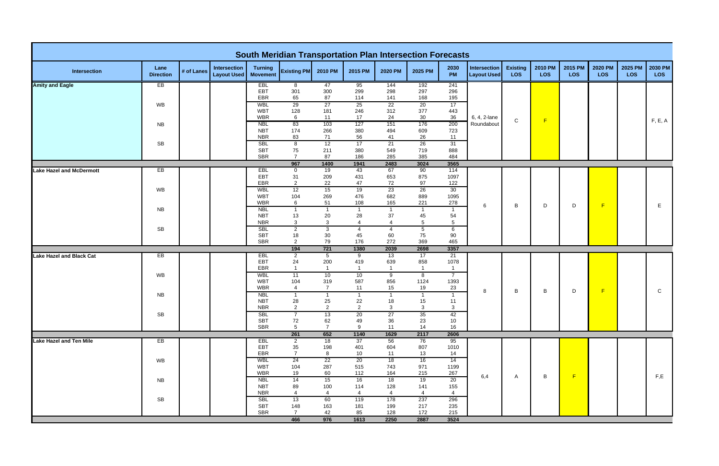|                                 |                          |            |                                           |                                   | <b>South Meridian Transportation Plan Intersection Forecasts</b> |                        |                      |                    |                                  |                        |                                           |                        |                |                       |                       |                       |                       |
|---------------------------------|--------------------------|------------|-------------------------------------------|-----------------------------------|------------------------------------------------------------------|------------------------|----------------------|--------------------|----------------------------------|------------------------|-------------------------------------------|------------------------|----------------|-----------------------|-----------------------|-----------------------|-----------------------|
| Intersection                    | Lane<br><b>Direction</b> | # of Lanes | <b>Intersection</b><br><b>Layout Used</b> | <b>Turning</b><br><b>Movement</b> | <b>Existing PM</b>                                               | 2010 PM                | 2015 PM              | 2020 PM            | 2025 PM                          | 2030<br>PM             | <b>Intersection</b><br><b>Layout Used</b> | <b>Existing</b><br>LOS | 2010 PM<br>LOS | 2015 PM<br><b>LOS</b> | 2020 PM<br><b>LOS</b> | 2025 PM<br><b>LOS</b> | 2030 PM<br><b>LOS</b> |
| <b>Amity and Eagle</b>          | EB                       |            |                                           | EBL                               | 8                                                                | 47                     | 95                   | 144                | 192                              | 241                    |                                           |                        |                |                       |                       |                       |                       |
|                                 |                          |            |                                           | EBT<br>EBR                        | 301<br>65                                                        | 300<br>87              | 299<br>114           | 298<br>141         | 297<br>168                       | 296<br>195             |                                           |                        |                |                       |                       |                       |                       |
|                                 | WB                       |            |                                           | <b>WBL</b>                        | 29                                                               | 27                     | 25                   | 22                 | 20                               | 17                     |                                           |                        |                |                       |                       |                       |                       |
|                                 |                          |            |                                           | <b>WBT</b>                        | 128                                                              | 181                    | 246                  | 312                | 377                              | 443                    |                                           |                        |                |                       |                       |                       |                       |
|                                 |                          |            |                                           | <b>WBR</b>                        | 6                                                                | 11                     | 17                   | 24                 | $30\,$                           | 36                     | 6, 4, 2-lane                              | $\mathsf C$            | F              |                       |                       |                       | F, E, A               |
|                                 | <b>NB</b>                |            |                                           | <b>NBL</b><br><b>NBT</b>          | 83<br>174                                                        | 103<br>266             | 127<br>380           | 151<br>494         | 176<br>609                       | 200<br>723             | Roundabout                                |                        |                |                       |                       |                       |                       |
|                                 |                          |            |                                           | <b>NBR</b>                        | 83                                                               | 71                     | 56                   | 41                 | 26                               | 11                     |                                           |                        |                |                       |                       |                       |                       |
|                                 | ${\sf SB}$               |            |                                           | <b>SBL</b>                        | $\overline{\mathbf{8}}$                                          | 12                     | 17                   | 21                 | 26                               | 31                     |                                           |                        |                |                       |                       |                       |                       |
|                                 |                          |            |                                           | <b>SBT</b>                        | 75                                                               | 211                    | 380                  | 549                | 719                              | 888                    |                                           |                        |                |                       |                       |                       |                       |
|                                 |                          |            |                                           | <b>SBR</b>                        | $\overline{7}$                                                   | 87                     | 186                  | 285                | 385                              | 484                    |                                           |                        |                |                       |                       |                       |                       |
| <b>Lake Hazel and McDermott</b> | EB                       |            |                                           | EBL                               | 967<br>0                                                         | 1400<br>19             | 1941<br>43           | 2483<br>67         | 3024<br>90                       | 3565<br>114            |                                           |                        |                |                       |                       |                       |                       |
|                                 |                          |            |                                           | EBT                               | 31                                                               | 209                    | 431                  | 653                | 875                              | 1097                   |                                           |                        |                |                       |                       |                       |                       |
|                                 |                          |            |                                           | EBR                               | $\overline{2}$                                                   | 22                     | 47                   | 72                 | 97                               | 122                    |                                           |                        |                |                       |                       |                       |                       |
|                                 | <b>WB</b>                |            |                                           | <b>WBL</b>                        | 12                                                               | 15                     | 19                   | 23                 | 26                               | 30                     |                                           |                        |                |                       |                       |                       |                       |
|                                 |                          |            |                                           | <b>WBT</b><br><b>WBR</b>          | 104<br>6                                                         | 269<br>51              | 476<br>108           | 682<br>165         | 889<br>221                       | 1095<br>278            |                                           |                        |                |                       |                       |                       |                       |
|                                 | <b>NB</b>                |            |                                           | <b>NBL</b>                        | $\overline{1}$                                                   | $\mathbf{1}$           | $\overline{1}$       |                    | $\overline{1}$                   | $\overline{1}$         | 6                                         | B                      | D              | D                     | F                     |                       | E.                    |
|                                 |                          |            |                                           | <b>NBT</b>                        | 13                                                               | 20                     | 28                   | 37                 | 45                               | 54                     |                                           |                        |                |                       |                       |                       |                       |
|                                 |                          |            |                                           | <b>NBR</b>                        | 3                                                                | $\mathbf{3}$           | $\overline{4}$       | $\overline{4}$     | $5\phantom{.0}$                  | $5\phantom{.0}$        |                                           |                        |                |                       |                       |                       |                       |
|                                 | <b>SB</b>                |            |                                           | <b>SBL</b>                        | $\overline{2}$                                                   | $\mathbf{3}$           | $\overline{4}$       | $\overline{4}$     | $\sqrt{5}$                       | 6                      |                                           |                        |                |                       |                       |                       |                       |
|                                 |                          |            |                                           | <b>SBT</b><br><b>SBR</b>          | 18<br>$\overline{2}$                                             | $30\,$<br>79           | 45<br>176            | 60<br>272          | 75<br>369                        | 90<br>465              |                                           |                        |                |                       |                       |                       |                       |
|                                 |                          |            |                                           |                                   | 194                                                              | $721$                  | 1380                 | 2039               | 2698                             | 3357                   |                                           |                        |                |                       |                       |                       |                       |
| <b>Lake Hazel and Black Cat</b> | EB                       |            |                                           | EBL                               | $\overline{2}$                                                   | $\overline{5}$         | 9                    | 13                 | 17                               | 21                     |                                           |                        |                |                       |                       |                       |                       |
|                                 |                          |            |                                           | EBT                               | 24<br>$\overline{1}$                                             | 200                    | 419                  | 639                | 858                              | 1078<br>$\overline{1}$ |                                           |                        |                |                       |                       |                       |                       |
|                                 | <b>WB</b>                |            |                                           | EBR<br><b>WBL</b>                 | 11                                                               | $\mathbf{1}$<br>10     | $\overline{1}$<br>10 | 9                  | $\overline{1}$<br>$\overline{8}$ | $7^{\circ}$            |                                           |                        |                |                       |                       |                       |                       |
|                                 |                          |            |                                           | <b>WBT</b>                        | 104                                                              | 319                    | 587                  | 856                | 1124                             | 1393                   |                                           |                        |                |                       |                       |                       |                       |
|                                 |                          |            |                                           | <b>WBR</b>                        | $\overline{4}$                                                   | $\overline{7}$         | 11                   | 15                 | 19                               | 23                     | 8                                         | B                      | В              | D                     | F                     |                       | C                     |
|                                 | <b>NB</b>                |            |                                           | <b>NBL</b>                        | -1                                                               | $\mathbf{1}$           | $\overline{1}$       |                    | $\overline{1}$                   |                        |                                           |                        |                |                       |                       |                       |                       |
|                                 |                          |            |                                           | <b>NBT</b><br><b>NBR</b>          | 28<br>$\overline{2}$                                             | 25<br>$\overline{2}$   | 22<br>$\overline{2}$ | 18<br>$\mathbf{3}$ | 15<br>$\mathbf{3}$               | 11<br>3                |                                           |                        |                |                       |                       |                       |                       |
|                                 | <b>SB</b>                |            |                                           | <b>SBL</b>                        |                                                                  | 13                     | 20                   | 27                 | 35                               | 42                     |                                           |                        |                |                       |                       |                       |                       |
|                                 |                          |            |                                           | <b>SBT</b>                        | 72                                                               | 62                     | 49                   | 36                 | 23                               | 10                     |                                           |                        |                |                       |                       |                       |                       |
|                                 |                          |            |                                           | <b>SBR</b>                        | 5                                                                | $\overline{7}$         | 9                    | 11                 | 14                               | 16                     |                                           |                        |                |                       |                       |                       |                       |
|                                 |                          |            |                                           |                                   | 261                                                              | 652                    | 1140                 | 1629               | 2117                             | 2606                   |                                           |                        |                |                       |                       |                       |                       |
| <b>Lake Hazel and Ten Mile</b>  | EB                       |            |                                           | <b>EBL</b><br>EBT                 | $\overline{2}$<br>35                                             | 18<br>198              | 37<br>401            | 56<br>604          | 76<br>807                        | 95<br>1010             |                                           |                        |                |                       |                       |                       |                       |
|                                 |                          |            |                                           | EBR                               | $\overline{7}$                                                   | 8                      | 10                   | 11                 | 13                               | 14                     |                                           |                        |                |                       |                       |                       |                       |
|                                 | WB                       |            |                                           | WBL                               | 24                                                               | 22                     | 20                   | 18                 | 16                               | 14                     |                                           |                        |                |                       |                       |                       |                       |
|                                 |                          |            |                                           | <b>WBT</b>                        | 104                                                              | 287                    | 515                  | 743                | 971                              | 1199                   |                                           |                        |                |                       |                       |                       |                       |
|                                 |                          |            |                                           | <b>WBR</b><br><b>NBL</b>          | 19<br>14                                                         | 60<br>15               | 112<br>16            | 164<br>18          | 215<br>19                        | 267<br>20              | 6,4                                       | A                      | B              | F                     |                       |                       | F,E                   |
|                                 | <b>NB</b>                |            |                                           | <b>NBT</b>                        | 89                                                               | 100                    | 114                  | 128                | 141                              | 155                    |                                           |                        |                |                       |                       |                       |                       |
|                                 |                          |            |                                           | <b>NBR</b>                        | $\overline{4}$                                                   | $\boldsymbol{\Lambda}$ | $\overline{4}$       | $\overline{4}$     | $\overline{A}$                   | $\overline{4}$         |                                           |                        |                |                       |                       |                       |                       |
|                                 | SB                       |            |                                           | <b>SBL</b>                        | 13                                                               | 60                     | 119                  | 178                | 237                              | 296                    |                                           |                        |                |                       |                       |                       |                       |
|                                 |                          |            |                                           | <b>SBT</b><br>SBR                 | 148<br>$\overline{7}$                                            | 163<br>42              | 181<br>85            | 199<br>128         | 217<br>172                       | 235<br>215             |                                           |                        |                |                       |                       |                       |                       |
|                                 |                          |            |                                           |                                   | 466                                                              | 976                    | 1613                 | 2250               | 2887                             | 3524                   |                                           |                        |                |                       |                       |                       |                       |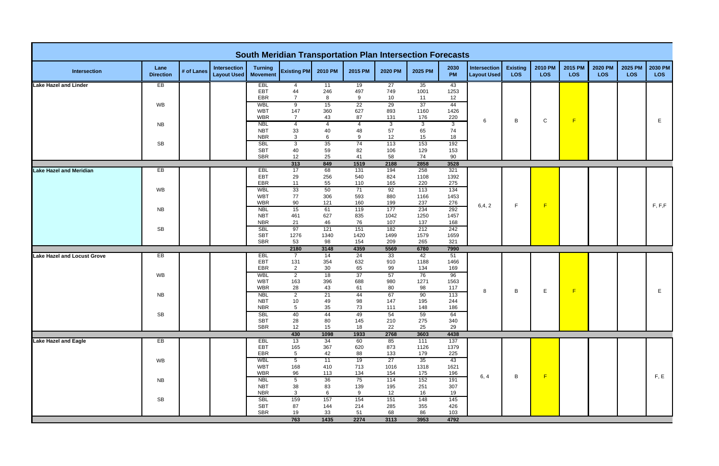|                                    |                          |            |                                           |                                   | <b>South Meridian Transportation Plan Intersection Forecasts</b> |                      |                      |                            |             |             |                                    |                               |                       |                       |                       |                       |                       |
|------------------------------------|--------------------------|------------|-------------------------------------------|-----------------------------------|------------------------------------------------------------------|----------------------|----------------------|----------------------------|-------------|-------------|------------------------------------|-------------------------------|-----------------------|-----------------------|-----------------------|-----------------------|-----------------------|
| <b>Intersection</b>                | Lane<br><b>Direction</b> | # of Lanes | <b>Intersection</b><br><b>Layout Used</b> | <b>Turning</b><br><b>Movement</b> | <b>Existing PM</b>                                               | 2010 PM              | 2015 PM              | 2020 PM                    | 2025 PM     | 2030<br>PM  | Intersection<br><b>Layout Used</b> | <b>Existing</b><br><b>LOS</b> | 2010 PM<br><b>LOS</b> | 2015 PM<br><b>LOS</b> | 2020 PM<br><b>LOS</b> | 2025 PM<br><b>LOS</b> | 2030 PM<br><b>LOS</b> |
| <b>Lake Hazel and Linder</b>       | EB                       |            |                                           | <b>EBL</b>                        | 4                                                                | 11                   | 19                   | 27                         | 35          | 43          |                                    |                               |                       |                       |                       |                       |                       |
|                                    |                          |            |                                           | EBT<br>EBR                        | 44<br>$\overline{7}$                                             | 246<br>8             | 497<br>9             | 749<br>10                  | 1001<br>11  | 1253<br>12  |                                    |                               |                       |                       |                       |                       |                       |
|                                    | WB                       |            |                                           | <b>WBL</b>                        | 9                                                                | 15                   | 22                   | 29                         | 37          | 44          |                                    |                               |                       |                       |                       |                       |                       |
|                                    |                          |            |                                           | <b>WBT</b>                        | 147                                                              | 360                  | 627                  | 893                        | 1160        | 1426        |                                    |                               |                       |                       |                       |                       |                       |
|                                    | <b>NB</b>                |            |                                           | <b>WBR</b><br><b>NBL</b>          | $\overline{7}$<br>$\overline{4}$                                 | 43<br>$\overline{4}$ | 87<br>$\overline{4}$ | 131<br>$\overline{\omega}$ | 176<br>دی   | 220<br>კ    | 6                                  | B                             | $\mathsf{C}$          | F                     |                       |                       | Е                     |
|                                    |                          |            |                                           | <b>NBT</b>                        | 33                                                               | 40                   | 48                   | 57                         | 65          | 74          |                                    |                               |                       |                       |                       |                       |                       |
|                                    |                          |            |                                           | <b>NBR</b>                        | 3                                                                | 6                    | 9                    | 12                         | 15          | 18          |                                    |                               |                       |                       |                       |                       |                       |
|                                    | <b>SB</b>                |            |                                           | <b>SBL</b><br><b>SBT</b>          | دی<br>40                                                         | 35<br>59             | 74<br>82             | 113<br>106                 | 153<br>129  | 192<br>153  |                                    |                               |                       |                       |                       |                       |                       |
|                                    |                          |            |                                           | <b>SBR</b>                        | 12                                                               | 25                   | 41                   | 58                         | 74          | 90          |                                    |                               |                       |                       |                       |                       |                       |
|                                    |                          |            |                                           |                                   | 313                                                              | 849                  | 1519                 | 2188                       | 2858        | 3528        |                                    |                               |                       |                       |                       |                       |                       |
| <b>Lake Hazel and Meridian</b>     | EB                       |            |                                           | EBL                               | 17                                                               | 68                   | 131                  | 194                        | 258         | 321         |                                    |                               |                       |                       |                       |                       |                       |
|                                    |                          |            |                                           | EBT<br>EBR                        | 29<br>11                                                         | 256<br>55            | 540<br>110           | 824<br>165                 | 1108<br>220 | 1392<br>275 |                                    |                               |                       |                       |                       |                       |                       |
|                                    | WB                       |            |                                           | <b>WBL</b>                        | 33                                                               | 50                   | 71                   | 92                         | 113         | 134         |                                    |                               |                       |                       |                       |                       |                       |
|                                    |                          |            |                                           | <b>WBT</b>                        | 77                                                               | 306                  | 593                  | 880                        | 1166        | 1453        |                                    |                               |                       |                       |                       |                       |                       |
|                                    | <b>NB</b>                |            |                                           | <b>WBR</b><br><b>NBL</b>          | 90<br>15                                                         | 121<br>61            | 160<br>119           | 199<br>177                 | 237<br>234  | 276<br>292  | 6,4,2                              | F.                            | F                     |                       |                       |                       | F, F, F               |
|                                    |                          |            |                                           | <b>NBT</b>                        | 461                                                              | 627                  | 835                  | 1042                       | 1250        | 1457        |                                    |                               |                       |                       |                       |                       |                       |
|                                    |                          |            |                                           | <b>NBR</b>                        | 21                                                               | 46                   | 76                   | 107                        | 137         | 168         |                                    |                               |                       |                       |                       |                       |                       |
|                                    | <b>SB</b>                |            |                                           | <b>SBL</b>                        | 97                                                               | 121                  | 151                  | 182                        | 212         | 242         |                                    |                               |                       |                       |                       |                       |                       |
|                                    |                          |            |                                           | <b>SBT</b><br>SBR                 | 1276<br>53                                                       | 1340<br>98           | 1420<br>154          | 1499<br>209                | 1579<br>265 | 1659<br>321 |                                    |                               |                       |                       |                       |                       |                       |
|                                    |                          |            |                                           |                                   | 2180                                                             | 3148                 | 4359                 | 5569                       | 6780        | 7990        |                                    |                               |                       |                       |                       |                       |                       |
| <b>Lake Hazel and Locust Grove</b> | EB                       |            |                                           | EBL                               | $\overline{7}$                                                   | 14                   | 24                   | 33                         | 42          | 51          |                                    |                               |                       |                       |                       |                       |                       |
|                                    |                          |            |                                           | EBT<br>EBR                        | 131<br>$\overline{2}$                                            | 354<br>30            | 632<br>65            | 910<br>99                  | 1188<br>134 | 1466<br>169 |                                    |                               |                       |                       |                       |                       |                       |
|                                    | WB                       |            |                                           | <b>WBL</b>                        | $\overline{2}$                                                   | 18                   | 37                   | 57                         | 76          | 96          |                                    |                               |                       |                       |                       |                       |                       |
|                                    |                          |            |                                           | <b>WBT</b>                        | 163                                                              | 396                  | 688                  | 980                        | 1271        | 1563        |                                    |                               |                       |                       |                       |                       |                       |
|                                    |                          |            |                                           | <b>WBR</b>                        | 28                                                               | 43                   | 61<br>44             | 80<br>67                   | 98          | 117         | 8                                  | B                             | Е.                    | F                     |                       |                       | Е                     |
|                                    | <b>NB</b>                |            |                                           | <b>NBL</b><br><b>NBT</b>          | $\mathbf{2}$<br>10                                               | 21<br>49             | 98                   | 147                        | 90<br>195   | 113<br>244  |                                    |                               |                       |                       |                       |                       |                       |
|                                    |                          |            |                                           | <b>NBR</b>                        | $5\phantom{.0}$                                                  | 35                   | 73                   | 111                        | 148         | 186         |                                    |                               |                       |                       |                       |                       |                       |
|                                    | <b>SB</b>                |            |                                           | <b>SBL</b>                        | 40                                                               | 44                   | 49                   | 54                         | 59          | 64          |                                    |                               |                       |                       |                       |                       |                       |
|                                    |                          |            |                                           | <b>SBT</b><br>SBR                 | 28<br>12                                                         | 80<br>15             | 145<br>18            | 210<br>22                  | 275<br>25   | 340<br>29   |                                    |                               |                       |                       |                       |                       |                       |
|                                    |                          |            |                                           |                                   | 430                                                              | 1098                 | 1933                 | 2768                       | 3603        | 4438        |                                    |                               |                       |                       |                       |                       |                       |
| <b>Lake Hazel and Eagle</b>        | EB                       |            |                                           | EBL                               | 13                                                               | 34                   | 60                   | 85                         | 111         | 137         |                                    |                               |                       |                       |                       |                       |                       |
|                                    |                          |            |                                           | EBT<br>EBR                        | 165<br>$5\phantom{.0}$                                           | 367<br>42            | 620<br>88            | 873<br>133                 | 1126<br>179 | 1379<br>225 |                                    |                               |                       |                       |                       |                       |                       |
|                                    | WB                       |            |                                           | <b>WBL</b>                        | $\overline{5}$                                                   | 11                   | 19                   | 27                         | 35          | 43          |                                    |                               |                       |                       |                       |                       |                       |
|                                    |                          |            |                                           | <b>WBT</b>                        | 168                                                              | 410                  | 713                  | 1016                       | 1318        | 1621        |                                    |                               |                       |                       |                       |                       |                       |
|                                    |                          |            |                                           | <b>WBR</b>                        | 96                                                               | 113                  | 134                  | 154                        | 175         | 196         | 6, 4                               | B                             | F                     |                       |                       |                       | F, E                  |
|                                    | <b>NB</b>                |            |                                           | <b>NBL</b><br><b>NBT</b>          | $\overline{5}$<br>38                                             | 36<br>83             | 75<br>139            | 114<br>195                 | 152<br>251  | 191<br>307  |                                    |                               |                       |                       |                       |                       |                       |
|                                    |                          |            |                                           | <b>NBR</b>                        | $\mathbf{3}$                                                     | 6                    | 9                    | 12                         | 16          | 19          |                                    |                               |                       |                       |                       |                       |                       |
|                                    | <b>SB</b>                |            |                                           | <b>SBL</b>                        | 159                                                              | 157                  | 154                  | 151                        | 148         | 145         |                                    |                               |                       |                       |                       |                       |                       |
|                                    |                          |            |                                           | <b>SBT</b><br>SBR                 | 87<br>19                                                         | 144<br>33            | 214<br>51            | 285<br>68                  | 355<br>86   | 426<br>103  |                                    |                               |                       |                       |                       |                       |                       |
|                                    |                          |            |                                           |                                   | 763                                                              | 1435                 | 2274                 | 3113                       | 3953        | 4792        |                                    |                               |                       |                       |                       |                       |                       |